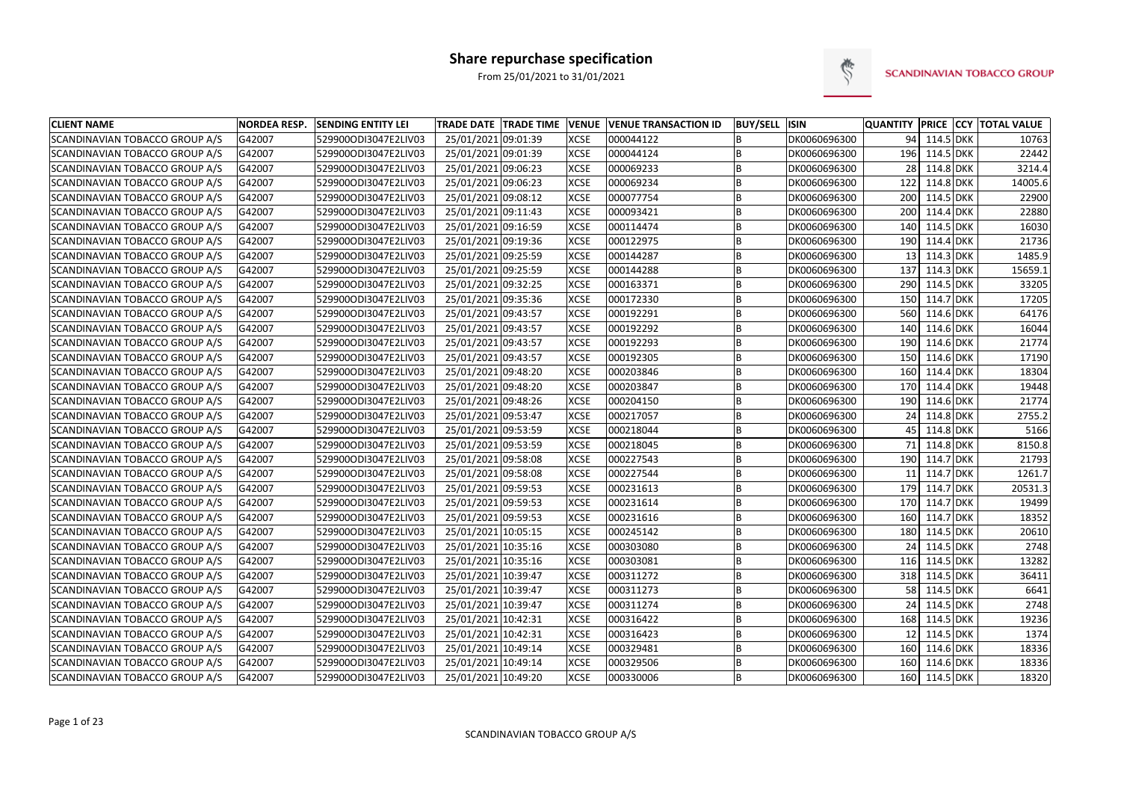

| <b>CLIENT NAME</b>                    | <b>NORDEA RESP.</b> | <b>SENDING ENTITY LEI</b> | <b>TRADE DATE TRADE TIME</b> | <b>VENUE</b> | <b>VENUE TRANSACTION ID</b> | <b>BUY/SELL ISIN</b> |              | <b>QUANTITY</b> |               | <b>PRICE CCY TOTAL VALUE</b> |
|---------------------------------------|---------------------|---------------------------|------------------------------|--------------|-----------------------------|----------------------|--------------|-----------------|---------------|------------------------------|
| SCANDINAVIAN TOBACCO GROUP A/S        | G42007              | 529900ODI3047E2LIV03      | 25/01/2021 09:01:39          | <b>XCSE</b>  | 000044122                   | B                    | DK0060696300 | 94              | 114.5 DKK     | 10763                        |
| <b>SCANDINAVIAN TOBACCO GROUP A/S</b> | G42007              | 529900ODI3047E2LIV03      | 25/01/2021 09:01:39          | <b>XCSE</b>  | 000044124                   | B                    | DK0060696300 |                 | 196 114.5 DKK | 22442                        |
| <b>SCANDINAVIAN TOBACCO GROUP A/S</b> | G42007              | 529900ODI3047E2LIV03      | 25/01/2021 09:06:23          | <b>XCSE</b>  | 000069233                   | B                    | DK0060696300 | 28              | 114.8 DKK     | 3214.4                       |
| SCANDINAVIAN TOBACCO GROUP A/S        | G42007              | 529900ODI3047E2LIV03      | 25/01/2021 09:06:23          | <b>XCSE</b>  | 000069234                   | B                    | DK0060696300 | 122             | 114.8 DKK     | 14005.6                      |
| <b>SCANDINAVIAN TOBACCO GROUP A/S</b> | G42007              | 529900ODI3047E2LIV03      | 25/01/2021 09:08:12          | <b>XCSE</b>  | 000077754                   | B                    | DK0060696300 | 200             | 114.5 DKK     | 22900                        |
| SCANDINAVIAN TOBACCO GROUP A/S        | G42007              | 529900ODI3047E2LIV03      | 25/01/2021 09:11:43          | <b>XCSE</b>  | 000093421                   | B                    | DK0060696300 | 200             | 114.4 DKK     | 22880                        |
| <b>SCANDINAVIAN TOBACCO GROUP A/S</b> | G42007              | 529900ODI3047E2LIV03      | 25/01/2021 09:16:59          | <b>XCSE</b>  | 000114474                   | B                    | DK0060696300 | 140             | 114.5 DKK     | 16030                        |
| <b>SCANDINAVIAN TOBACCO GROUP A/S</b> | G42007              | 529900ODI3047E2LIV03      | 25/01/2021 09:19:36          | <b>XCSE</b>  | 000122975                   | B                    | DK0060696300 | 190             | 114.4 DKK     | 21736                        |
| SCANDINAVIAN TOBACCO GROUP A/S        | G42007              | 529900ODI3047E2LIV03      | 25/01/2021 09:25:59          | <b>XCSE</b>  | 000144287                   | B                    | DK0060696300 | 13              | 114.3 DKK     | 1485.9                       |
| SCANDINAVIAN TOBACCO GROUP A/S        | G42007              | 529900ODI3047E2LIV03      | 25/01/2021 09:25:59          | <b>XCSE</b>  | 000144288                   | B                    | DK0060696300 | 137             | 114.3 DKK     | 15659.1                      |
| SCANDINAVIAN TOBACCO GROUP A/S        | G42007              | 529900ODI3047E2LIV03      | 25/01/2021 09:32:25          | <b>XCSE</b>  | 000163371                   | B                    | DK0060696300 | 290             | 114.5 DKK     | 33205                        |
| <b>SCANDINAVIAN TOBACCO GROUP A/S</b> | G42007              | 529900ODI3047E2LIV03      | 25/01/2021 09:35:36          | <b>XCSE</b>  | 000172330                   | B                    | DK0060696300 | 150             | 114.7 DKK     | 17205                        |
| SCANDINAVIAN TOBACCO GROUP A/S        | G42007              | 529900ODI3047E2LIV03      | 25/01/2021 09:43:57          | <b>XCSE</b>  | 000192291                   | B                    | DK0060696300 | 560             | 114.6 DKK     | 64176                        |
| SCANDINAVIAN TOBACCO GROUP A/S        | G42007              | 529900ODI3047E2LIV03      | 25/01/2021 09:43:57          | <b>XCSE</b>  | 000192292                   | <b>B</b>             | DK0060696300 | 140             | 114.6 DKK     | 16044                        |
| SCANDINAVIAN TOBACCO GROUP A/S        | G42007              | 529900ODI3047E2LIV03      | 25/01/2021 09:43:57          | <b>XCSE</b>  | 000192293                   | <b>B</b>             | DK0060696300 | 190             | 114.6 DKK     | 21774                        |
| SCANDINAVIAN TOBACCO GROUP A/S        | G42007              | 529900ODI3047E2LIV03      | 25/01/2021 09:43:57          | <b>XCSE</b>  | 000192305                   | B                    | DK0060696300 | 150             | 114.6 DKK     | 17190                        |
| <b>SCANDINAVIAN TOBACCO GROUP A/S</b> | G42007              | 529900ODI3047E2LIV03      | 25/01/2021 09:48:20          | <b>XCSE</b>  | 000203846                   | B                    | DK0060696300 | 160             | 114.4 DKK     | 18304                        |
| <b>SCANDINAVIAN TOBACCO GROUP A/S</b> | G42007              | 529900ODI3047E2LIV03      | 25/01/2021 09:48:20          | <b>XCSE</b>  | 000203847                   | B                    | DK0060696300 | 170             | 114.4 DKK     | 19448                        |
| <b>SCANDINAVIAN TOBACCO GROUP A/S</b> | G42007              | 529900ODI3047E2LIV03      | 25/01/2021 09:48:26          | <b>XCSE</b>  | 000204150                   | B                    | DK0060696300 | 190             | 114.6 DKK     | 21774                        |
| SCANDINAVIAN TOBACCO GROUP A/S        | G42007              | 529900ODI3047E2LIV03      | 25/01/2021 09:53:47          | <b>XCSE</b>  | 000217057                   | B                    | DK0060696300 | 24              | 114.8 DKK     | 2755.2                       |
| SCANDINAVIAN TOBACCO GROUP A/S        | G42007              | 529900ODI3047E2LIV03      | 25/01/2021 09:53:59          | <b>XCSE</b>  | 000218044                   | B                    | DK0060696300 | 45              | 114.8 DKK     | 5166                         |
| SCANDINAVIAN TOBACCO GROUP A/S        | G42007              | 529900ODI3047E2LIV03      | 25/01/2021 09:53:59          | <b>XCSE</b>  | 000218045                   | B                    | DK0060696300 | 71              | 114.8 DKK     | 8150.8                       |
| SCANDINAVIAN TOBACCO GROUP A/S        | G42007              | 529900ODI3047E2LIV03      | 25/01/2021 09:58:08          | <b>XCSE</b>  | 000227543                   | B                    | DK0060696300 | 190             | 114.7 DKK     | 21793                        |
| SCANDINAVIAN TOBACCO GROUP A/S        | G42007              | 529900ODI3047E2LIV03      | 25/01/2021 09:58:08          | <b>XCSE</b>  | 000227544                   | B                    | DK0060696300 | 11              | 114.7 DKK     | 1261.7                       |
| SCANDINAVIAN TOBACCO GROUP A/S        | G42007              | 529900ODI3047E2LIV03      | 25/01/2021 09:59:53          | <b>XCSE</b>  | 000231613                   | B                    | DK0060696300 | 179             | 114.7 DKK     | 20531.3                      |
| <b>SCANDINAVIAN TOBACCO GROUP A/S</b> | G42007              | 529900ODI3047E2LIV03      | 25/01/2021 09:59:53          | <b>XCSE</b>  | 000231614                   | B                    | DK0060696300 | 170             | 114.7 DKK     | 19499                        |
| SCANDINAVIAN TOBACCO GROUP A/S        | G42007              | 529900ODI3047E2LIV03      | 25/01/2021 09:59:53          | <b>XCSE</b>  | 000231616                   | B                    | DK0060696300 | 160             | 114.7 DKK     | 18352                        |
| <b>SCANDINAVIAN TOBACCO GROUP A/S</b> | G42007              | 529900ODI3047E2LIV03      | 25/01/2021 10:05:15          | <b>XCSE</b>  | 000245142                   | B                    | DK0060696300 | 180             | 114.5 DKK     | 20610                        |
| <b>SCANDINAVIAN TOBACCO GROUP A/S</b> | G42007              | 529900ODI3047E2LIV03      | 25/01/2021 10:35:16          | <b>XCSE</b>  | 000303080                   | B                    | DK0060696300 | 24              | 114.5 DKK     | 2748                         |
| <b>SCANDINAVIAN TOBACCO GROUP A/S</b> | G42007              | 529900ODI3047E2LIV03      | 25/01/2021 10:35:16          | <b>XCSE</b>  | 000303081                   | B                    | DK0060696300 | 116             | 114.5 DKK     | 13282                        |
| <b>SCANDINAVIAN TOBACCO GROUP A/S</b> | G42007              | 529900ODI3047E2LIV03      | 25/01/2021 10:39:47          | <b>XCSE</b>  | 000311272                   | B                    | DK0060696300 | 318             | 114.5 DKK     | 36411                        |
| SCANDINAVIAN TOBACCO GROUP A/S        | G42007              | 529900ODI3047E2LIV03      | 25/01/2021 10:39:47          | <b>XCSE</b>  | 000311273                   | B                    | DK0060696300 | 58              | 114.5 DKK     | 6641                         |
| SCANDINAVIAN TOBACCO GROUP A/S        | G42007              | 529900ODI3047E2LIV03      | 25/01/2021 10:39:47          | <b>XCSE</b>  | 000311274                   | B                    | DK0060696300 | 24              | 114.5 DKK     | 2748                         |
| SCANDINAVIAN TOBACCO GROUP A/S        | G42007              | 529900ODI3047E2LIV03      | 25/01/2021 10:42:31          | <b>XCSE</b>  | 000316422                   | B                    | DK0060696300 | 168             | 114.5 DKK     | 19236                        |
| SCANDINAVIAN TOBACCO GROUP A/S        | G42007              | 529900ODI3047E2LIV03      | 25/01/2021 10:42:31          | <b>XCSE</b>  | 000316423                   | B                    | DK0060696300 | 12              | 114.5 DKK     | 1374                         |
| SCANDINAVIAN TOBACCO GROUP A/S        | G42007              | 529900ODI3047E2LIV03      | 25/01/2021 10:49:14          | <b>XCSE</b>  | 000329481                   | B                    | DK0060696300 | 160             | 114.6 DKK     | 18336                        |
| SCANDINAVIAN TOBACCO GROUP A/S        | G42007              | 529900ODI3047E2LIV03      | 25/01/2021 10:49:14          | <b>XCSE</b>  | 000329506                   | B                    | DK0060696300 | 160             | 114.6 DKK     | 18336                        |
| SCANDINAVIAN TOBACCO GROUP A/S        | G42007              | 529900ODI3047E2LIV03      | 25/01/2021 10:49:20          | <b>XCSE</b>  | 000330006                   | B                    | DK0060696300 |                 | 160 114.5 DKK | 18320                        |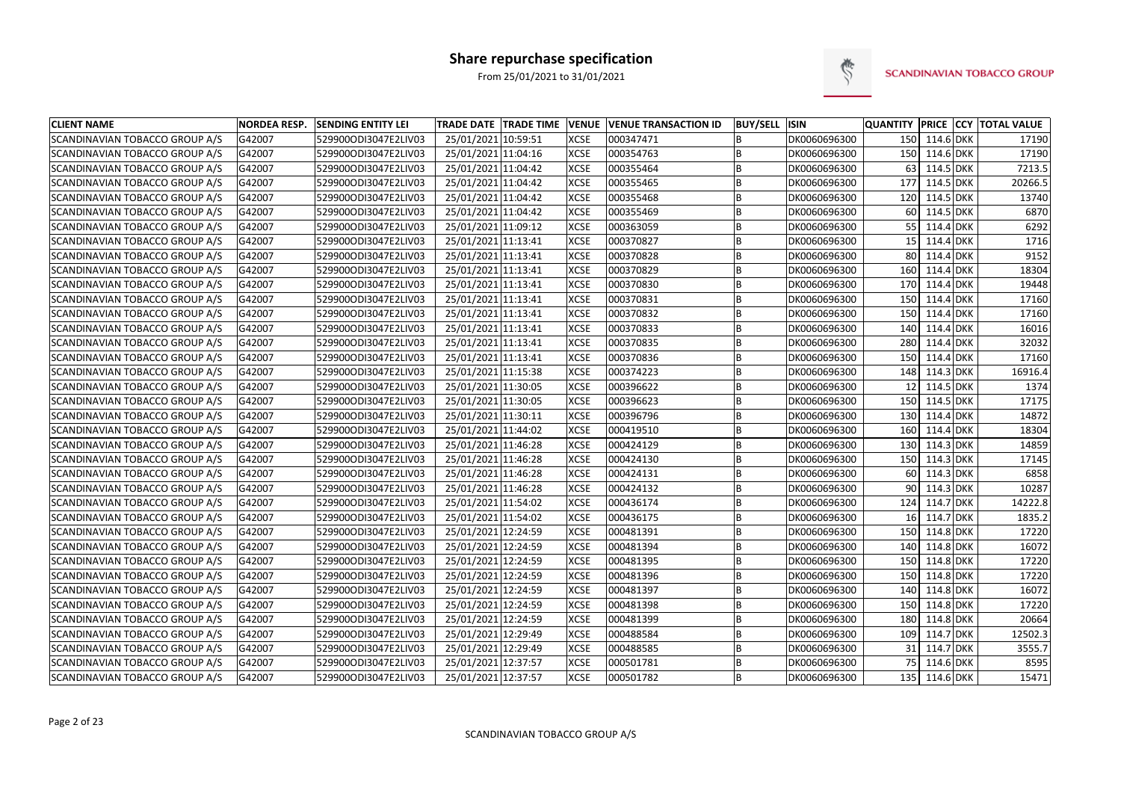

| <b>CLIENT NAME</b>                    | <b>NORDEA RESP.</b> | <b>SENDING ENTITY LEI</b> | TRADE DATE TRADE TIME VENUE |             | <b>VENUE TRANSACTION ID</b> | <b>BUY/SELL ISIN</b> |              | <b>QUANTITY</b> |               | <b>PRICE CCY TOTAL VALUE</b> |
|---------------------------------------|---------------------|---------------------------|-----------------------------|-------------|-----------------------------|----------------------|--------------|-----------------|---------------|------------------------------|
| SCANDINAVIAN TOBACCO GROUP A/S        | G42007              | 529900ODI3047E2LIV03      | 25/01/2021 10:59:51         | <b>XCSE</b> | 000347471                   | B                    | DK0060696300 |                 | 150 114.6 DKK | 17190                        |
| SCANDINAVIAN TOBACCO GROUP A/S        | G42007              | 529900ODI3047E2LIV03      | 25/01/2021 11:04:16         | <b>XCSE</b> | 000354763                   | B                    | DK0060696300 | 150             | 114.6 DKK     | 17190                        |
| SCANDINAVIAN TOBACCO GROUP A/S        | G42007              | 529900ODI3047E2LIV03      | 25/01/2021 11:04:42         | <b>XCSE</b> | 000355464                   | B                    | DK0060696300 | 63              | 114.5 DKK     | 7213.5                       |
| SCANDINAVIAN TOBACCO GROUP A/S        | G42007              | 529900ODI3047E2LIV03      | 25/01/2021 11:04:42         | <b>XCSE</b> | 000355465                   | B                    | DK0060696300 | 177             | 114.5 DKK     | 20266.5                      |
| SCANDINAVIAN TOBACCO GROUP A/S        | G42007              | 529900ODI3047E2LIV03      | 25/01/2021 11:04:42         | <b>XCSE</b> | 000355468                   | B                    | DK0060696300 | 120             | 114.5 DKK     | 13740                        |
| SCANDINAVIAN TOBACCO GROUP A/S        | G42007              | 529900ODI3047E2LIV03      | 25/01/2021 11:04:42         | <b>XCSE</b> | 000355469                   | B                    | DK0060696300 | 60              | 114.5 DKK     | 6870                         |
| SCANDINAVIAN TOBACCO GROUP A/S        | G42007              | 529900ODI3047E2LIV03      | 25/01/2021 11:09:12         | <b>XCSE</b> | 000363059                   | B                    | DK0060696300 | 55              | 114.4 DKK     | 6292                         |
| SCANDINAVIAN TOBACCO GROUP A/S        | G42007              | 529900ODI3047E2LIV03      | 25/01/2021 11:13:41         | <b>XCSE</b> | 000370827                   | B                    | DK0060696300 | 15              | 114.4 DKK     | 1716                         |
| SCANDINAVIAN TOBACCO GROUP A/S        | G42007              | 529900ODI3047E2LIV03      | 25/01/2021 11:13:41         | <b>XCSE</b> | 000370828                   | B                    | DK0060696300 | 80              | 114.4 DKK     | 9152                         |
| SCANDINAVIAN TOBACCO GROUP A/S        | G42007              | 529900ODI3047E2LIV03      | 25/01/2021 11:13:41         | <b>XCSE</b> | 000370829                   | B                    | DK0060696300 | 160             | 114.4 DKK     | 18304                        |
| SCANDINAVIAN TOBACCO GROUP A/S        | G42007              | 529900ODI3047E2LIV03      | 25/01/2021 11:13:41         | <b>XCSE</b> | 000370830                   | B                    | DK0060696300 | 170             | 114.4 DKK     | 19448                        |
| SCANDINAVIAN TOBACCO GROUP A/S        | G42007              | 529900ODI3047E2LIV03      | 25/01/2021 11:13:41         | <b>XCSE</b> | 000370831                   | B                    | DK0060696300 | 150             | 114.4 DKK     | 17160                        |
| SCANDINAVIAN TOBACCO GROUP A/S        | G42007              | 529900ODI3047E2LIV03      | 25/01/2021 11:13:41         | <b>XCSE</b> | 000370832                   | B                    | DK0060696300 | 150             | 114.4 DKK     | 17160                        |
| SCANDINAVIAN TOBACCO GROUP A/S        | G42007              | 529900ODI3047E2LIV03      | 25/01/2021 11:13:41         | <b>XCSE</b> | 000370833                   | B                    | DK0060696300 | 140             | 114.4 DKK     | 16016                        |
| SCANDINAVIAN TOBACCO GROUP A/S        | G42007              | 529900ODI3047E2LIV03      | 25/01/2021 11:13:41         | <b>XCSE</b> | 000370835                   | B                    | DK0060696300 | 280             | 114.4 DKK     | 32032                        |
| SCANDINAVIAN TOBACCO GROUP A/S        | G42007              | 529900ODI3047E2LIV03      | 25/01/2021 11:13:41         | <b>XCSE</b> | 000370836                   | B                    | DK0060696300 | 150             | 114.4 DKK     | 17160                        |
| SCANDINAVIAN TOBACCO GROUP A/S        | G42007              | 529900ODI3047E2LIV03      | 25/01/2021 11:15:38         | <b>XCSE</b> | 000374223                   | B                    | DK0060696300 | 148             | 114.3 DKK     | 16916.4                      |
| SCANDINAVIAN TOBACCO GROUP A/S        | G42007              | 529900ODI3047E2LIV03      | 25/01/2021 11:30:05         | <b>XCSE</b> | 000396622                   | B                    | DK0060696300 | 12              | 114.5 DKK     | 1374                         |
| SCANDINAVIAN TOBACCO GROUP A/S        | G42007              | 529900ODI3047E2LIV03      | 25/01/2021 11:30:05         | <b>XCSE</b> | 000396623                   | B                    | DK0060696300 | 150             | 114.5 DKK     | 17175                        |
| SCANDINAVIAN TOBACCO GROUP A/S        | G42007              | 529900ODI3047E2LIV03      | 25/01/2021 11:30:11         | <b>XCSE</b> | 000396796                   | B                    | DK0060696300 | 130             | 114.4 DKK     | 14872                        |
| SCANDINAVIAN TOBACCO GROUP A/S        | G42007              | 529900ODI3047E2LIV03      | 25/01/2021 11:44:02         | <b>XCSE</b> | 000419510                   | B                    | DK0060696300 | 160             | 114.4 DKK     | 18304                        |
| SCANDINAVIAN TOBACCO GROUP A/S        | G42007              | 529900ODI3047E2LIV03      | 25/01/2021 11:46:28         | <b>XCSE</b> | 000424129                   | B                    | DK0060696300 | 130             | 114.3 DKK     | 14859                        |
| SCANDINAVIAN TOBACCO GROUP A/S        | G42007              | 529900ODI3047E2LIV03      | 25/01/2021 11:46:28         | <b>XCSE</b> | 000424130                   | B                    | DK0060696300 | 150             | 114.3 DKK     | 17145                        |
| <b>SCANDINAVIAN TOBACCO GROUP A/S</b> | G42007              | 529900ODI3047E2LIV03      | 25/01/2021 11:46:28         | <b>XCSE</b> | 000424131                   | B                    | DK0060696300 | 60              | 114.3 DKK     | 6858                         |
| SCANDINAVIAN TOBACCO GROUP A/S        | G42007              | 529900ODI3047E2LIV03      | 25/01/2021 11:46:28         | <b>XCSE</b> | 000424132                   | B                    | DK0060696300 | 90              | $114.3$ DKK   | 10287                        |
| <b>SCANDINAVIAN TOBACCO GROUP A/S</b> | G42007              | 529900ODI3047E2LIV03      | 25/01/2021 11:54:02         | <b>XCSE</b> | 000436174                   | B                    | DK0060696300 |                 | 124 114.7 DKK | 14222.8                      |
| <b>SCANDINAVIAN TOBACCO GROUP A/S</b> | G42007              | 529900ODI3047E2LIV03      | 25/01/2021 11:54:02         | <b>XCSE</b> | 000436175                   | B                    | DK0060696300 | 16              | 114.7 DKK     | 1835.2                       |
| <b>SCANDINAVIAN TOBACCO GROUP A/S</b> | G42007              | 529900ODI3047E2LIV03      | 25/01/2021 12:24:59         | <b>XCSE</b> | 000481391                   | B                    | DK0060696300 | 150             | 114.8 DKK     | 17220                        |
| <b>SCANDINAVIAN TOBACCO GROUP A/S</b> | G42007              | 529900ODI3047E2LIV03      | 25/01/2021 12:24:59         | <b>XCSE</b> | 000481394                   | B                    | DK0060696300 | 140             | 114.8 DKK     | 16072                        |
| SCANDINAVIAN TOBACCO GROUP A/S        | G42007              | 529900ODI3047E2LIV03      | 25/01/2021 12:24:59         | <b>XCSE</b> | 000481395                   | B                    | DK0060696300 | 150             | 114.8 DKK     | 17220                        |
| <b>SCANDINAVIAN TOBACCO GROUP A/S</b> | G42007              | 529900ODI3047E2LIV03      | 25/01/2021 12:24:59         | <b>XCSE</b> | 000481396                   | B                    | DK0060696300 | 150             | 114.8 DKK     | 17220                        |
| SCANDINAVIAN TOBACCO GROUP A/S        | G42007              | 529900ODI3047E2LIV03      | 25/01/2021 12:24:59         | <b>XCSE</b> | 000481397                   | B                    | DK0060696300 | 140             | 114.8 DKK     | 16072                        |
| SCANDINAVIAN TOBACCO GROUP A/S        | G42007              | 529900ODI3047E2LIV03      | 25/01/2021 12:24:59         | <b>XCSE</b> | 000481398                   | B                    | DK0060696300 | 150             | 114.8 DKK     | 17220                        |
| SCANDINAVIAN TOBACCO GROUP A/S        | G42007              | 529900ODI3047E2LIV03      | 25/01/2021 12:24:59         | <b>XCSE</b> | 000481399                   | B                    | DK0060696300 | 180             | 114.8 DKK     | 20664                        |
| SCANDINAVIAN TOBACCO GROUP A/S        | G42007              | 529900ODI3047E2LIV03      | 25/01/2021 12:29:49         | <b>XCSE</b> | 000488584                   | B                    | DK0060696300 | 109             | 114.7 DKK     | 12502.3                      |
| <b>SCANDINAVIAN TOBACCO GROUP A/S</b> | G42007              | 529900ODI3047E2LIV03      | 25/01/2021 12:29:49         | <b>XCSE</b> | 000488585                   | B                    | DK0060696300 | 31 <sup>1</sup> | 114.7 DKK     | 3555.7                       |
| SCANDINAVIAN TOBACCO GROUP A/S        | G42007              | 529900ODI3047E2LIV03      | 25/01/2021 12:37:57         | <b>XCSE</b> | 000501781                   | B                    | DK0060696300 | 75              | 114.6 DKK     | 8595                         |
| SCANDINAVIAN TOBACCO GROUP A/S        | G42007              | 529900ODI3047E2LIV03      | 25/01/2021 12:37:57         | <b>XCSE</b> | 000501782                   | B                    | DK0060696300 |                 | 135 114.6 DKK | 15471                        |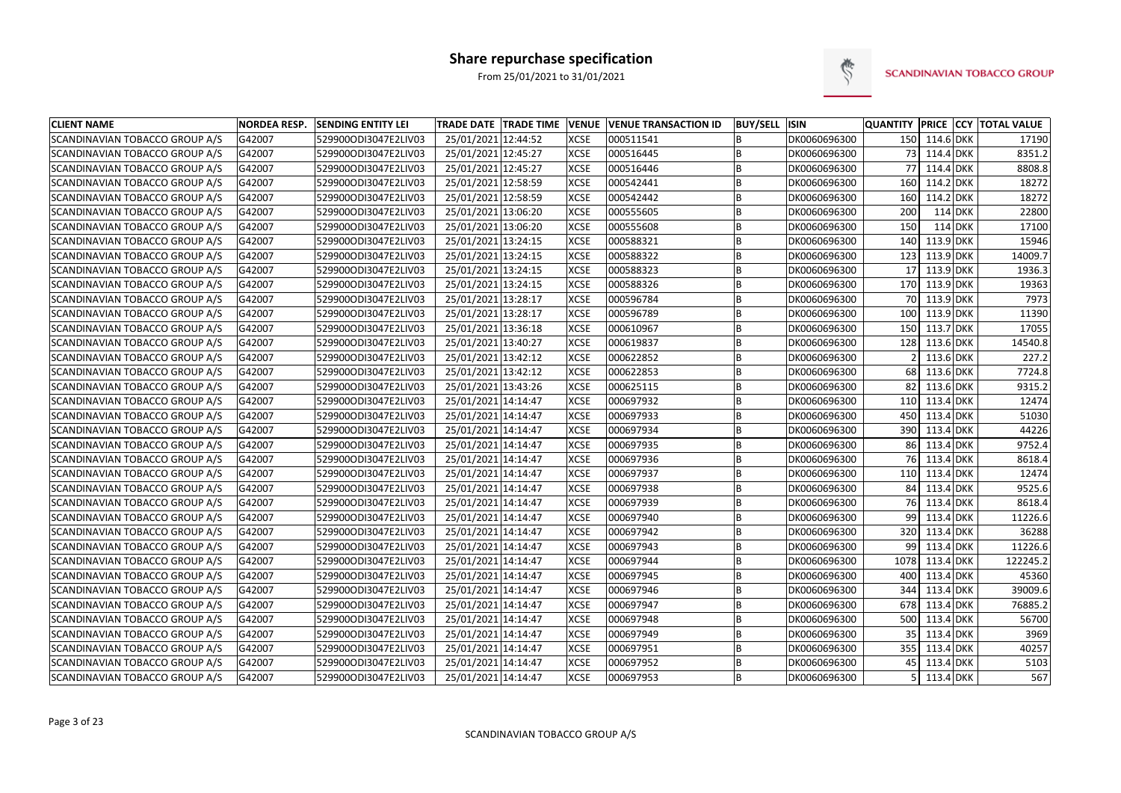

| <b>CLIENT NAME</b>                    | <b>NORDEA RESP.</b> | <b>SENDING ENTITY LEI</b> | <b>TRADE DATE TRADE TIME</b> | <b>VENUE</b> | <b>VENUE TRANSACTION ID</b> | <b>BUY/SELL ISIN</b> |              |      |               |           | <b>QUANTITY PRICE CCY TOTAL VALUE</b> |
|---------------------------------------|---------------------|---------------------------|------------------------------|--------------|-----------------------------|----------------------|--------------|------|---------------|-----------|---------------------------------------|
| <b>SCANDINAVIAN TOBACCO GROUP A/S</b> | G42007              | 529900ODI3047E2LIV03      | 25/01/2021 12:44:52          | <b>XCSE</b>  | 000511541                   | B                    | DK0060696300 |      | 150 114.6 DKK |           | 17190                                 |
| SCANDINAVIAN TOBACCO GROUP A/S        | G42007              | 529900ODI3047E2LIV03      | 25/01/2021 12:45:27          | <b>XCSE</b>  | 000516445                   | B                    | DK0060696300 |      | 73 114.4 DKK  |           | 8351.2                                |
| <b>SCANDINAVIAN TOBACCO GROUP A/S</b> | G42007              | 529900ODI3047E2LIV03      | 25/01/2021 12:45:27          | <b>XCSE</b>  | 000516446                   | B                    | DK0060696300 | 77   | 114.4 DKK     |           | 8808.8                                |
| <b>SCANDINAVIAN TOBACCO GROUP A/S</b> | G42007              | 529900ODI3047E2LIV03      | 25/01/2021 12:58:59          | <b>XCSE</b>  | 000542441                   | B                    | DK0060696300 | 160  | 114.2 DKK     |           | 18272                                 |
| <b>SCANDINAVIAN TOBACCO GROUP A/S</b> | G42007              | 529900ODI3047E2LIV03      | 25/01/2021 12:58:59          | <b>XCSE</b>  | 000542442                   | B                    | DK0060696300 | 160  | 114.2 DKK     |           | 18272                                 |
| SCANDINAVIAN TOBACCO GROUP A/S        | G42007              | 529900ODI3047E2LIV03      | 25/01/2021 13:06:20          | <b>XCSE</b>  | 000555605                   | B                    | DK0060696300 | 200  |               | 114 DKK   | 22800                                 |
| <b>SCANDINAVIAN TOBACCO GROUP A/S</b> | G42007              | 529900ODI3047E2LIV03      | 25/01/2021 13:06:20          | <b>XCSE</b>  | 000555608                   | B                    | DK0060696300 | 150  |               | $114$ DKK | 17100                                 |
| <b>SCANDINAVIAN TOBACCO GROUP A/S</b> | G42007              | 529900ODI3047E2LIV03      | 25/01/2021 13:24:15          | <b>XCSE</b>  | 000588321                   | B                    | DK0060696300 | 140  | 113.9 DKK     |           | 15946                                 |
| SCANDINAVIAN TOBACCO GROUP A/S        | G42007              | 529900ODI3047E2LIV03      | 25/01/2021 13:24:15          | <b>XCSE</b>  | 000588322                   | B                    | DK0060696300 | 123  | 113.9 DKK     |           | 14009.7                               |
| SCANDINAVIAN TOBACCO GROUP A/S        | G42007              | 529900ODI3047E2LIV03      | 25/01/2021 13:24:15          | <b>XCSE</b>  | 000588323                   | B                    | DK0060696300 | 17   | 113.9 DKK     |           | 1936.3                                |
| SCANDINAVIAN TOBACCO GROUP A/S        | G42007              | 529900ODI3047E2LIV03      | 25/01/2021 13:24:15          | <b>XCSE</b>  | 000588326                   | B                    | DK0060696300 | 170  | 113.9 DKK     |           | 19363                                 |
| <b>SCANDINAVIAN TOBACCO GROUP A/S</b> | G42007              | 529900ODI3047E2LIV03      | 25/01/2021 13:28:17          | <b>XCSE</b>  | 000596784                   | B                    | DK0060696300 | 70   | 113.9 DKK     |           | 7973                                  |
| SCANDINAVIAN TOBACCO GROUP A/S        | G42007              | 529900ODI3047E2LIV03      | 25/01/2021 13:28:17          | <b>XCSE</b>  | 000596789                   | B                    | DK0060696300 | 100  | 113.9 DKK     |           | 11390                                 |
| <b>SCANDINAVIAN TOBACCO GROUP A/S</b> | G42007              | 529900ODI3047E2LIV03      | 25/01/2021 13:36:18          | <b>XCSE</b>  | 000610967                   | <b>B</b>             | DK0060696300 | 150  | 113.7 DKK     |           | 17055                                 |
| SCANDINAVIAN TOBACCO GROUP A/S        | G42007              | 529900ODI3047E2LIV03      | 25/01/2021 13:40:27          | <b>XCSE</b>  | 000619837                   | B                    | DK0060696300 | 128  | 113.6 DKK     |           | 14540.8                               |
| <b>SCANDINAVIAN TOBACCO GROUP A/S</b> | G42007              | 529900ODI3047E2LIV03      | 25/01/2021 13:42:12          | <b>XCSE</b>  | 000622852                   | B                    | DK0060696300 |      | 113.6 DKK     |           | 227.2                                 |
| <b>SCANDINAVIAN TOBACCO GROUP A/S</b> | G42007              | 529900ODI3047E2LIV03      | 25/01/2021 13:42:12          | <b>XCSE</b>  | 000622853                   | B                    | DK0060696300 | 68   | 113.6 DKK     |           | 7724.8                                |
| SCANDINAVIAN TOBACCO GROUP A/S        | G42007              | 529900ODI3047E2LIV03      | 25/01/2021 13:43:26          | <b>XCSE</b>  | 000625115                   | B                    | DK0060696300 | 82   | 113.6 DKK     |           | 9315.2                                |
| SCANDINAVIAN TOBACCO GROUP A/S        | G42007              | 529900ODI3047E2LIV03      | 25/01/2021 14:14:47          | <b>XCSE</b>  | 000697932                   | B                    | DK0060696300 | 110  | 113.4 DKK     |           | 12474                                 |
| SCANDINAVIAN TOBACCO GROUP A/S        | G42007              | 529900ODI3047E2LIV03      | 25/01/2021 14:14:47          | <b>XCSE</b>  | 000697933                   | B                    | DK0060696300 | 450  | 113.4 DKK     |           | 51030                                 |
| SCANDINAVIAN TOBACCO GROUP A/S        | G42007              | 529900ODI3047E2LIV03      | 25/01/2021 14:14:47          | <b>XCSE</b>  | 000697934                   | B                    | DK0060696300 | 390  | 113.4 DKK     |           | 44226                                 |
| SCANDINAVIAN TOBACCO GROUP A/S        | G42007              | 529900ODI3047E2LIV03      | 25/01/2021 14:14:47          | <b>XCSE</b>  | 000697935                   | B                    | DK0060696300 | 86   | 113.4 DKK     |           | 9752.4                                |
| SCANDINAVIAN TOBACCO GROUP A/S        | G42007              | 529900ODI3047E2LIV03      | 25/01/2021 14:14:47          | <b>XCSE</b>  | 000697936                   | B                    | DK0060696300 | 76   | 113.4 DKK     |           | 8618.4                                |
| SCANDINAVIAN TOBACCO GROUP A/S        | G42007              | 529900ODI3047E2LIV03      | 25/01/2021 14:14:47          | <b>XCSE</b>  | 000697937                   | B                    | DK0060696300 |      | 110 113.4 DKK |           | 12474                                 |
| SCANDINAVIAN TOBACCO GROUP A/S        | G42007              | 529900ODI3047E2LIV03      | 25/01/2021 14:14:47          | <b>XCSE</b>  | 000697938                   | B                    | DK0060696300 |      | 84 113.4 DKK  |           | 9525.6                                |
| SCANDINAVIAN TOBACCO GROUP A/S        | G42007              | 529900ODI3047E2LIV03      | 25/01/2021 14:14:47          | <b>XCSE</b>  | 000697939                   | <b>B</b>             | DK0060696300 |      | 76 113.4 DKK  |           | 8618.4                                |
| SCANDINAVIAN TOBACCO GROUP A/S        | G42007              | 529900ODI3047E2LIV03      | 25/01/2021 14:14:47          | <b>XCSE</b>  | 000697940                   | B                    | DK0060696300 | 99   | 113.4 DKK     |           | 11226.6                               |
| SCANDINAVIAN TOBACCO GROUP A/S        | G42007              | 529900ODI3047E2LIV03      | 25/01/2021 14:14:47          | <b>XCSE</b>  | 000697942                   | B                    | DK0060696300 | 320  | 113.4 DKK     |           | 36288                                 |
| SCANDINAVIAN TOBACCO GROUP A/S        | G42007              | 529900ODI3047E2LIV03      | 25/01/2021 14:14:47          | <b>XCSE</b>  | 000697943                   | B                    | DK0060696300 | 99   | 113.4 DKK     |           | 11226.6                               |
| SCANDINAVIAN TOBACCO GROUP A/S        | G42007              | 529900ODI3047E2LIV03      | 25/01/2021 14:14:47          | <b>XCSE</b>  | 000697944                   | B                    | DK0060696300 | 1078 | 113.4 DKK     |           | 122245.2                              |
| SCANDINAVIAN TOBACCO GROUP A/S        | G42007              | 529900ODI3047E2LIV03      | 25/01/2021 14:14:47          | <b>XCSE</b>  | 000697945                   | B                    | DK0060696300 | 400  | 113.4 DKK     |           | 45360                                 |
| SCANDINAVIAN TOBACCO GROUP A/S        | G42007              | 529900ODI3047E2LIV03      | 25/01/2021 14:14:47          | <b>XCSE</b>  | 000697946                   | B                    | DK0060696300 | 344  | 113.4 DKK     |           | 39009.6                               |
| SCANDINAVIAN TOBACCO GROUP A/S        | G42007              | 529900ODI3047E2LIV03      | 25/01/2021 14:14:47          | <b>XCSE</b>  | 000697947                   | B                    | DK0060696300 | 678  | 113.4 DKK     |           | 76885.2                               |
| SCANDINAVIAN TOBACCO GROUP A/S        | G42007              | 529900ODI3047E2LIV03      | 25/01/2021 14:14:47          | <b>XCSE</b>  | 000697948                   | B                    | DK0060696300 | 500  | 113.4 DKK     |           | 56700                                 |
| SCANDINAVIAN TOBACCO GROUP A/S        | G42007              | 529900ODI3047E2LIV03      | 25/01/2021 14:14:47          | <b>XCSE</b>  | 000697949                   | B                    | DK0060696300 | 35   | 113.4 DKK     |           | 3969                                  |
| SCANDINAVIAN TOBACCO GROUP A/S        | G42007              | 529900ODI3047E2LIV03      | 25/01/2021 14:14:47          | <b>XCSE</b>  | 000697951                   | B                    | DK0060696300 |      | 355 113.4 DKK |           | 40257                                 |
| SCANDINAVIAN TOBACCO GROUP A/S        | G42007              | 529900ODI3047E2LIV03      | 25/01/2021 14:14:47          | <b>XCSE</b>  | 000697952                   | B                    | DK0060696300 | 45   | 113.4 DKK     |           | 5103                                  |
| SCANDINAVIAN TOBACCO GROUP A/S        | G42007              | 529900ODI3047E2LIV03      | 25/01/2021 14:14:47          | <b>XCSE</b>  | 000697953                   | B                    | DK0060696300 |      | 113.4 DKK     |           | 567                                   |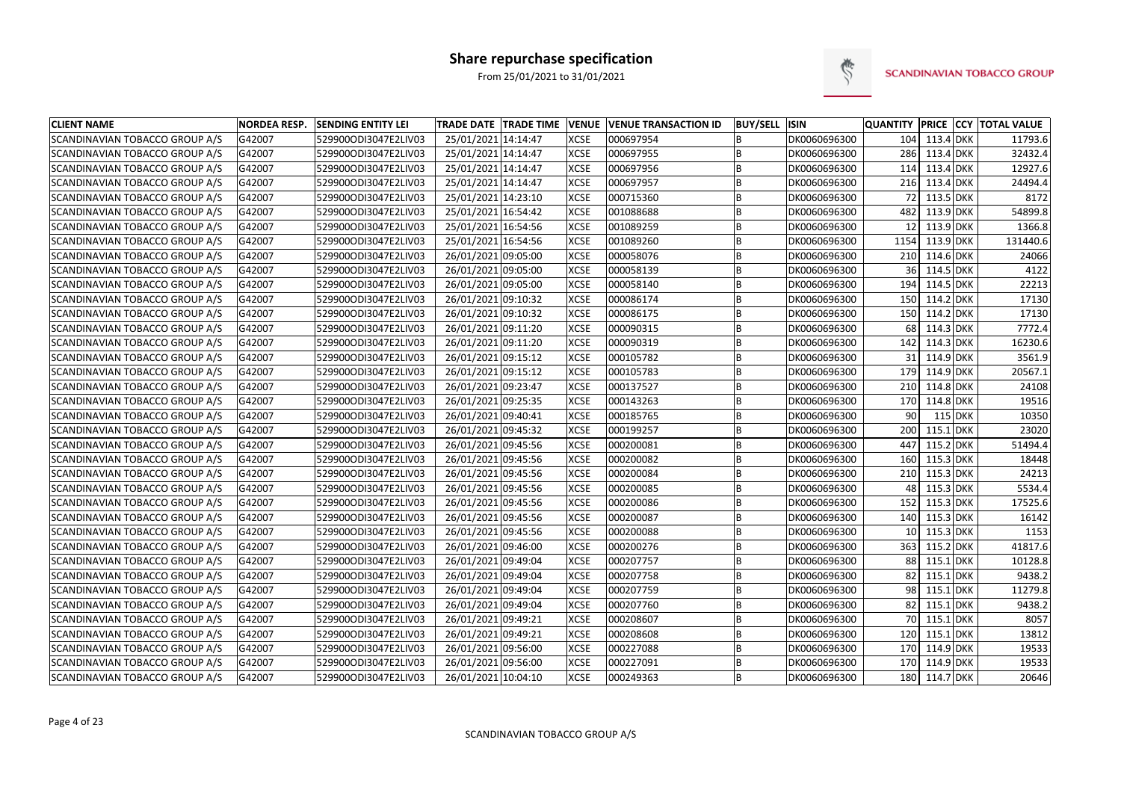

| <b>CLIENT NAME</b>                    | <b>NORDEA RESP.</b> | <b>SENDING ENTITY LEI</b> | <b>TRADE DATE TRADE TIME</b> | <b>VENUE</b> | <b>VENUE TRANSACTION ID</b> | <b>BUY/SELL</b> | <b>ISIN</b>  |                 |               |     | QUANTITY PRICE CCY TOTAL VALUE |
|---------------------------------------|---------------------|---------------------------|------------------------------|--------------|-----------------------------|-----------------|--------------|-----------------|---------------|-----|--------------------------------|
| SCANDINAVIAN TOBACCO GROUP A/S        | G42007              | 529900ODI3047E2LIV03      | 25/01/2021 14:14:47          | <b>XCSE</b>  | 000697954                   | B               | DK0060696300 | 104             | 113.4 DKK     |     | 11793.6                        |
| SCANDINAVIAN TOBACCO GROUP A/S        | G42007              | 529900ODI3047E2LIV03      | 25/01/2021 14:14:47          | <b>XCSE</b>  | 000697955                   | B               | DK0060696300 | 286             | 113.4 DKK     |     | 32432.4                        |
| SCANDINAVIAN TOBACCO GROUP A/S        | G42007              | 529900ODI3047E2LIV03      | 25/01/2021 14:14:47          | <b>XCSE</b>  | 000697956                   | B               | DK0060696300 | 114             | 113.4 DKK     |     | 12927.6                        |
| <b>SCANDINAVIAN TOBACCO GROUP A/S</b> | G42007              | 529900ODI3047E2LIV03      | 25/01/2021 14:14:47          | <b>XCSE</b>  | 000697957                   | B               | DK0060696300 | 216             | 113.4 DKK     |     | 24494.4                        |
| SCANDINAVIAN TOBACCO GROUP A/S        | G42007              | 529900ODI3047E2LIV03      | 25/01/2021 14:23:10          | <b>XCSE</b>  | 000715360                   | B               | DK0060696300 | 72              | 113.5 DKK     |     | 8172                           |
| SCANDINAVIAN TOBACCO GROUP A/S        | G42007              | 529900ODI3047E2LIV03      | 25/01/2021 16:54:42          | <b>XCSE</b>  | 001088688                   | B               | DK0060696300 | 482             | 113.9 DKK     |     | 54899.8                        |
| SCANDINAVIAN TOBACCO GROUP A/S        | G42007              | 529900ODI3047E2LIV03      | 25/01/2021 16:54:56          | <b>XCSE</b>  | 001089259                   | B               | DK0060696300 | 12              | 113.9 DKK     |     | 1366.8                         |
| SCANDINAVIAN TOBACCO GROUP A/S        | G42007              | 529900ODI3047E2LIV03      | 25/01/2021 16:54:56          | <b>XCSE</b>  | 001089260                   | B               | DK0060696300 | 1154            | 113.9 DKK     |     | 131440.6                       |
| SCANDINAVIAN TOBACCO GROUP A/S        | G42007              | 529900ODI3047E2LIV03      | 26/01/2021 09:05:00          | <b>XCSE</b>  | 000058076                   | B               | DK0060696300 | 210             | 114.6 DKK     |     | 24066                          |
| SCANDINAVIAN TOBACCO GROUP A/S        | G42007              | 529900ODI3047E2LIV03      | 26/01/2021 09:05:00          | <b>XCSE</b>  | 000058139                   | B               | DK0060696300 | 36              | 114.5 DKK     |     | 4122                           |
| SCANDINAVIAN TOBACCO GROUP A/S        | G42007              | 529900ODI3047E2LIV03      | 26/01/2021 09:05:00          | <b>XCSE</b>  | 000058140                   | B               | DK0060696300 | 194             | 114.5 DKK     |     | 22213                          |
| SCANDINAVIAN TOBACCO GROUP A/S        | G42007              | 529900ODI3047E2LIV03      | 26/01/2021 09:10:32          | <b>XCSE</b>  | 000086174                   | B               | DK0060696300 | 150             | 114.2 DKK     |     | 17130                          |
| SCANDINAVIAN TOBACCO GROUP A/S        | G42007              | 529900ODI3047E2LIV03      | 26/01/2021 09:10:32          | <b>XCSE</b>  | 000086175                   | B               | DK0060696300 | 150             | 114.2 DKK     |     | 17130                          |
| SCANDINAVIAN TOBACCO GROUP A/S        | G42007              | 529900ODI3047E2LIV03      | 26/01/2021 09:11:20          | <b>XCSE</b>  | 000090315                   | B               | DK0060696300 | 68              | 114.3 DKK     |     | 7772.4                         |
| SCANDINAVIAN TOBACCO GROUP A/S        | G42007              | 529900ODI3047E2LIV03      | 26/01/2021 09:11:20          | <b>XCSE</b>  | 000090319                   | B               | DK0060696300 | 142             | 114.3 DKK     |     | 16230.6                        |
| SCANDINAVIAN TOBACCO GROUP A/S        | G42007              | 529900ODI3047E2LIV03      | 26/01/2021 09:15:12          | <b>XCSE</b>  | 000105782                   | B               | DK0060696300 | 31              | 114.9 DKK     |     | 3561.9                         |
| SCANDINAVIAN TOBACCO GROUP A/S        | G42007              | 529900ODI3047E2LIV03      | 26/01/2021 09:15:12          | <b>XCSE</b>  | 000105783                   | B               | DK0060696300 | 179             | 114.9 DKK     |     | 20567.1                        |
| SCANDINAVIAN TOBACCO GROUP A/S        | G42007              | 529900ODI3047E2LIV03      | 26/01/2021 09:23:47          | <b>XCSE</b>  | 000137527                   | B               | DK0060696300 | 210             | 114.8 DKK     |     | 24108                          |
| SCANDINAVIAN TOBACCO GROUP A/S        | G42007              | 529900ODI3047E2LIV03      | 26/01/2021 09:25:35          | <b>XCSE</b>  | 000143263                   | B               | DK0060696300 | 170             | 114.8 DKK     |     | 19516                          |
| SCANDINAVIAN TOBACCO GROUP A/S        | G42007              | 529900ODI3047E2LIV03      | 26/01/2021 09:40:41          | <b>XCSE</b>  | 000185765                   | B               | DK0060696300 | 90              | 115 DKK       |     | 10350                          |
| SCANDINAVIAN TOBACCO GROUP A/S        | G42007              | 529900ODI3047E2LIV03      | 26/01/2021 09:45:32          | <b>XCSE</b>  | 000199257                   | B               | DK0060696300 | 200             | 115.1 DKK     |     | 23020                          |
| SCANDINAVIAN TOBACCO GROUP A/S        | G42007              | 529900ODI3047E2LIV03      | 26/01/2021 09:45:56          | <b>XCSE</b>  | 000200081                   | B               | DK0060696300 | 447             | 115.2 DKK     |     | 51494.4                        |
| SCANDINAVIAN TOBACCO GROUP A/S        | G42007              | 529900ODI3047E2LIV03      | 26/01/2021 09:45:56          | <b>XCSE</b>  | 000200082                   | B               | DK0060696300 | 160             | 115.3 DKK     |     | 18448                          |
| SCANDINAVIAN TOBACCO GROUP A/S        | G42007              | 529900ODI3047E2LIV03      | 26/01/2021 09:45:56          | <b>XCSE</b>  | 000200084                   | B               | DK0060696300 | 210             | 115.3 DKK     |     | 24213                          |
| SCANDINAVIAN TOBACCO GROUP A/S        | G42007              | 529900ODI3047E2LIV03      | 26/01/2021 09:45:56          | <b>XCSE</b>  | 000200085                   | B               | DK0060696300 | 48              | 115.3 DKK     |     | 5534.4                         |
| <b>SCANDINAVIAN TOBACCO GROUP A/S</b> | G42007              | 529900ODI3047E2LIV03      | 26/01/2021 09:45:56          | <b>XCSE</b>  | 000200086                   | B               | DK0060696300 | 152             | 115.3 DKK     |     | 17525.6                        |
| SCANDINAVIAN TOBACCO GROUP A/S        | G42007              | 529900ODI3047E2LIV03      | 26/01/2021 09:45:56          | <b>XCSE</b>  | 000200087                   | B               | DK0060696300 | 140             | 115.3 DKK     |     | 16142                          |
| SCANDINAVIAN TOBACCO GROUP A/S        | G42007              | 529900ODI3047E2LIV03      | 26/01/2021 09:45:56          | <b>XCSE</b>  | 000200088                   | B               | DK0060696300 | 10 <sup>1</sup> | 115.3 DKK     |     | 1153                           |
| SCANDINAVIAN TOBACCO GROUP A/S        | G42007              | 529900ODI3047E2LIV03      | 26/01/2021 09:46:00          | <b>XCSE</b>  | 000200276                   | B               | DK0060696300 | 363             | 115.2 DKK     |     | 41817.6                        |
| SCANDINAVIAN TOBACCO GROUP A/S        | G42007              | 529900ODI3047E2LIV03      | 26/01/2021 09:49:04          | <b>XCSE</b>  | 000207757                   | B               | DK0060696300 | 88              | 115.1 DKK     |     | 10128.8                        |
| SCANDINAVIAN TOBACCO GROUP A/S        | G42007              | 529900ODI3047E2LIV03      | 26/01/2021 09:49:04          | <b>XCSE</b>  | 000207758                   | B               | DK0060696300 | 82              | 115.1         | DKK | 9438.2                         |
| SCANDINAVIAN TOBACCO GROUP A/S        | G42007              | 529900ODI3047E2LIV03      | 26/01/2021 09:49:04          | <b>XCSE</b>  | 000207759                   | B               | DK0060696300 | 98 <sup>1</sup> | 115.1 DKK     |     | 11279.8                        |
| SCANDINAVIAN TOBACCO GROUP A/S        | G42007              | 529900ODI3047E2LIV03      | 26/01/2021 09:49:04          | <b>XCSE</b>  | 000207760                   | B               | DK0060696300 | 82              | 115.1 DKK     |     | 9438.2                         |
| SCANDINAVIAN TOBACCO GROUP A/S        | G42007              | 529900ODI3047E2LIV03      | 26/01/2021 09:49:21          | <b>XCSE</b>  | 000208607                   | B               | DK0060696300 | 70              | 115.1 DKK     |     | 8057                           |
| SCANDINAVIAN TOBACCO GROUP A/S        | G42007              | 529900ODI3047E2LIV03      | 26/01/2021 09:49:21          | <b>XCSE</b>  | 000208608                   | B               | DK0060696300 | 120             | 115.1 DKK     |     | 13812                          |
| SCANDINAVIAN TOBACCO GROUP A/S        | G42007              | 529900ODI3047E2LIV03      | 26/01/2021 09:56:00          | <b>XCSE</b>  | 000227088                   | B               | DK0060696300 | 170             | 114.9 DKK     |     | 19533                          |
| SCANDINAVIAN TOBACCO GROUP A/S        | G42007              | 529900ODI3047E2LIV03      | 26/01/2021 09:56:00          | <b>XCSE</b>  | 000227091                   | B               | DK0060696300 | 170             | 114.9 DKK     |     | 19533                          |
| SCANDINAVIAN TOBACCO GROUP A/S        | G42007              | 529900ODI3047E2LIV03      | 26/01/2021 10:04:10          | <b>XCSE</b>  | 000249363                   | B               | DK0060696300 |                 | 180 114.7 DKK |     | 20646                          |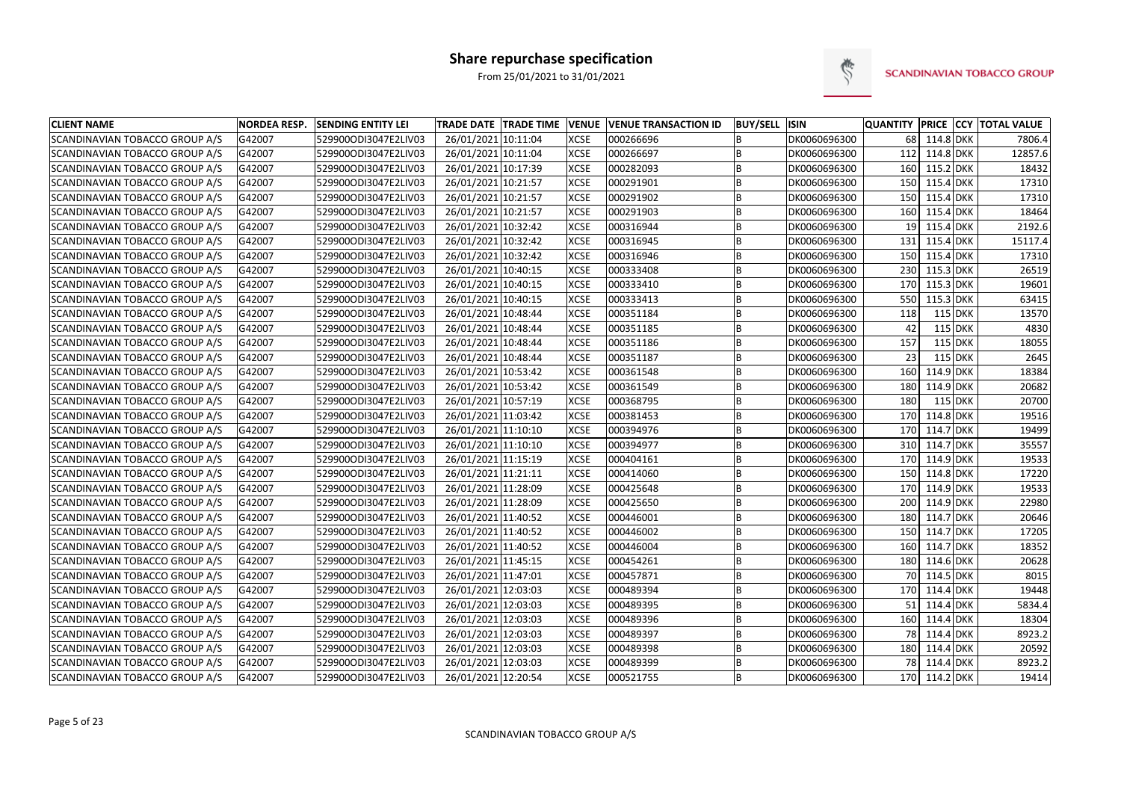

| <b>CLIENT NAME</b>                    | <b>NORDEA RESP.</b> | <b>SENDING ENTITY LEI</b> | <b>TRADE DATE TRADE TIME</b> | <b>VENUE</b> | <b>VENUE TRANSACTION ID</b> | <b>BUY/SELL ISIN</b> |              | <b>QUANTITY</b> |               |           | <b>PRICE CCY TOTAL VALUE</b> |
|---------------------------------------|---------------------|---------------------------|------------------------------|--------------|-----------------------------|----------------------|--------------|-----------------|---------------|-----------|------------------------------|
| SCANDINAVIAN TOBACCO GROUP A/S        | G42007              | 529900ODI3047E2LIV03      | 26/01/2021 10:11:04          | <b>XCSE</b>  | 000266696                   | B                    | DK0060696300 | 68              | 114.8 DKK     |           | 7806.4                       |
| <b>SCANDINAVIAN TOBACCO GROUP A/S</b> | G42007              | 529900ODI3047E2LIV03      | 26/01/2021 10:11:04          | <b>XCSE</b>  | 000266697                   | B                    | DK0060696300 | 112             | 114.8 DKK     |           | 12857.6                      |
| SCANDINAVIAN TOBACCO GROUP A/S        | G42007              | 529900ODI3047E2LIV03      | 26/01/2021 10:17:39          | <b>XCSE</b>  | 000282093                   | B                    | DK0060696300 | 160             | 115.2 DKK     |           | 18432                        |
| SCANDINAVIAN TOBACCO GROUP A/S        | G42007              | 529900ODI3047E2LIV03      | 26/01/2021 10:21:57          | <b>XCSE</b>  | 000291901                   | B                    | DK0060696300 | 150             | 115.4 DKK     |           | 17310                        |
| SCANDINAVIAN TOBACCO GROUP A/S        | G42007              | 529900ODI3047E2LIV03      | 26/01/2021 10:21:57          | <b>XCSE</b>  | 000291902                   | B                    | DK0060696300 | 150             | 115.4 DKK     |           | 17310                        |
| SCANDINAVIAN TOBACCO GROUP A/S        | G42007              | 529900ODI3047E2LIV03      | 26/01/2021 10:21:57          | <b>XCSE</b>  | 000291903                   | B                    | DK0060696300 | 160             | 115.4 DKK     |           | 18464                        |
| SCANDINAVIAN TOBACCO GROUP A/S        | G42007              | 529900ODI3047E2LIV03      | 26/01/2021 10:32:42          | <b>XCSE</b>  | 000316944                   | B                    | DK0060696300 | 19              | 115.4 DKK     |           | 2192.6                       |
| SCANDINAVIAN TOBACCO GROUP A/S        | G42007              | 529900ODI3047E2LIV03      | 26/01/2021 10:32:42          | <b>XCSE</b>  | 000316945                   | B                    | DK0060696300 | 131             | 115.4 DKK     |           | 15117.4                      |
| SCANDINAVIAN TOBACCO GROUP A/S        | G42007              | 529900ODI3047E2LIV03      | 26/01/2021 10:32:42          | <b>XCSE</b>  | 000316946                   | B                    | DK0060696300 | 150             | 115.4 DKK     |           | 17310                        |
| SCANDINAVIAN TOBACCO GROUP A/S        | G42007              | 529900ODI3047E2LIV03      | 26/01/2021 10:40:15          | <b>XCSE</b>  | 000333408                   | B                    | DK0060696300 | 230             | 115.3 DKK     |           | 26519                        |
| SCANDINAVIAN TOBACCO GROUP A/S        | G42007              | 529900ODI3047E2LIV03      | 26/01/2021 10:40:15          | <b>XCSE</b>  | 000333410                   | $\overline{B}$       | DK0060696300 | 170             | 115.3 DKK     |           | 19601                        |
| SCANDINAVIAN TOBACCO GROUP A/S        | G42007              | 529900ODI3047E2LIV03      | 26/01/2021 10:40:15          | <b>XCSE</b>  | 000333413                   | B                    | DK0060696300 | 550             | 115.3 DKK     |           | 63415                        |
| SCANDINAVIAN TOBACCO GROUP A/S        | G42007              | 529900ODI3047E2LIV03      | 26/01/2021 10:48:44          | <b>XCSE</b>  | 000351184                   | B                    | DK0060696300 | 118             |               | 115 DKK   | 13570                        |
| SCANDINAVIAN TOBACCO GROUP A/S        | G42007              | 529900ODI3047E2LIV03      | 26/01/2021 10:48:44          | <b>XCSE</b>  | 000351185                   | B                    | DK0060696300 | 42              |               | $115$ DKK | 4830                         |
| SCANDINAVIAN TOBACCO GROUP A/S        | G42007              | 529900ODI3047E2LIV03      | 26/01/2021 10:48:44          | <b>XCSE</b>  | 000351186                   | B                    | DK0060696300 | 157             |               | 115 DKK   | 18055                        |
| SCANDINAVIAN TOBACCO GROUP A/S        | G42007              | 529900ODI3047E2LIV03      | 26/01/2021 10:48:44          | <b>XCSE</b>  | 000351187                   | B                    | DK0060696300 | 23              |               | 115 DKK   | 2645                         |
| SCANDINAVIAN TOBACCO GROUP A/S        | G42007              | 529900ODI3047E2LIV03      | 26/01/2021 10:53:42          | <b>XCSE</b>  | 000361548                   | B                    | DK0060696300 | 160             | 114.9 DKK     |           | 18384                        |
| SCANDINAVIAN TOBACCO GROUP A/S        | G42007              | 529900ODI3047E2LIV03      | 26/01/2021 10:53:42          | <b>XCSE</b>  | 000361549                   | B                    | DK0060696300 | 180             | 114.9 DKK     |           | 20682                        |
| SCANDINAVIAN TOBACCO GROUP A/S        | G42007              | 529900ODI3047E2LIV03      | 26/01/2021 10:57:19          | <b>XCSE</b>  | 000368795                   | B                    | DK0060696300 | 180             |               | 115 DKK   | 20700                        |
| SCANDINAVIAN TOBACCO GROUP A/S        | G42007              | 529900ODI3047E2LIV03      | 26/01/2021 11:03:42          | <b>XCSE</b>  | 000381453                   | B                    | DK0060696300 | 170             | 114.8 DKK     |           | 19516                        |
| SCANDINAVIAN TOBACCO GROUP A/S        | G42007              | 529900ODI3047E2LIV03      | 26/01/2021 11:10:10          | <b>XCSE</b>  | 000394976                   | B                    | DK0060696300 | 170             | 114.7 DKK     |           | 19499                        |
| SCANDINAVIAN TOBACCO GROUP A/S        | G42007              | 529900ODI3047E2LIV03      | 26/01/2021 11:10:10          | <b>XCSE</b>  | 000394977                   | B                    | DK0060696300 | 310             | 114.7 DKK     |           | 35557                        |
| SCANDINAVIAN TOBACCO GROUP A/S        | G42007              | 529900ODI3047E2LIV03      | 26/01/2021 11:15:19          | <b>XCSE</b>  | 000404161                   | B                    | DK0060696300 | 170             | 114.9 DKK     |           | 19533                        |
| SCANDINAVIAN TOBACCO GROUP A/S        | G42007              | 529900ODI3047E2LIV03      | 26/01/2021 11:21:11          | <b>XCSE</b>  | 000414060                   | B                    | DK0060696300 | 150             | 114.8 DKK     |           | 17220                        |
| SCANDINAVIAN TOBACCO GROUP A/S        | G42007              | 529900ODI3047E2LIV03      | 26/01/2021 11:28:09          | <b>XCSE</b>  | 000425648                   | B                    | DK0060696300 | 170             | 114.9 DKK     |           | 19533                        |
| SCANDINAVIAN TOBACCO GROUP A/S        | G42007              | 529900ODI3047E2LIV03      | 26/01/2021 11:28:09          | <b>XCSE</b>  | 000425650                   | B                    | DK0060696300 | 200             | 114.9 DKK     |           | 22980                        |
| SCANDINAVIAN TOBACCO GROUP A/S        | G42007              | 529900ODI3047E2LIV03      | 26/01/2021 11:40:52          | <b>XCSE</b>  | 000446001                   | B                    | DK0060696300 | 180             | 114.7 DKK     |           | 20646                        |
| SCANDINAVIAN TOBACCO GROUP A/S        | G42007              | 529900ODI3047E2LIV03      | 26/01/2021 11:40:52          | <b>XCSE</b>  | 000446002                   | B                    | DK0060696300 | 150             | 114.7 DKK     |           | 17205                        |
| SCANDINAVIAN TOBACCO GROUP A/S        | G42007              | 529900ODI3047E2LIV03      | 26/01/2021 11:40:52          | <b>XCSE</b>  | 000446004                   | B                    | DK0060696300 | 160             | 114.7 DKK     |           | 18352                        |
| SCANDINAVIAN TOBACCO GROUP A/S        | G42007              | 529900ODI3047E2LIV03      | 26/01/2021 11:45:15          | <b>XCSE</b>  | 000454261                   | B                    | DK0060696300 | 180             | 114.6 DKK     |           | 20628                        |
| SCANDINAVIAN TOBACCO GROUP A/S        | G42007              | 529900ODI3047E2LIV03      | 26/01/2021 11:47:01          | <b>XCSE</b>  | 000457871                   | B                    | DK0060696300 | 70              | 114.5 DKK     |           | 8015                         |
| SCANDINAVIAN TOBACCO GROUP A/S        | G42007              | 529900ODI3047E2LIV03      | 26/01/2021 12:03:03          | <b>XCSE</b>  | 000489394                   | B                    | DK0060696300 | 170             | 114.4 DKK     |           | 19448                        |
| SCANDINAVIAN TOBACCO GROUP A/S        | G42007              | 529900ODI3047E2LIV03      | 26/01/2021 12:03:03          | <b>XCSE</b>  | 000489395                   | B                    | DK0060696300 | 51              | 114.4 DKK     |           | 5834.4                       |
| SCANDINAVIAN TOBACCO GROUP A/S        | G42007              | 529900ODI3047E2LIV03      | 26/01/2021 12:03:03          | <b>XCSE</b>  | 000489396                   | B                    | DK0060696300 | 160             | 114.4 DKK     |           | 18304                        |
| SCANDINAVIAN TOBACCO GROUP A/S        | G42007              | 529900ODI3047E2LIV03      | 26/01/2021 12:03:03          | <b>XCSE</b>  | 000489397                   | B                    | DK0060696300 | 78              | 114.4 DKK     |           | 8923.2                       |
| SCANDINAVIAN TOBACCO GROUP A/S        | G42007              | 529900ODI3047E2LIV03      | 26/01/2021 12:03:03          | <b>XCSE</b>  | 000489398                   | B                    | DK0060696300 | 180             | 114.4 DKK     |           | 20592                        |
| SCANDINAVIAN TOBACCO GROUP A/S        | G42007              | 529900ODI3047E2LIV03      | 26/01/2021 12:03:03          | <b>XCSE</b>  | 000489399                   | B                    | DK0060696300 | 78 l            | 114.4 DKK     |           | 8923.2                       |
| SCANDINAVIAN TOBACCO GROUP A/S        | G42007              | 529900ODI3047E2LIV03      | 26/01/2021 12:20:54          | <b>XCSE</b>  | 000521755                   | B                    | DK0060696300 |                 | 170 114.2 DKK |           | 19414                        |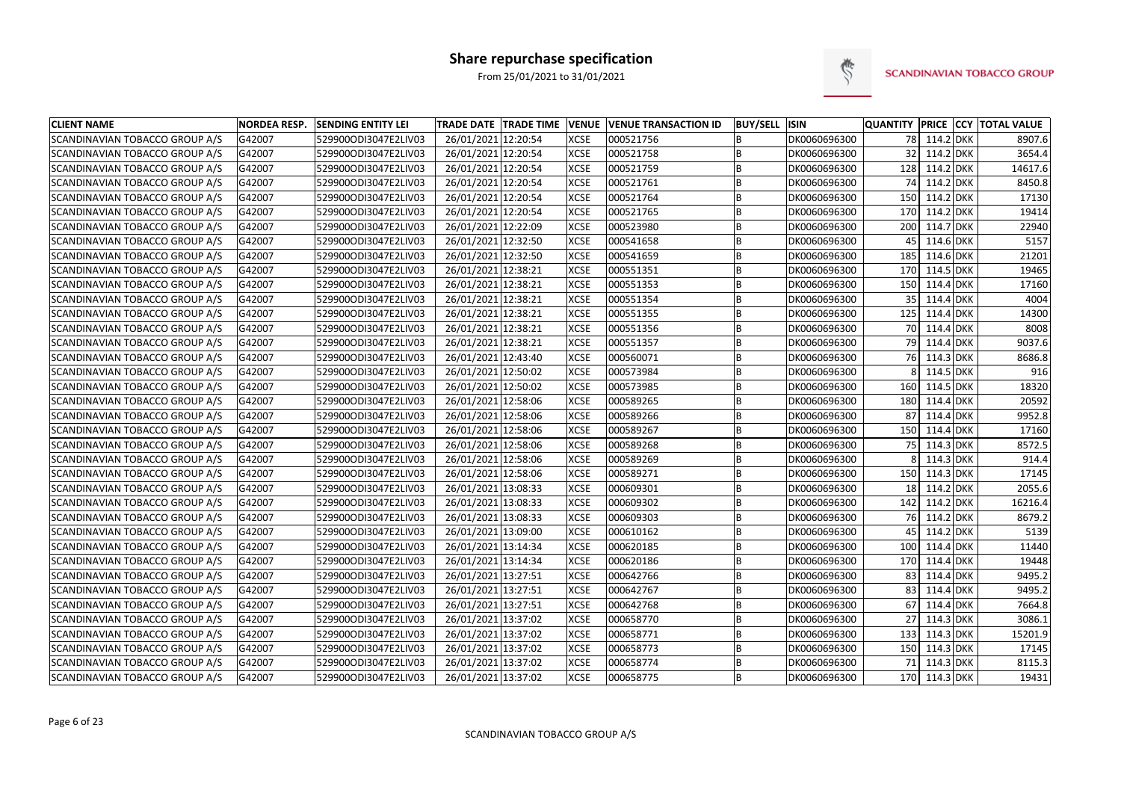

| <b>CLIENT NAME</b>             | <b>NORDEA RESP.</b> | <b>SENDING ENTITY LEI</b> | <b>TRADE DATE TRADE TIME</b> | <b>VENUE</b> | <b>VENUE TRANSACTION ID</b> | <b>BUY/SELL ISIN</b> |              |                 |               |            | QUANTITY PRICE CCY TOTAL VALUE |
|--------------------------------|---------------------|---------------------------|------------------------------|--------------|-----------------------------|----------------------|--------------|-----------------|---------------|------------|--------------------------------|
| SCANDINAVIAN TOBACCO GROUP A/S | G42007              | 529900ODI3047E2LIV03      | 26/01/2021 12:20:54          | <b>XCSE</b>  | 000521756                   |                      | DK0060696300 |                 | 78 114.2 DKK  |            | 8907.6                         |
| SCANDINAVIAN TOBACCO GROUP A/S | G42007              | 529900ODI3047E2LIV03      | 26/01/2021 12:20:54          | <b>XCSE</b>  | 000521758                   | B                    | DK0060696300 | 32 <sup>1</sup> | 114.2 DKK     |            | 3654.4                         |
| SCANDINAVIAN TOBACCO GROUP A/S | G42007              | 529900ODI3047E2LIV03      | 26/01/2021 12:20:54          | <b>XCSE</b>  | 000521759                   | B                    | DK0060696300 |                 | 128 114.2 DKK |            | 14617.6                        |
| SCANDINAVIAN TOBACCO GROUP A/S | G42007              | 529900ODI3047E2LIV03      | 26/01/2021 12:20:54          | <b>XCSE</b>  | 000521761                   | B                    | DK0060696300 |                 | 74 114.2 DKK  |            | 8450.8                         |
| SCANDINAVIAN TOBACCO GROUP A/S | G42007              | 529900ODI3047E2LIV03      | 26/01/2021 12:20:54          | <b>XCSE</b>  | 000521764                   | B                    | DK0060696300 | 150             | 114.2 DKK     |            | 17130                          |
| SCANDINAVIAN TOBACCO GROUP A/S | G42007              | 529900ODI3047E2LIV03      | 26/01/2021 12:20:54          | <b>XCSE</b>  | 000521765                   | B                    | DK0060696300 | 170             | 114.2 DKK     |            | 19414                          |
| SCANDINAVIAN TOBACCO GROUP A/S | G42007              | 529900ODI3047E2LIV03      | 26/01/2021 12:22:09          | <b>XCSE</b>  | 000523980                   | B                    | DK0060696300 | 200             | 114.7 DKK     |            | 22940                          |
| SCANDINAVIAN TOBACCO GROUP A/S | G42007              | 529900ODI3047E2LIV03      | 26/01/2021 12:32:50          | <b>XCSE</b>  | 000541658                   | B                    | DK0060696300 | 45              | 114.6 DKK     |            | 5157                           |
| SCANDINAVIAN TOBACCO GROUP A/S | G42007              | 529900ODI3047E2LIV03      | 26/01/2021 12:32:50          | <b>XCSE</b>  | 000541659                   | B                    | DK0060696300 | 185             | 114.6 DKK     |            | 21201                          |
| SCANDINAVIAN TOBACCO GROUP A/S | G42007              | 529900ODI3047E2LIV03      | 26/01/2021 12:38:21          | <b>XCSE</b>  | 000551351                   | B                    | DK0060696300 | 170             | 114.5 DKK     |            | 19465                          |
| SCANDINAVIAN TOBACCO GROUP A/S | G42007              | 529900ODI3047E2LIV03      | 26/01/2021 12:38:21          | <b>XCSE</b>  | 000551353                   | B                    | DK0060696300 | 150             | 114.4 DKK     |            | 17160                          |
| SCANDINAVIAN TOBACCO GROUP A/S | G42007              | 529900ODI3047E2LIV03      | 26/01/2021 12:38:21          | <b>XCSE</b>  | 000551354                   | B                    | DK0060696300 | 35              | 114.4 DKK     |            | 4004                           |
| SCANDINAVIAN TOBACCO GROUP A/S | G42007              | 529900ODI3047E2LIV03      | 26/01/2021 12:38:21          | <b>XCSE</b>  | 000551355                   | B                    | DK0060696300 | 125             | 114.4 DKK     |            | 14300                          |
| SCANDINAVIAN TOBACCO GROUP A/S | G42007              | 529900ODI3047E2LIV03      | 26/01/2021 12:38:21          | <b>XCSE</b>  | 000551356                   | B                    | DK0060696300 | 70 l            | 114.4 DKK     |            | 8008                           |
| SCANDINAVIAN TOBACCO GROUP A/S | G42007              | 529900ODI3047E2LIV03      | 26/01/2021 12:38:21          | <b>XCSE</b>  | 000551357                   | B                    | DK0060696300 |                 | 79 114.4 DKK  |            | 9037.6                         |
| SCANDINAVIAN TOBACCO GROUP A/S | G42007              | 529900ODI3047E2LIV03      | 26/01/2021 12:43:40          | <b>XCSE</b>  | 000560071                   | B                    | DK0060696300 |                 | 76 114.3 DKK  |            | 8686.8                         |
| SCANDINAVIAN TOBACCO GROUP A/S | G42007              | 529900ODI3047E2LIV03      | 26/01/2021 12:50:02          | <b>XCSE</b>  | 000573984                   | B                    | DK0060696300 |                 | 114.5 DKK     |            | 916                            |
| SCANDINAVIAN TOBACCO GROUP A/S | G42007              | 529900ODI3047E2LIV03      | 26/01/2021 12:50:02          | <b>XCSE</b>  | 000573985                   | B                    | DK0060696300 | 160             | 114.5 DKK     |            | 18320                          |
| SCANDINAVIAN TOBACCO GROUP A/S | G42007              | 529900ODI3047E2LIV03      | 26/01/2021 12:58:06          | <b>XCSE</b>  | 000589265                   | B                    | DK0060696300 | 180             | 114.4 DKK     |            | 20592                          |
| SCANDINAVIAN TOBACCO GROUP A/S | G42007              | 529900ODI3047E2LIV03      | 26/01/2021 12:58:06          | <b>XCSE</b>  | 000589266                   | B                    | DK0060696300 | 87              | 114.4 DKK     |            | 9952.8                         |
| SCANDINAVIAN TOBACCO GROUP A/S | G42007              | 529900ODI3047E2LIV03      | 26/01/2021 12:58:06          | <b>XCSE</b>  | 000589267                   | B                    | DK0060696300 |                 | 150 114.4 DKK |            | 17160                          |
| SCANDINAVIAN TOBACCO GROUP A/S | G42007              | 529900ODI3047E2LIV03      | 26/01/2021 12:58:06          | <b>XCSE</b>  | 000589268                   | B                    | DK0060696300 | 75              | 114.3 DKK     |            | 8572.5                         |
| SCANDINAVIAN TOBACCO GROUP A/S | G42007              | 529900ODI3047E2LIV03      | 26/01/2021 12:58:06          | <b>XCSE</b>  | 000589269                   | B                    | DK0060696300 |                 | 114.3 DKK     |            | 914.4                          |
| SCANDINAVIAN TOBACCO GROUP A/S | G42007              | 529900ODI3047E2LIV03      | 26/01/2021 12:58:06          | <b>XCSE</b>  | 000589271                   | B                    | DK0060696300 | 150             | 114.3 DKK     |            | 17145                          |
| SCANDINAVIAN TOBACCO GROUP A/S | G42007              | 529900ODI3047E2LIV03      | 26/01/2021 13:08:33          | <b>XCSE</b>  | 000609301                   | B                    | DK0060696300 | 18 <sup>1</sup> | 114.2 DKK     |            | 2055.6                         |
| SCANDINAVIAN TOBACCO GROUP A/S | G42007              | 529900ODI3047E2LIV03      | 26/01/2021 13:08:33          | <b>XCSE</b>  | 000609302                   | B                    | DK0060696300 | 142             | 114.2 DKK     |            | 16216.4                        |
| SCANDINAVIAN TOBACCO GROUP A/S | G42007              | 529900ODI3047E2LIV03      | 26/01/2021 13:08:33          | <b>XCSE</b>  | 000609303                   | B                    | DK0060696300 |                 | 76 114.2 DKK  |            | 8679.2                         |
| SCANDINAVIAN TOBACCO GROUP A/S | G42007              | 529900ODI3047E2LIV03      | 26/01/2021 13:09:00          | <b>XCSE</b>  | 000610162                   | B                    | DK0060696300 | 45              | 114.2 DKK     |            | 5139                           |
| SCANDINAVIAN TOBACCO GROUP A/S | G42007              | 529900ODI3047E2LIV03      | 26/01/2021 13:14:34          | <b>XCSE</b>  | 000620185                   | B                    | DK0060696300 | 100             | 114.4 DKK     |            | 11440                          |
| SCANDINAVIAN TOBACCO GROUP A/S | G42007              | 529900ODI3047E2LIV03      | 26/01/2021 13:14:34          | <b>XCSE</b>  | 000620186                   | B                    | DK0060696300 | 170             | 114.4 DKK     |            | 19448                          |
| SCANDINAVIAN TOBACCO GROUP A/S | G42007              | 529900ODI3047E2LIV03      | 26/01/2021 13:27:51          | <b>XCSE</b>  | 000642766                   | B                    | DK0060696300 | 83              | 114.4         | <b>DKK</b> | 9495.2                         |
| SCANDINAVIAN TOBACCO GROUP A/S | G42007              | 529900ODI3047E2LIV03      | 26/01/2021 13:27:51          | <b>XCSE</b>  | 000642767                   | B                    | DK0060696300 | 83              | 114.4 DKK     |            | 9495.2                         |
| SCANDINAVIAN TOBACCO GROUP A/S | G42007              | 529900ODI3047E2LIV03      | 26/01/2021 13:27:51          | <b>XCSE</b>  | 000642768                   | B                    | DK0060696300 | 67              | 114.4 DKK     |            | 7664.8                         |
| SCANDINAVIAN TOBACCO GROUP A/S | G42007              | 529900ODI3047E2LIV03      | 26/01/2021 13:37:02          | <b>XCSE</b>  | 000658770                   | B                    | DK0060696300 | 27              | 114.3 DKK     |            | 3086.1                         |
| SCANDINAVIAN TOBACCO GROUP A/S | G42007              | 529900ODI3047E2LIV03      | 26/01/2021 13:37:02          | <b>XCSE</b>  | 000658771                   | B                    | DK0060696300 | 133             | 114.3 DKK     |            | 15201.9                        |
| SCANDINAVIAN TOBACCO GROUP A/S | G42007              | 529900ODI3047E2LIV03      | 26/01/2021 13:37:02          | <b>XCSE</b>  | 000658773                   | B                    | DK0060696300 | 150             | 114.3 DKK     |            | 17145                          |
| SCANDINAVIAN TOBACCO GROUP A/S | G42007              | 529900ODI3047E2LIV03      | 26/01/2021 13:37:02          | <b>XCSE</b>  | 000658774                   | B                    | DK0060696300 | 71              | 114.3 DKK     |            | 8115.3                         |
| SCANDINAVIAN TOBACCO GROUP A/S | G42007              | 529900ODI3047E2LIV03      | 26/01/2021 13:37:02          | <b>XCSE</b>  | 000658775                   | B                    | DK0060696300 |                 | 170 114.3 DKK |            | 19431                          |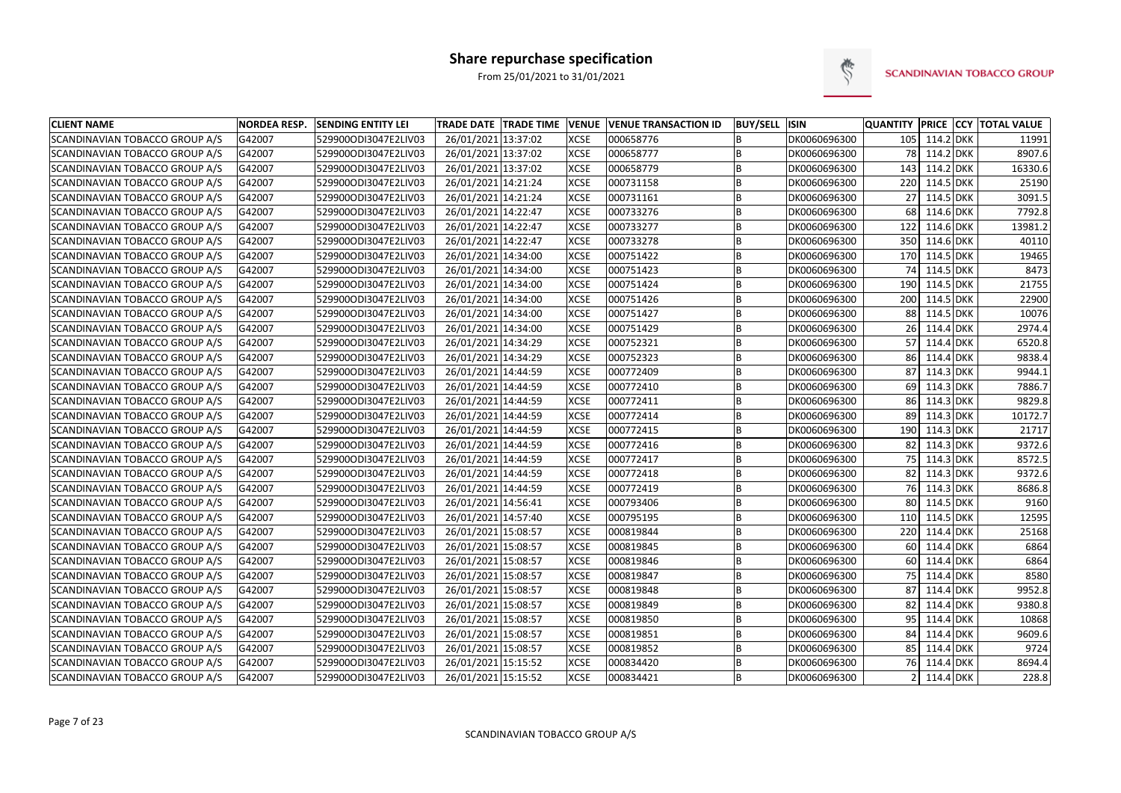

| <b>CLIENT NAME</b>             | <b>NORDEA RESP.</b> | <b>SENDING ENTITY LEI</b> | TRADE DATE TRADE TIME VENUE |             | <b>VENUE TRANSACTION ID</b> | <b>BUY/SELL ISIN</b> |              | <b>QUANTITY</b> |               | <b>PRICE CCY TOTAL VALUE</b> |
|--------------------------------|---------------------|---------------------------|-----------------------------|-------------|-----------------------------|----------------------|--------------|-----------------|---------------|------------------------------|
| SCANDINAVIAN TOBACCO GROUP A/S | G42007              | 529900ODI3047E2LIV03      | 26/01/2021 13:37:02         | <b>XCSE</b> | 000658776                   | B                    | DK0060696300 |                 | 105 114.2 DKK | 11991                        |
| SCANDINAVIAN TOBACCO GROUP A/S | G42007              | 529900ODI3047E2LIV03      | 26/01/2021 13:37:02         | <b>XCSE</b> | 000658777                   | B                    | DK0060696300 |                 | 78 114.2 DKK  | 8907.6                       |
| SCANDINAVIAN TOBACCO GROUP A/S | G42007              | 529900ODI3047E2LIV03      | 26/01/2021 13:37:02         | <b>XCSE</b> | 000658779                   | B                    | DK0060696300 | 143             | 114.2 DKK     | 16330.6                      |
| SCANDINAVIAN TOBACCO GROUP A/S | G42007              | 529900ODI3047E2LIV03      | 26/01/2021 14:21:24         | <b>XCSE</b> | 000731158                   | B                    | DK0060696300 | 220             | 114.5 DKK     | 25190                        |
| SCANDINAVIAN TOBACCO GROUP A/S | G42007              | 529900ODI3047E2LIV03      | 26/01/2021 14:21:24         | <b>XCSE</b> | 000731161                   | B                    | DK0060696300 | 27              | 114.5 DKK     | 3091.5                       |
| SCANDINAVIAN TOBACCO GROUP A/S | G42007              | 529900ODI3047E2LIV03      | 26/01/2021 14:22:47         | <b>XCSE</b> | 000733276                   | B                    | DK0060696300 | 68              | 114.6 DKK     | 7792.8                       |
| SCANDINAVIAN TOBACCO GROUP A/S | G42007              | 529900ODI3047E2LIV03      | 26/01/2021 14:22:47         | <b>XCSE</b> | 000733277                   | B                    | DK0060696300 | 122             | 114.6 DKK     | 13981.2                      |
| SCANDINAVIAN TOBACCO GROUP A/S | G42007              | 529900ODI3047E2LIV03      | 26/01/2021 14:22:47         | <b>XCSE</b> | 000733278                   | B                    | DK0060696300 | 350             | 114.6 DKK     | 40110                        |
| SCANDINAVIAN TOBACCO GROUP A/S | G42007              | 529900ODI3047E2LIV03      | 26/01/2021 14:34:00         | <b>XCSE</b> | 000751422                   | B                    | DK0060696300 | 170             | 114.5 DKK     | 19465                        |
| SCANDINAVIAN TOBACCO GROUP A/S | G42007              | 529900ODI3047E2LIV03      | 26/01/2021 14:34:00         | <b>XCSE</b> | 000751423                   | B                    | DK0060696300 | 74              | 114.5 DKK     | 8473                         |
| SCANDINAVIAN TOBACCO GROUP A/S | G42007              | 529900ODI3047E2LIV03      | 26/01/2021 14:34:00         | <b>XCSE</b> | 000751424                   | B                    | DK0060696300 | 190             | 114.5 DKK     | 21755                        |
| SCANDINAVIAN TOBACCO GROUP A/S | G42007              | 529900ODI3047E2LIV03      | 26/01/2021 14:34:00         | <b>XCSE</b> | 000751426                   | B                    | DK0060696300 | 200             | 114.5 DKK     | 22900                        |
| SCANDINAVIAN TOBACCO GROUP A/S | G42007              | 529900ODI3047E2LIV03      | 26/01/2021 14:34:00         | <b>XCSE</b> | 000751427                   | B                    | DK0060696300 | 88              | 114.5 DKK     | 10076                        |
| SCANDINAVIAN TOBACCO GROUP A/S | G42007              | 529900ODI3047E2LIV03      | 26/01/2021 14:34:00         | <b>XCSE</b> | 000751429                   | B                    | DK0060696300 | 26 l            | 114.4 DKK     | 2974.4                       |
| SCANDINAVIAN TOBACCO GROUP A/S | G42007              | 529900ODI3047E2LIV03      | 26/01/2021 14:34:29         | <b>XCSE</b> | 000752321                   | B                    | DK0060696300 | 57              | 114.4 DKK     | 6520.8                       |
| SCANDINAVIAN TOBACCO GROUP A/S | G42007              | 529900ODI3047E2LIV03      | 26/01/2021 14:34:29         | <b>XCSE</b> | 000752323                   | B                    | DK0060696300 | 86              | 114.4 DKK     | 9838.4                       |
| SCANDINAVIAN TOBACCO GROUP A/S | G42007              | 529900ODI3047E2LIV03      | 26/01/2021 14:44:59         | <b>XCSE</b> | 000772409                   | B                    | DK0060696300 | 87              | 114.3 DKK     | 9944.1                       |
| SCANDINAVIAN TOBACCO GROUP A/S | G42007              | 529900ODI3047E2LIV03      | 26/01/2021 14:44:59         | <b>XCSE</b> | 000772410                   | B                    | DK0060696300 | 69              | 114.3 DKK     | 7886.7                       |
| SCANDINAVIAN TOBACCO GROUP A/S | G42007              | 529900ODI3047E2LIV03      | 26/01/2021 14:44:59         | <b>XCSE</b> | 000772411                   | B                    | DK0060696300 | 86              | 114.3 DKK     | 9829.8                       |
| SCANDINAVIAN TOBACCO GROUP A/S | G42007              | 529900ODI3047E2LIV03      | 26/01/2021 14:44:59         | <b>XCSE</b> | 000772414                   | B                    | DK0060696300 | 89              | 114.3 DKK     | 10172.7                      |
| SCANDINAVIAN TOBACCO GROUP A/S | G42007              | 529900ODI3047E2LIV03      | 26/01/2021 14:44:59         | <b>XCSE</b> | 000772415                   | B                    | DK0060696300 | 190             | 114.3 DKK     | 21717                        |
| SCANDINAVIAN TOBACCO GROUP A/S | G42007              | 529900ODI3047E2LIV03      | 26/01/2021 14:44:59         | <b>XCSE</b> | 000772416                   | B                    | DK0060696300 | 82              | 114.3 DKK     | 9372.6                       |
| SCANDINAVIAN TOBACCO GROUP A/S | G42007              | 529900ODI3047E2LIV03      | 26/01/2021 14:44:59         | <b>XCSE</b> | 000772417                   | B                    | DK0060696300 | 75 <sub>1</sub> | 114.3 DKK     | 8572.5                       |
| SCANDINAVIAN TOBACCO GROUP A/S | G42007              | 529900ODI3047E2LIV03      | 26/01/2021 14:44:59         | <b>XCSE</b> | 000772418                   | B                    | DK0060696300 | 82              | 114.3 DKK     | 9372.6                       |
| SCANDINAVIAN TOBACCO GROUP A/S | G42007              | 529900ODI3047E2LIV03      | 26/01/2021 14:44:59         | <b>XCSE</b> | 000772419                   | B                    | DK0060696300 |                 | 76 114.3 DKK  | 8686.8                       |
| SCANDINAVIAN TOBACCO GROUP A/S | G42007              | 529900ODI3047E2LIV03      | 26/01/2021 14:56:41         | <b>XCSE</b> | 000793406                   | B                    | DK0060696300 | 80              | 114.5 DKK     | 9160                         |
| SCANDINAVIAN TOBACCO GROUP A/S | G42007              | 529900ODI3047E2LIV03      | 26/01/2021 14:57:40         | <b>XCSE</b> | 000795195                   | B                    | DK0060696300 | 110             | 114.5 DKK     | 12595                        |
| SCANDINAVIAN TOBACCO GROUP A/S | G42007              | 529900ODI3047E2LIV03      | 26/01/2021 15:08:57         | <b>XCSE</b> | 000819844                   | B                    | DK0060696300 | 220             | 114.4 DKK     | 25168                        |
| SCANDINAVIAN TOBACCO GROUP A/S | G42007              | 529900ODI3047E2LIV03      | 26/01/2021 15:08:57         | <b>XCSE</b> | 000819845                   | B                    | DK0060696300 | 60              | 114.4 DKK     | 6864                         |
| SCANDINAVIAN TOBACCO GROUP A/S | G42007              | 529900ODI3047E2LIV03      | 26/01/2021 15:08:57         | <b>XCSE</b> | 000819846                   | B                    | DK0060696300 | 60 <sub>1</sub> | 114.4 DKK     | 6864                         |
| SCANDINAVIAN TOBACCO GROUP A/S | G42007              | 529900ODI3047E2LIV03      | 26/01/2021 15:08:57         | <b>XCSE</b> | 000819847                   | B                    | DK0060696300 | 75 <sub>1</sub> | 114.4 DKK     | 8580                         |
| SCANDINAVIAN TOBACCO GROUP A/S | G42007              | 529900ODI3047E2LIV03      | 26/01/2021 15:08:57         | <b>XCSE</b> | 000819848                   | B                    | DK0060696300 | 87              | 114.4 DKK     | 9952.8                       |
| SCANDINAVIAN TOBACCO GROUP A/S | G42007              | 529900ODI3047E2LIV03      | 26/01/2021 15:08:57         | <b>XCSE</b> | 000819849                   | B                    | DK0060696300 | 82              | 114.4 DKK     | 9380.8                       |
| SCANDINAVIAN TOBACCO GROUP A/S | G42007              | 529900ODI3047E2LIV03      | 26/01/2021 15:08:57         | <b>XCSE</b> | 000819850                   | B                    | DK0060696300 | 95              | 114.4 DKK     | 10868                        |
| SCANDINAVIAN TOBACCO GROUP A/S | G42007              | 529900ODI3047E2LIV03      | 26/01/2021 15:08:57         | <b>XCSE</b> | 000819851                   | B                    | DK0060696300 | 84              | 114.4 DKK     | 9609.6                       |
| SCANDINAVIAN TOBACCO GROUP A/S | G42007              | 529900ODI3047E2LIV03      | 26/01/2021 15:08:57         | <b>XCSE</b> | 000819852                   | B                    | DK0060696300 | 85              | 114.4 DKK     | 9724                         |
| SCANDINAVIAN TOBACCO GROUP A/S | G42007              | 529900ODI3047E2LIV03      | 26/01/2021 15:15:52         | <b>XCSE</b> | 000834420                   | B                    | DK0060696300 | 76              | 114.4 DKK     | 8694.4                       |
| SCANDINAVIAN TOBACCO GROUP A/S | G42007              | 529900ODI3047E2LIV03      | 26/01/2021 15:15:52         | <b>XCSE</b> | 000834421                   | B                    | DK0060696300 |                 | 114.4 DKK     | 228.8                        |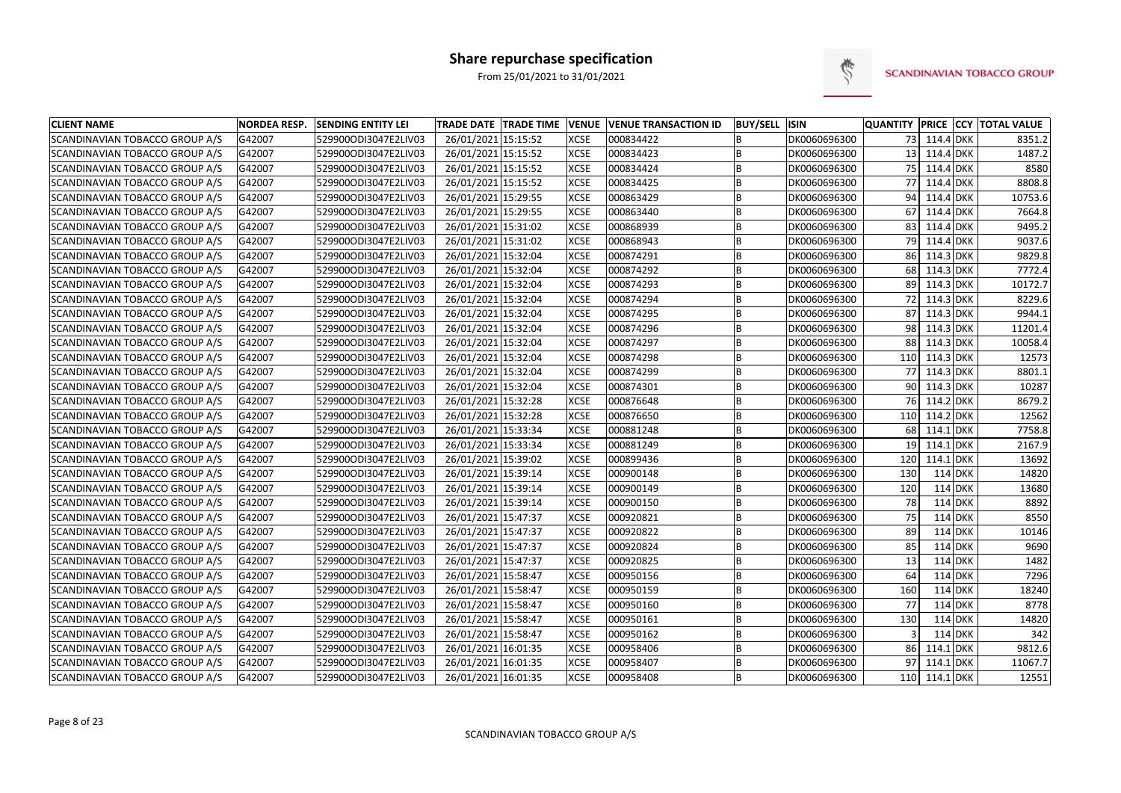

| <b>CLIENT NAME</b>                    | <b>NORDEA RESP.</b> | <b>SENDING ENTITY LEI</b> | <b>TRADE DATE TRADE TIME</b> | <b>VENUE</b> | <b>VENUE TRANSACTION ID</b> | <b>BUY/SELL ISIN</b> |              | <b>QUANTITY</b> |               |           | <b>PRICE CCY TOTAL VALUE</b> |
|---------------------------------------|---------------------|---------------------------|------------------------------|--------------|-----------------------------|----------------------|--------------|-----------------|---------------|-----------|------------------------------|
| SCANDINAVIAN TOBACCO GROUP A/S        | G42007              | 529900ODI3047E2LIV03      | 26/01/2021 15:15:52          | <b>XCSE</b>  | 000834422                   | B                    | DK0060696300 |                 | 73 114.4 DKK  |           | 8351.2                       |
| SCANDINAVIAN TOBACCO GROUP A/S        | G42007              | 529900ODI3047E2LIV03      | 26/01/2021 15:15:52          | <b>XCSE</b>  | 000834423                   | B                    | DK0060696300 |                 | 13 114.4 DKK  |           | 1487.2                       |
| <b>SCANDINAVIAN TOBACCO GROUP A/S</b> | G42007              | 529900ODI3047E2LIV03      | 26/01/2021 15:15:52          | <b>XCSE</b>  | 000834424                   | B                    | DK0060696300 |                 | 75 114.4 DKK  |           | 8580                         |
| <b>SCANDINAVIAN TOBACCO GROUP A/S</b> | G42007              | 529900ODI3047E2LIV03      | 26/01/2021 15:15:52          | <b>XCSE</b>  | 000834425                   | B                    | DK0060696300 | 77              | 114.4 DKK     |           | 8808.8                       |
| SCANDINAVIAN TOBACCO GROUP A/S        | G42007              | 529900ODI3047E2LIV03      | 26/01/2021 15:29:55          | <b>XCSE</b>  | 000863429                   | B                    | DK0060696300 | 94              | 114.4 DKK     |           | 10753.6                      |
| SCANDINAVIAN TOBACCO GROUP A/S        | G42007              | 529900ODI3047E2LIV03      | 26/01/2021 15:29:55          | <b>XCSE</b>  | 000863440                   | B                    | DK0060696300 | 67              | 114.4 DKK     |           | 7664.8                       |
| <b>SCANDINAVIAN TOBACCO GROUP A/S</b> | G42007              | 529900ODI3047E2LIV03      | 26/01/2021 15:31:02          | <b>XCSE</b>  | 000868939                   | B                    | DK0060696300 | 83              | 114.4 DKK     |           | 9495.2                       |
| <b>SCANDINAVIAN TOBACCO GROUP A/S</b> | G42007              | 529900ODI3047E2LIV03      | 26/01/2021 15:31:02          | <b>XCSE</b>  | 000868943                   | B                    | DK0060696300 | 79              | 114.4 DKK     |           | 9037.6                       |
| SCANDINAVIAN TOBACCO GROUP A/S        | G42007              | 529900ODI3047E2LIV03      | 26/01/2021 15:32:04          | <b>XCSE</b>  | 000874291                   | B                    | DK0060696300 | 86              | 114.3 DKK     |           | 9829.8                       |
| SCANDINAVIAN TOBACCO GROUP A/S        | G42007              | 529900ODI3047E2LIV03      | 26/01/2021 15:32:04          | <b>XCSE</b>  | 000874292                   | B                    | DK0060696300 | 68              | 114.3 DKK     |           | 7772.4                       |
| SCANDINAVIAN TOBACCO GROUP A/S        | G42007              | 529900ODI3047E2LIV03      | 26/01/2021 15:32:04          | <b>XCSE</b>  | 000874293                   | B                    | DK0060696300 | 89              | 114.3 DKK     |           | 10172.7                      |
| <b>SCANDINAVIAN TOBACCO GROUP A/S</b> | G42007              | 529900ODI3047E2LIV03      | 26/01/2021 15:32:04          | <b>XCSE</b>  | 000874294                   | B                    | DK0060696300 | 72              | 114.3 DKK     |           | 8229.6                       |
| SCANDINAVIAN TOBACCO GROUP A/S        | G42007              | 529900ODI3047E2LIV03      | 26/01/2021 15:32:04          | <b>XCSE</b>  | 000874295                   | B                    | DK0060696300 | 87              | 114.3 DKK     |           | 9944.1                       |
| <b>SCANDINAVIAN TOBACCO GROUP A/S</b> | G42007              | 529900ODI3047E2LIV03      | 26/01/2021 15:32:04          | <b>XCSE</b>  | 000874296                   | <b>B</b>             | DK0060696300 | 98              | 114.3 DKK     |           | 11201.4                      |
| SCANDINAVIAN TOBACCO GROUP A/S        | G42007              | 529900ODI3047E2LIV03      | 26/01/2021 15:32:04          | <b>XCSE</b>  | 000874297                   | B                    | DK0060696300 |                 | 88 114.3 DKK  |           | 10058.4                      |
| SCANDINAVIAN TOBACCO GROUP A/S        | G42007              | 529900ODI3047E2LIV03      | 26/01/2021 15:32:04          | <b>XCSE</b>  | 000874298                   | B                    | DK0060696300 | 110             | 114.3 DKK     |           | 12573                        |
| <b>SCANDINAVIAN TOBACCO GROUP A/S</b> | G42007              | 529900ODI3047E2LIV03      | 26/01/2021 15:32:04          | <b>XCSE</b>  | 000874299                   | B                    | DK0060696300 | 77              | 114.3 DKK     |           | 8801.1                       |
| <b>SCANDINAVIAN TOBACCO GROUP A/S</b> | G42007              | 529900ODI3047E2LIV03      | 26/01/2021 15:32:04          | <b>XCSE</b>  | 000874301                   | B                    | DK0060696300 | 90              | 114.3 DKK     |           | 10287                        |
| <b>SCANDINAVIAN TOBACCO GROUP A/S</b> | G42007              | 529900ODI3047E2LIV03      | 26/01/2021 15:32:28          | <b>XCSE</b>  | 000876648                   | B                    | DK0060696300 | 76 <sup>I</sup> | 114.2 DKK     |           | 8679.2                       |
| SCANDINAVIAN TOBACCO GROUP A/S        | G42007              | 529900ODI3047E2LIV03      | 26/01/2021 15:32:28          | <b>XCSE</b>  | 000876650                   | B                    | DK0060696300 | 110             | 114.2 DKK     |           | 12562                        |
| <b>SCANDINAVIAN TOBACCO GROUP A/S</b> | G42007              | 529900ODI3047E2LIV03      | 26/01/2021 15:33:34          | <b>XCSE</b>  | 000881248                   | B                    | DK0060696300 | 68              | 114.1 DKK     |           | 7758.8                       |
| SCANDINAVIAN TOBACCO GROUP A/S        | G42007              | 529900ODI3047E2LIV03      | 26/01/2021 15:33:34          | <b>XCSE</b>  | 000881249                   | B                    | DK0060696300 | 19              | 114.1 DKK     |           | 2167.9                       |
| <b>SCANDINAVIAN TOBACCO GROUP A/S</b> | G42007              | 529900ODI3047E2LIV03      | 26/01/2021 15:39:02          | <b>XCSE</b>  | 000899436                   | B                    | DK0060696300 | 120             | 114.1 DKK     |           | 13692                        |
| <b>SCANDINAVIAN TOBACCO GROUP A/S</b> | G42007              | 529900ODI3047E2LIV03      | 26/01/2021 15:39:14          | <b>XCSE</b>  | 000900148                   | B                    | DK0060696300 | 130             |               | $114$ DKK | 14820                        |
| SCANDINAVIAN TOBACCO GROUP A/S        | G42007              | 529900ODI3047E2LIV03      | 26/01/2021 15:39:14          | <b>XCSE</b>  | 000900149                   | B                    | DK0060696300 | 120             |               | $114$ DKK | 13680                        |
| <b>SCANDINAVIAN TOBACCO GROUP A/S</b> | G42007              | 529900ODI3047E2LIV03      | 26/01/2021 15:39:14          | <b>XCSE</b>  | 000900150                   | <b>B</b>             | DK0060696300 | 78              |               | $114$ DKK | 8892                         |
| SCANDINAVIAN TOBACCO GROUP A/S        | G42007              | 529900ODI3047E2LIV03      | 26/01/2021 15:47:37          | <b>XCSE</b>  | 000920821                   | B                    | DK0060696300 | 75              |               | 114 DKK   | 8550                         |
| SCANDINAVIAN TOBACCO GROUP A/S        | G42007              | 529900ODI3047E2LIV03      | 26/01/2021 15:47:37          | <b>XCSE</b>  | 000920822                   | B                    | DK0060696300 | 89              |               | $114$ DKK | 10146                        |
| <b>SCANDINAVIAN TOBACCO GROUP A/S</b> | G42007              | 529900ODI3047E2LIV03      | 26/01/2021 15:47:37          | <b>XCSE</b>  | 000920824                   | B                    | DK0060696300 | 85              |               | $114$ DKK | 9690                         |
| <b>SCANDINAVIAN TOBACCO GROUP A/S</b> | G42007              | 529900ODI3047E2LIV03      | 26/01/2021 15:47:37          | <b>XCSE</b>  | 000920825                   | B                    | DK0060696300 | 13              |               | $114$ DKK | 1482                         |
| <b>SCANDINAVIAN TOBACCO GROUP A/S</b> | G42007              | 529900ODI3047E2LIV03      | 26/01/2021 15:58:47          | <b>XCSE</b>  | 000950156                   | B                    | DK0060696300 | 64              |               | $114$ DKK | 7296                         |
| SCANDINAVIAN TOBACCO GROUP A/S        | G42007              | 529900ODI3047E2LIV03      | 26/01/2021 15:58:47          | <b>XCSE</b>  | 000950159                   | B                    | DK0060696300 | 160             |               | $114$ DKK | 18240                        |
| SCANDINAVIAN TOBACCO GROUP A/S        | G42007              | 529900ODI3047E2LIV03      | 26/01/2021 15:58:47          | <b>XCSE</b>  | 000950160                   | B                    | DK0060696300 | 77              |               | $114$ DKK | 8778                         |
| SCANDINAVIAN TOBACCO GROUP A/S        | G42007              | 529900ODI3047E2LIV03      | 26/01/2021 15:58:47          | <b>XCSE</b>  | 000950161                   | B                    | DK0060696300 | 130             |               | 114 DKK   | 14820                        |
| SCANDINAVIAN TOBACCO GROUP A/S        | G42007              | 529900ODI3047E2LIV03      | 26/01/2021 15:58:47          | <b>XCSE</b>  | 000950162                   | B                    | DK0060696300 |                 |               | $114$ DKK | 342                          |
| <b>SCANDINAVIAN TOBACCO GROUP A/S</b> | G42007              | 529900ODI3047E2LIV03      | 26/01/2021 16:01:35          | <b>XCSE</b>  | 000958406                   | B                    | DK0060696300 | 86              | 114.1 DKK     |           | 9812.6                       |
| SCANDINAVIAN TOBACCO GROUP A/S        | G42007              | 529900ODI3047E2LIV03      | 26/01/2021 16:01:35          | <b>XCSE</b>  | 000958407                   | B                    | DK0060696300 | 97              | 114.1 DKK     |           | 11067.7                      |
| SCANDINAVIAN TOBACCO GROUP A/S        | G42007              | 529900ODI3047E2LIV03      | 26/01/2021 16:01:35          | <b>XCSE</b>  | 000958408                   | B                    | DK0060696300 |                 | 110 114.1 DKK |           | 12551                        |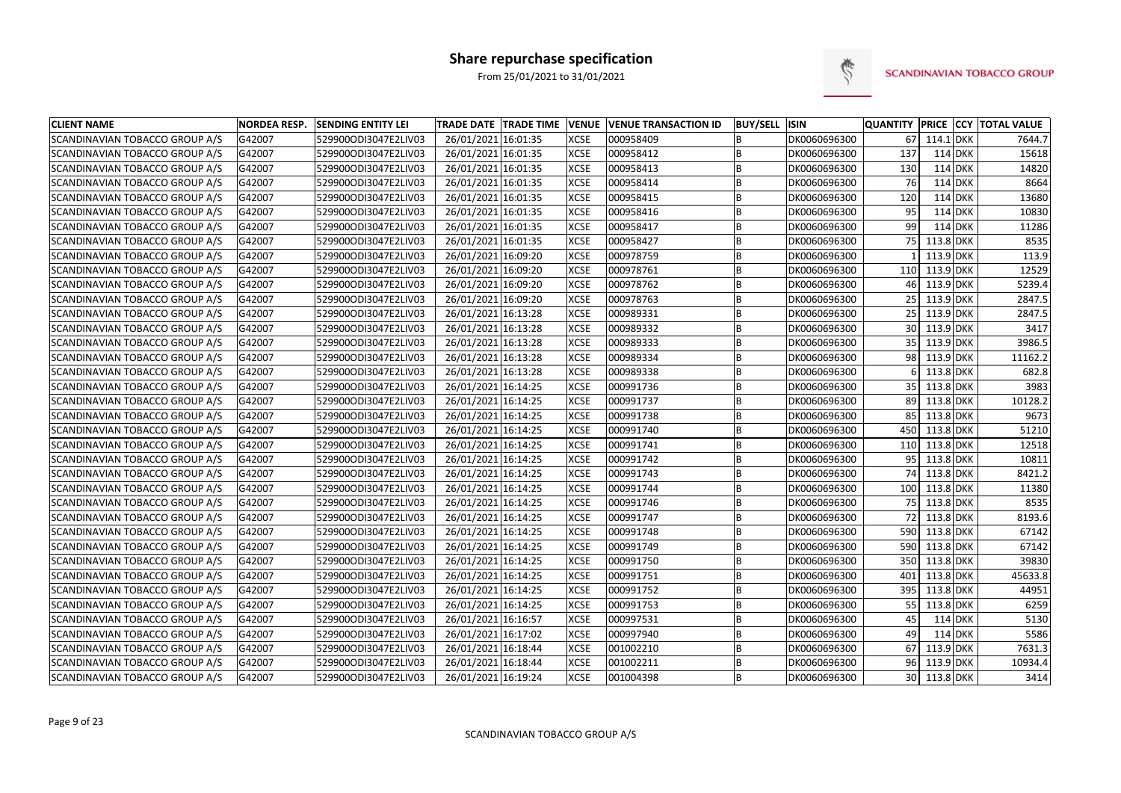

| <b>CLIENT NAME</b>             | <b>NORDEA RESP.</b> | <b>SENDING ENTITY LEI</b> | <b>TRADE DATE TRADE TIME</b> | <b>VENUE</b> | <b>VENUE TRANSACTION ID</b> | <b>BUY/SELL ISIN</b> |              |     |              |         | <b>QUANTITY PRICE CCY TOTAL VALUE</b> |
|--------------------------------|---------------------|---------------------------|------------------------------|--------------|-----------------------------|----------------------|--------------|-----|--------------|---------|---------------------------------------|
| SCANDINAVIAN TOBACCO GROUP A/S | G42007              | 529900ODI3047E2LIV03      | 26/01/2021 16:01:35          | <b>XCSE</b>  | 000958409                   | B                    | DK0060696300 | 67  | 114.1 DKK    |         | 7644.7                                |
| SCANDINAVIAN TOBACCO GROUP A/S | G42007              | 529900ODI3047E2LIV03      | 26/01/2021 16:01:35          | <b>XCSE</b>  | 000958412                   | B                    | DK0060696300 | 137 | 114 DKK      |         | 15618                                 |
| SCANDINAVIAN TOBACCO GROUP A/S | G42007              | 529900ODI3047E2LIV03      | 26/01/2021 16:01:35          | <b>XCSE</b>  | 000958413                   | B                    | DK0060696300 | 130 | 114 DKK      |         | 14820                                 |
| SCANDINAVIAN TOBACCO GROUP A/S | G42007              | 529900ODI3047E2LIV03      | 26/01/2021 16:01:35          | <b>XCSE</b>  | 000958414                   | B                    | DK0060696300 | 76  | $114$ DKK    |         | 8664                                  |
| SCANDINAVIAN TOBACCO GROUP A/S | G42007              | 529900ODI3047E2LIV03      | 26/01/2021 16:01:35          | <b>XCSE</b>  | 000958415                   | B                    | DK0060696300 | 120 |              | 114 DKK | 13680                                 |
| SCANDINAVIAN TOBACCO GROUP A/S | G42007              | 529900ODI3047E2LIV03      | 26/01/2021 16:01:35          | <b>XCSE</b>  | 000958416                   | B                    | DK0060696300 | 95  | 114 DKK      |         | 10830                                 |
| SCANDINAVIAN TOBACCO GROUP A/S | G42007              | 529900ODI3047E2LIV03      | 26/01/2021 16:01:35          | <b>XCSE</b>  | 000958417                   | B                    | DK0060696300 | 99  | $114$ DKK    |         | 11286                                 |
| SCANDINAVIAN TOBACCO GROUP A/S | G42007              | 529900ODI3047E2LIV03      | 26/01/2021 16:01:35          | <b>XCSE</b>  | 000958427                   | B                    | DK0060696300 | 75  | 113.8 DKK    |         | 8535                                  |
| SCANDINAVIAN TOBACCO GROUP A/S | G42007              | 529900ODI3047E2LIV03      | 26/01/2021 16:09:20          | <b>XCSE</b>  | 000978759                   | B                    | DK0060696300 |     | 113.9 DKK    |         | 113.9                                 |
| SCANDINAVIAN TOBACCO GROUP A/S | G42007              | 529900ODI3047E2LIV03      | 26/01/2021 16:09:20          | <b>XCSE</b>  | 000978761                   | B                    | DK0060696300 | 110 | 113.9 DKK    |         | 12529                                 |
| SCANDINAVIAN TOBACCO GROUP A/S | G42007              | 529900ODI3047E2LIV03      | 26/01/2021 16:09:20          | <b>XCSE</b>  | 000978762                   | B                    | DK0060696300 | 46  | 113.9 DKK    |         | 5239.4                                |
| SCANDINAVIAN TOBACCO GROUP A/S | G42007              | 529900ODI3047E2LIV03      | 26/01/2021 16:09:20          | <b>XCSE</b>  | 000978763                   | B                    | DK0060696300 |     | 25 113.9 DKK |         | 2847.5                                |
| SCANDINAVIAN TOBACCO GROUP A/S | G42007              | 529900ODI3047E2LIV03      | 26/01/2021 16:13:28          | <b>XCSE</b>  | 000989331                   | B                    | DK0060696300 |     | 25 113.9 DKK |         | 2847.5                                |
| SCANDINAVIAN TOBACCO GROUP A/S | G42007              | 529900ODI3047E2LIV03      | 26/01/2021 16:13:28          | <b>XCSE</b>  | 000989332                   | <b>B</b>             | DK0060696300 |     | 30 113.9 DKK |         | 3417                                  |
| SCANDINAVIAN TOBACCO GROUP A/S | G42007              | 529900ODI3047E2LIV03      | 26/01/2021 16:13:28          | <b>XCSE</b>  | 000989333                   | B                    | DK0060696300 |     | 35 113.9 DKK |         | 3986.5                                |
| SCANDINAVIAN TOBACCO GROUP A/S | G42007              | 529900ODI3047E2LIV03      | 26/01/2021 16:13:28          | <b>XCSE</b>  | 000989334                   | B                    | DK0060696300 | 98  | 113.9 DKK    |         | 11162.2                               |
| SCANDINAVIAN TOBACCO GROUP A/S | G42007              | 529900ODI3047E2LIV03      | 26/01/2021 16:13:28          | <b>XCSE</b>  | 000989338                   | B                    | DK0060696300 |     | 113.8 DKK    |         | 682.8                                 |
| SCANDINAVIAN TOBACCO GROUP A/S | G42007              | 529900ODI3047E2LIV03      | 26/01/2021 16:14:25          | <b>XCSE</b>  | 000991736                   | B                    | DK0060696300 | 35  | 113.8 DKK    |         | 3983                                  |
| SCANDINAVIAN TOBACCO GROUP A/S | G42007              | 529900ODI3047E2LIV03      | 26/01/2021 16:14:25          | <b>XCSE</b>  | 000991737                   | B                    | DK0060696300 | 89  | 113.8 DKK    |         | 10128.2                               |
| SCANDINAVIAN TOBACCO GROUP A/S | G42007              | 529900ODI3047E2LIV03      | 26/01/2021 16:14:25          | <b>XCSE</b>  | 000991738                   | B                    | DK0060696300 | 85  | 113.8 DKK    |         | 9673                                  |
| SCANDINAVIAN TOBACCO GROUP A/S | G42007              | 529900ODI3047E2LIV03      | 26/01/2021 16:14:25          | <b>XCSE</b>  | 000991740                   | B                    | DK0060696300 | 450 | 113.8 DKK    |         | 51210                                 |
| SCANDINAVIAN TOBACCO GROUP A/S | G42007              | 529900ODI3047E2LIV03      | 26/01/2021 16:14:25          | <b>XCSE</b>  | 000991741                   | B                    | DK0060696300 | 110 | 113.8 DKK    |         | 12518                                 |
| SCANDINAVIAN TOBACCO GROUP A/S | G42007              | 529900ODI3047E2LIV03      | 26/01/2021 16:14:25          | <b>XCSE</b>  | 000991742                   | B                    | DK0060696300 | 95  | 113.8 DKK    |         | 10811                                 |
| SCANDINAVIAN TOBACCO GROUP A/S | G42007              | 529900ODI3047E2LIV03      | 26/01/2021 16:14:25          | <b>XCSE</b>  | 000991743                   | B                    | DK0060696300 | 74  | 113.8 DKK    |         | 8421.2                                |
| SCANDINAVIAN TOBACCO GROUP A/S | G42007              | 529900ODI3047E2LIV03      | 26/01/2021 16:14:25          | <b>XCSE</b>  | 000991744                   | B                    | DK0060696300 | 100 | 113.8 DKK    |         | 11380                                 |
| SCANDINAVIAN TOBACCO GROUP A/S | G42007              | 529900ODI3047E2LIV03      | 26/01/2021 16:14:25          | <b>XCSE</b>  | 000991746                   | <b>B</b>             | DK0060696300 |     | 75 113.8 DKK |         | 8535                                  |
| SCANDINAVIAN TOBACCO GROUP A/S | G42007              | 529900ODI3047E2LIV03      | 26/01/2021 16:14:25          | <b>XCSE</b>  | 000991747                   | B                    | DK0060696300 | 72  | 113.8 DKK    |         | 8193.6                                |
| SCANDINAVIAN TOBACCO GROUP A/S | G42007              | 529900ODI3047E2LIV03      | 26/01/2021 16:14:25          | <b>XCSE</b>  | 000991748                   | B                    | DK0060696300 | 590 | 113.8 DKK    |         | 67142                                 |
| SCANDINAVIAN TOBACCO GROUP A/S | G42007              | 529900ODI3047E2LIV03      | 26/01/2021 16:14:25          | <b>XCSE</b>  | 000991749                   | B                    | DK0060696300 | 590 | 113.8 DKK    |         | 67142                                 |
| SCANDINAVIAN TOBACCO GROUP A/S | G42007              | 529900ODI3047E2LIV03      | 26/01/2021 16:14:25          | <b>XCSE</b>  | 000991750                   | B                    | DK0060696300 | 350 | 113.8 DKK    |         | 39830                                 |
| SCANDINAVIAN TOBACCO GROUP A/S | G42007              | 529900ODI3047E2LIV03      | 26/01/2021 16:14:25          | <b>XCSE</b>  | 000991751                   | B                    | DK0060696300 | 401 | 113.8 DKK    |         | 45633.8                               |
| SCANDINAVIAN TOBACCO GROUP A/S | G42007              | 529900ODI3047E2LIV03      | 26/01/2021 16:14:25          | <b>XCSE</b>  | 000991752                   | B                    | DK0060696300 | 395 | 113.8 DKK    |         | 44951                                 |
| SCANDINAVIAN TOBACCO GROUP A/S | G42007              | 529900ODI3047E2LIV03      | 26/01/2021 16:14:25          | <b>XCSE</b>  | 000991753                   | B                    | DK0060696300 | 55  | 113.8 DKK    |         | 6259                                  |
| SCANDINAVIAN TOBACCO GROUP A/S | G42007              | 529900ODI3047E2LIV03      | 26/01/2021 16:16:57          | <b>XCSE</b>  | 000997531                   | B                    | DK0060696300 | 45  | 114 DKK      |         | 5130                                  |
| SCANDINAVIAN TOBACCO GROUP A/S | G42007              | 529900ODI3047E2LIV03      | 26/01/2021 16:17:02          | <b>XCSE</b>  | 000997940                   | B                    | DK0060696300 | 49  | 114 DKK      |         | 5586                                  |
| SCANDINAVIAN TOBACCO GROUP A/S | G42007              | 529900ODI3047E2LIV03      | 26/01/2021 16:18:44          | <b>XCSE</b>  | 001002210                   | B                    | DK0060696300 | 67  | 113.9 DKK    |         | 7631.3                                |
| SCANDINAVIAN TOBACCO GROUP A/S | G42007              | 529900ODI3047E2LIV03      | 26/01/2021 16:18:44          | <b>XCSE</b>  | 001002211                   | B                    | DK0060696300 |     | 96 113.9 DKK |         | 10934.4                               |
| SCANDINAVIAN TOBACCO GROUP A/S | G42007              | 529900ODI3047E2LIV03      | 26/01/2021 16:19:24          | <b>XCSE</b>  | 001004398                   | B                    | DK0060696300 |     | 30 113.8 DKK |         | 3414                                  |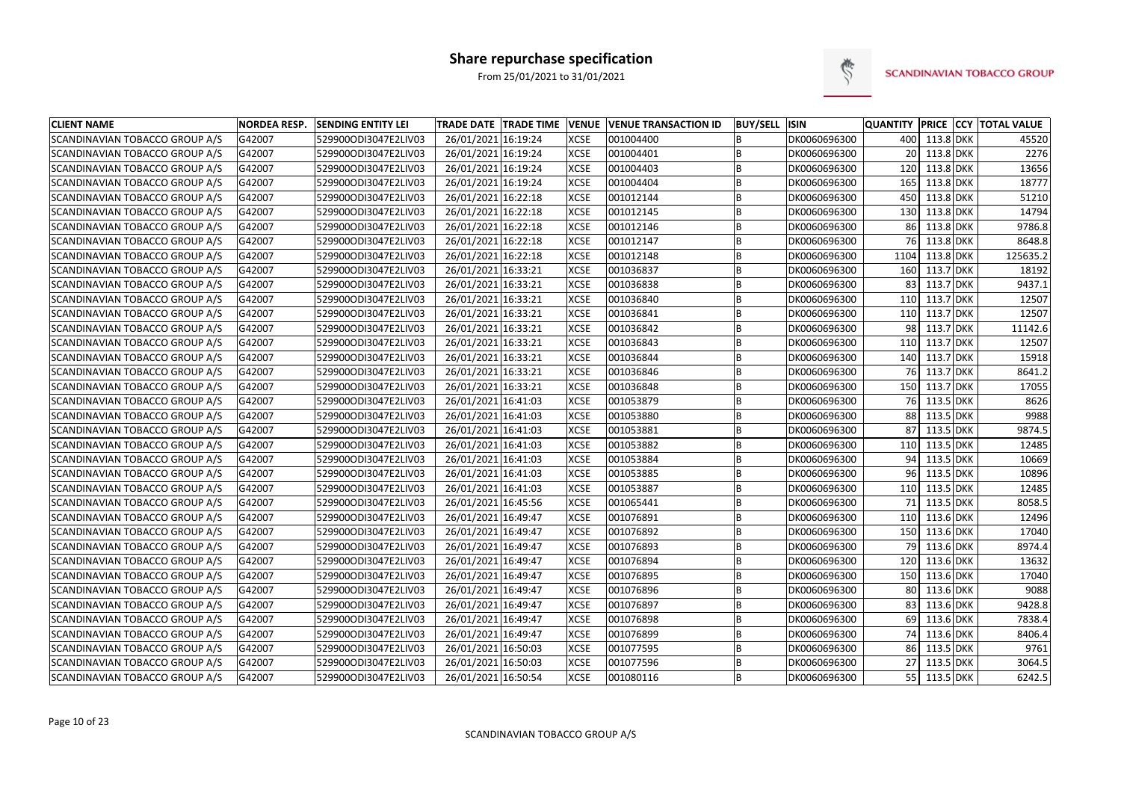

| <b>CLIENT NAME</b>             | <b>NORDEA RESP.</b> | <b>SENDING ENTITY LEI</b> | TRADE DATE TRADE TIME VENUE |             | <b>VENUE TRANSACTION ID</b> | <b>BUY/SELL ISIN</b> |              | <b>QUANTITY</b> |               | <b>PRICE CCY TOTAL VALUE</b> |
|--------------------------------|---------------------|---------------------------|-----------------------------|-------------|-----------------------------|----------------------|--------------|-----------------|---------------|------------------------------|
| SCANDINAVIAN TOBACCO GROUP A/S | G42007              | 529900ODI3047E2LIV03      | 26/01/2021 16:19:24         | <b>XCSE</b> | 001004400                   | B                    | DK0060696300 |                 | 400 113.8 DKK | 45520                        |
| SCANDINAVIAN TOBACCO GROUP A/S | G42007              | 529900ODI3047E2LIV03      | 26/01/2021 16:19:24         | <b>XCSE</b> | 001004401                   | B                    | DK0060696300 | 20 <sub>1</sub> | 113.8 DKK     | 2276                         |
| SCANDINAVIAN TOBACCO GROUP A/S | G42007              | 529900ODI3047E2LIV03      | 26/01/2021 16:19:24         | <b>XCSE</b> | 001004403                   | B                    | DK0060696300 | 120             | 113.8 DKK     | 13656                        |
| SCANDINAVIAN TOBACCO GROUP A/S | G42007              | 529900ODI3047E2LIV03      | 26/01/2021 16:19:24         | <b>XCSE</b> | 001004404                   | B                    | DK0060696300 | 165             | 113.8 DKK     | 18777                        |
| SCANDINAVIAN TOBACCO GROUP A/S | G42007              | 529900ODI3047E2LIV03      | 26/01/2021 16:22:18         | <b>XCSE</b> | 001012144                   | B                    | DK0060696300 | 450             | 113.8 DKK     | 51210                        |
| SCANDINAVIAN TOBACCO GROUP A/S | G42007              | 529900ODI3047E2LIV03      | 26/01/2021 16:22:18         | <b>XCSE</b> | 001012145                   | B                    | DK0060696300 | 130             | 113.8 DKK     | 14794                        |
| SCANDINAVIAN TOBACCO GROUP A/S | G42007              | 529900ODI3047E2LIV03      | 26/01/2021 16:22:18         | <b>XCSE</b> | 001012146                   | B                    | DK0060696300 | 86              | 113.8 DKK     | 9786.8                       |
| SCANDINAVIAN TOBACCO GROUP A/S | G42007              | 529900ODI3047E2LIV03      | 26/01/2021 16:22:18         | <b>XCSE</b> | 001012147                   | B                    | DK0060696300 | 761             | 113.8 DKK     | 8648.8                       |
| SCANDINAVIAN TOBACCO GROUP A/S | G42007              | 529900ODI3047E2LIV03      | 26/01/2021 16:22:18         | <b>XCSE</b> | 001012148                   | B                    | DK0060696300 | 1104            | 113.8 DKK     | 125635.2                     |
| SCANDINAVIAN TOBACCO GROUP A/S | G42007              | 529900ODI3047E2LIV03      | 26/01/2021 16:33:21         | <b>XCSE</b> | 001036837                   | B                    | DK0060696300 | 160             | 113.7 DKK     | 18192                        |
| SCANDINAVIAN TOBACCO GROUP A/S | G42007              | 529900ODI3047E2LIV03      | 26/01/2021 16:33:21         | <b>XCSE</b> | 001036838                   | B                    | DK0060696300 | 83              | 113.7 DKK     | 9437.1                       |
| SCANDINAVIAN TOBACCO GROUP A/S | G42007              | 529900ODI3047E2LIV03      | 26/01/2021 16:33:21         | <b>XCSE</b> | 001036840                   | B                    | DK0060696300 | 110             | 113.7 DKK     | 12507                        |
| SCANDINAVIAN TOBACCO GROUP A/S | G42007              | 529900ODI3047E2LIV03      | 26/01/2021 16:33:21         | <b>XCSE</b> | 001036841                   | B                    | DK0060696300 | 110             | 113.7 DKK     | 12507                        |
| SCANDINAVIAN TOBACCO GROUP A/S | G42007              | 529900ODI3047E2LIV03      | 26/01/2021 16:33:21         | <b>XCSE</b> | 001036842                   | B                    | DK0060696300 | 98              | 113.7 DKK     | 11142.6                      |
| SCANDINAVIAN TOBACCO GROUP A/S | G42007              | 529900ODI3047E2LIV03      | 26/01/2021 16:33:21         | <b>XCSE</b> | 001036843                   | B                    | DK0060696300 | 110             | 113.7 DKK     | 12507                        |
| SCANDINAVIAN TOBACCO GROUP A/S | G42007              | 529900ODI3047E2LIV03      | 26/01/2021 16:33:21         | <b>XCSE</b> | 001036844                   | B                    | DK0060696300 | 140             | 113.7 DKK     | 15918                        |
| SCANDINAVIAN TOBACCO GROUP A/S | G42007              | 529900ODI3047E2LIV03      | 26/01/2021 16:33:21         | <b>XCSE</b> | 001036846                   | B                    | DK0060696300 | 76              | 113.7 DKK     | 8641.2                       |
| SCANDINAVIAN TOBACCO GROUP A/S | G42007              | 529900ODI3047E2LIV03      | 26/01/2021 16:33:21         | <b>XCSE</b> | 001036848                   | B                    | DK0060696300 | 150             | 113.7 DKK     | 17055                        |
| SCANDINAVIAN TOBACCO GROUP A/S | G42007              | 529900ODI3047E2LIV03      | 26/01/2021 16:41:03         | <b>XCSE</b> | 001053879                   | B                    | DK0060696300 | 76 l            | 113.5 DKK     | 8626                         |
| SCANDINAVIAN TOBACCO GROUP A/S | G42007              | 529900ODI3047E2LIV03      | 26/01/2021 16:41:03         | <b>XCSE</b> | 001053880                   | B                    | DK0060696300 | 88              | 113.5 DKK     | 9988                         |
| SCANDINAVIAN TOBACCO GROUP A/S | G42007              | 529900ODI3047E2LIV03      | 26/01/2021 16:41:03         | <b>XCSE</b> | 001053881                   | B                    | DK0060696300 | 87              | 113.5 DKK     | 9874.5                       |
| SCANDINAVIAN TOBACCO GROUP A/S | G42007              | 529900ODI3047E2LIV03      | 26/01/2021 16:41:03         | <b>XCSE</b> | 001053882                   | B                    | DK0060696300 | 110             | 113.5 DKK     | 12485                        |
| SCANDINAVIAN TOBACCO GROUP A/S | G42007              | 529900ODI3047E2LIV03      | 26/01/2021 16:41:03         | <b>XCSE</b> | 001053884                   | B                    | DK0060696300 | 94              | 113.5 DKK     | 10669                        |
| SCANDINAVIAN TOBACCO GROUP A/S | G42007              | 529900ODI3047E2LIV03      | 26/01/2021 16:41:03         | <b>XCSE</b> | 001053885                   | B                    | DK0060696300 | 961             | 113.5 DKK     | 10896                        |
| SCANDINAVIAN TOBACCO GROUP A/S | G42007              | 529900ODI3047E2LIV03      | 26/01/2021 16:41:03         | <b>XCSE</b> | 001053887                   | B                    | DK0060696300 | 110             | 113.5 DKK     | 12485                        |
| SCANDINAVIAN TOBACCO GROUP A/S | G42007              | 529900ODI3047E2LIV03      | 26/01/2021 16:45:56         | <b>XCSE</b> | 001065441                   | B                    | DK0060696300 | 71              | 113.5 DKK     | 8058.5                       |
| SCANDINAVIAN TOBACCO GROUP A/S | G42007              | 529900ODI3047E2LIV03      | 26/01/2021 16:49:47         | <b>XCSE</b> | 001076891                   | B                    | DK0060696300 | 110             | 113.6 DKK     | 12496                        |
| SCANDINAVIAN TOBACCO GROUP A/S | G42007              | 529900ODI3047E2LIV03      | 26/01/2021 16:49:47         | <b>XCSE</b> | 001076892                   | B                    | DK0060696300 | 150             | 113.6 DKK     | 17040                        |
| SCANDINAVIAN TOBACCO GROUP A/S | G42007              | 529900ODI3047E2LIV03      | 26/01/2021 16:49:47         | <b>XCSE</b> | 001076893                   | B                    | DK0060696300 | 79              | 113.6 DKK     | 8974.4                       |
| SCANDINAVIAN TOBACCO GROUP A/S | G42007              | 529900ODI3047E2LIV03      | 26/01/2021 16:49:47         | <b>XCSE</b> | 001076894                   | B                    | DK0060696300 | 120             | 113.6 DKK     | 13632                        |
| SCANDINAVIAN TOBACCO GROUP A/S | G42007              | 529900ODI3047E2LIV03      | 26/01/2021 16:49:47         | <b>XCSE</b> | 001076895                   | B                    | DK0060696300 | 150             | 113.6 DKK     | 17040                        |
| SCANDINAVIAN TOBACCO GROUP A/S | G42007              | 529900ODI3047E2LIV03      | 26/01/2021 16:49:47         | <b>XCSE</b> | 001076896                   | B                    | DK0060696300 | 80              | 113.6 DKK     | 9088                         |
| SCANDINAVIAN TOBACCO GROUP A/S | G42007              | 529900ODI3047E2LIV03      | 26/01/2021 16:49:47         | <b>XCSE</b> | 001076897                   | B                    | DK0060696300 | 83              | 113.6 DKK     | 9428.8                       |
| SCANDINAVIAN TOBACCO GROUP A/S | G42007              | 529900ODI3047E2LIV03      | 26/01/2021 16:49:47         | <b>XCSE</b> | 001076898                   | B                    | DK0060696300 | 69              | 113.6 DKK     | 7838.4                       |
| SCANDINAVIAN TOBACCO GROUP A/S | G42007              | 529900ODI3047E2LIV03      | 26/01/2021 16:49:47         | <b>XCSE</b> | 001076899                   | B                    | DK0060696300 | 74              | 113.6 DKK     | 8406.4                       |
| SCANDINAVIAN TOBACCO GROUP A/S | G42007              | 529900ODI3047E2LIV03      | 26/01/2021 16:50:03         | <b>XCSE</b> | 001077595                   | B                    | DK0060696300 | 86              | 113.5 DKK     | 9761                         |
| SCANDINAVIAN TOBACCO GROUP A/S | G42007              | 529900ODI3047E2LIV03      | 26/01/2021 16:50:03         | <b>XCSE</b> | 001077596                   | B                    | DK0060696300 |                 | 27 113.5 DKK  | 3064.5                       |
| SCANDINAVIAN TOBACCO GROUP A/S | G42007              | 529900ODI3047E2LIV03      | 26/01/2021 16:50:54         | <b>XCSE</b> | 001080116                   | B                    | DK0060696300 |                 | 55 113.5 DKK  | 6242.5                       |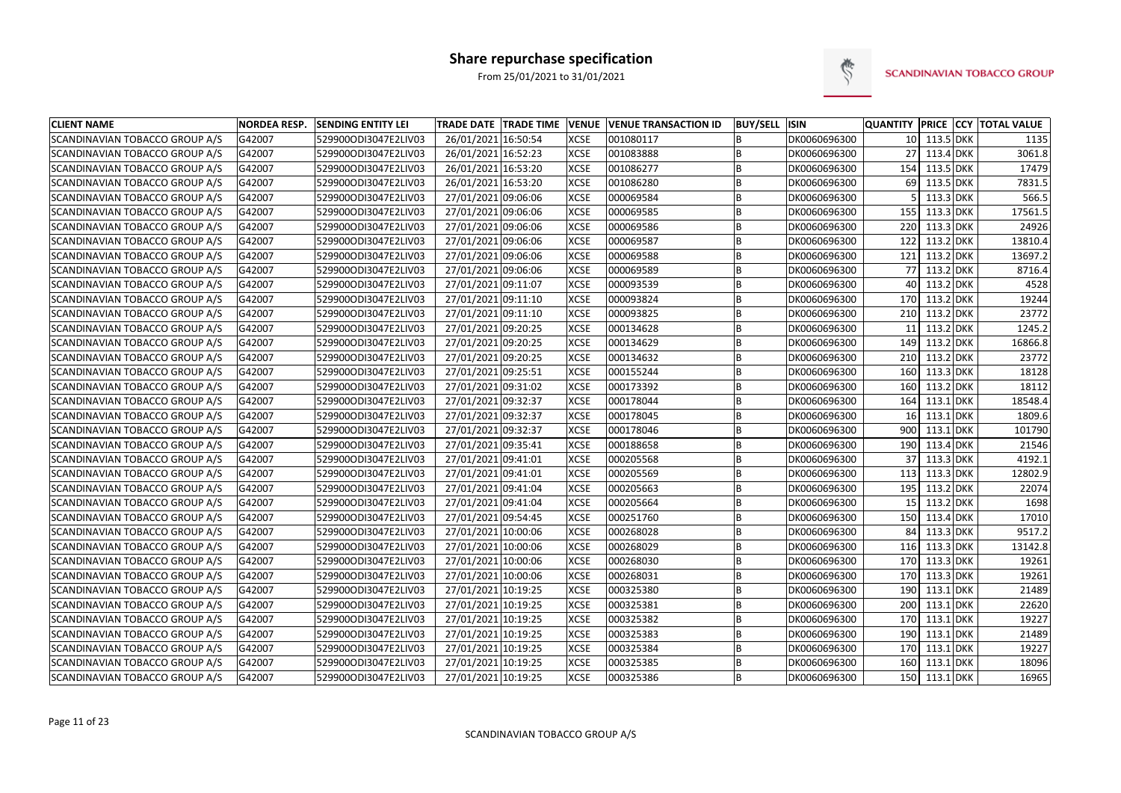

| <b>CLIENT NAME</b>             | <b>NORDEA RESP.</b> | <b>SENDING ENTITY LEI</b> | <b>TRADE DATE TRADE TIME</b> | <b>VENUE</b> | <b>VENUE TRANSACTION ID</b> | <b>BUY/SELL ISIN</b> |              |                 |               | QUANTITY PRICE CCY TOTAL VALUE |
|--------------------------------|---------------------|---------------------------|------------------------------|--------------|-----------------------------|----------------------|--------------|-----------------|---------------|--------------------------------|
| SCANDINAVIAN TOBACCO GROUP A/S | G42007              | 529900ODI3047E2LIV03      | 26/01/2021 16:50:54          | <b>XCSE</b>  | 001080117                   |                      | DK0060696300 |                 | 10 113.5 DKK  | 1135                           |
| SCANDINAVIAN TOBACCO GROUP A/S | G42007              | 529900ODI3047E2LIV03      | 26/01/2021 16:52:23          | <b>XCSE</b>  | 001083888                   | B                    | DK0060696300 | 27              | 113.4 DKK     | 3061.8                         |
| SCANDINAVIAN TOBACCO GROUP A/S | G42007              | 529900ODI3047E2LIV03      | 26/01/2021 16:53:20          | <b>XCSE</b>  | 001086277                   | B                    | DK0060696300 | 154             | 113.5 DKK     | 17479                          |
| SCANDINAVIAN TOBACCO GROUP A/S | G42007              | 529900ODI3047E2LIV03      | 26/01/2021 16:53:20          | <b>XCSE</b>  | 001086280                   | B                    | DK0060696300 | 69              | 113.5 DKK     | 7831.5                         |
| SCANDINAVIAN TOBACCO GROUP A/S | G42007              | 529900ODI3047E2LIV03      | 27/01/2021 09:06:06          | <b>XCSE</b>  | 000069584                   | B                    | DK0060696300 |                 | 113.3 DKK     | 566.5                          |
| SCANDINAVIAN TOBACCO GROUP A/S | G42007              | 529900ODI3047E2LIV03      | 27/01/2021 09:06:06          | <b>XCSE</b>  | 000069585                   | B                    | DK0060696300 | 155             | 113.3 DKK     | 17561.5                        |
| SCANDINAVIAN TOBACCO GROUP A/S | G42007              | 529900ODI3047E2LIV03      | 27/01/2021 09:06:06          | <b>XCSE</b>  | 000069586                   | B                    | DK0060696300 | 220             | 113.3 DKK     | 24926                          |
| SCANDINAVIAN TOBACCO GROUP A/S | G42007              | 529900ODI3047E2LIV03      | 27/01/2021 09:06:06          | <b>XCSE</b>  | 000069587                   | B                    | DK0060696300 | 122             | 113.2 DKK     | 13810.4                        |
| SCANDINAVIAN TOBACCO GROUP A/S | G42007              | 529900ODI3047E2LIV03      | 27/01/2021 09:06:06          | <b>XCSE</b>  | 000069588                   | B                    | DK0060696300 | 121             | 113.2 DKK     | 13697.2                        |
| SCANDINAVIAN TOBACCO GROUP A/S | G42007              | 529900ODI3047E2LIV03      | 27/01/2021 09:06:06          | <b>XCSE</b>  | 000069589                   | B                    | DK0060696300 | 77 I            | 113.2 DKK     | 8716.4                         |
| SCANDINAVIAN TOBACCO GROUP A/S | G42007              | 529900ODI3047E2LIV03      | 27/01/2021 09:11:07          | <b>XCSE</b>  | 000093539                   | B                    | DK0060696300 | 40              | 113.2 DKK     | 4528                           |
| SCANDINAVIAN TOBACCO GROUP A/S | G42007              | 529900ODI3047E2LIV03      | 27/01/2021 09:11:10          | <b>XCSE</b>  | 000093824                   | B                    | DK0060696300 | 170             | 113.2 DKK     | 19244                          |
| SCANDINAVIAN TOBACCO GROUP A/S | G42007              | 529900ODI3047E2LIV03      | 27/01/2021 09:11:10          | <b>XCSE</b>  | 000093825                   | B                    | DK0060696300 | 210             | 113.2 DKK     | 23772                          |
| SCANDINAVIAN TOBACCO GROUP A/S | G42007              | 529900ODI3047E2LIV03      | 27/01/2021 09:20:25          | <b>XCSE</b>  | 000134628                   | B                    | DK0060696300 | 11              | 113.2 DKK     | 1245.2                         |
| SCANDINAVIAN TOBACCO GROUP A/S | G42007              | 529900ODI3047E2LIV03      | 27/01/2021 09:20:25          | <b>XCSE</b>  | 000134629                   | B                    | DK0060696300 | 149             | 113.2 DKK     | 16866.8                        |
| SCANDINAVIAN TOBACCO GROUP A/S | G42007              | 529900ODI3047E2LIV03      | 27/01/2021 09:20:25          | <b>XCSE</b>  | 000134632                   | B                    | DK0060696300 | 210             | 113.2 DKK     | 23772                          |
| SCANDINAVIAN TOBACCO GROUP A/S | G42007              | 529900ODI3047E2LIV03      | 27/01/2021 09:25:51          | <b>XCSE</b>  | 000155244                   | B                    | DK0060696300 | 160             | 113.3 DKK     | 18128                          |
| SCANDINAVIAN TOBACCO GROUP A/S | G42007              | 529900ODI3047E2LIV03      | 27/01/2021 09:31:02          | <b>XCSE</b>  | 000173392                   | B                    | DK0060696300 | 160             | 113.2 DKK     | 18112                          |
| SCANDINAVIAN TOBACCO GROUP A/S | G42007              | 529900ODI3047E2LIV03      | 27/01/2021 09:32:37          | <b>XCSE</b>  | 000178044                   | B                    | DK0060696300 | 164             | 113.1 DKK     | 18548.4                        |
| SCANDINAVIAN TOBACCO GROUP A/S | G42007              | 529900ODI3047E2LIV03      | 27/01/2021 09:32:37          | <b>XCSE</b>  | 000178045                   | B                    | DK0060696300 | 16 <sup>1</sup> | 113.1 DKK     | 1809.6                         |
| SCANDINAVIAN TOBACCO GROUP A/S | G42007              | 529900ODI3047E2LIV03      | 27/01/2021 09:32:37          | <b>XCSE</b>  | 000178046                   | B                    | DK0060696300 | 900             | 113.1 DKK     | 101790                         |
| SCANDINAVIAN TOBACCO GROUP A/S | G42007              | 529900ODI3047E2LIV03      | 27/01/2021 09:35:41          | <b>XCSE</b>  | 000188658                   | B                    | DK0060696300 | 190             | 113.4 DKK     | 21546                          |
| SCANDINAVIAN TOBACCO GROUP A/S | G42007              | 529900ODI3047E2LIV03      | 27/01/2021 09:41:01          | <b>XCSE</b>  | 000205568                   | B                    | DK0060696300 | 37              | 113.3 DKK     | 4192.1                         |
| SCANDINAVIAN TOBACCO GROUP A/S | G42007              | 529900ODI3047E2LIV03      | 27/01/2021 09:41:01          | <b>XCSE</b>  | 000205569                   | B                    | DK0060696300 | 113             | 113.3 DKK     | 12802.9                        |
| SCANDINAVIAN TOBACCO GROUP A/S | G42007              | 529900ODI3047E2LIV03      | 27/01/2021 09:41:04          | <b>XCSE</b>  | 000205663                   | B                    | DK0060696300 | 195             | 113.2 DKK     | 22074                          |
| SCANDINAVIAN TOBACCO GROUP A/S | G42007              | 529900ODI3047E2LIV03      | 27/01/2021 09:41:04          | <b>XCSE</b>  | 000205664                   | B                    | DK0060696300 | 15              | 113.2 DKK     | 1698                           |
| SCANDINAVIAN TOBACCO GROUP A/S | G42007              | 529900ODI3047E2LIV03      | 27/01/2021 09:54:45          | <b>XCSE</b>  | 000251760                   | B                    | DK0060696300 | 150             | 113.4 DKK     | 17010                          |
| SCANDINAVIAN TOBACCO GROUP A/S | G42007              | 529900ODI3047E2LIV03      | 27/01/2021 10:00:06          | <b>XCSE</b>  | 000268028                   | B                    | DK0060696300 | 84              | $113.3$ DKK   | 9517.2                         |
| SCANDINAVIAN TOBACCO GROUP A/S | G42007              | 529900ODI3047E2LIV03      | 27/01/2021 10:00:06          | <b>XCSE</b>  | 000268029                   | B                    | DK0060696300 | 116             | 113.3 DKK     | 13142.8                        |
| SCANDINAVIAN TOBACCO GROUP A/S | G42007              | 529900ODI3047E2LIV03      | 27/01/2021 10:00:06          | <b>XCSE</b>  | 000268030                   | B                    | DK0060696300 | 170             | 113.3 DKK     | 19261                          |
| SCANDINAVIAN TOBACCO GROUP A/S | G42007              | 529900ODI3047E2LIV03      | 27/01/2021 10:00:06          | <b>XCSE</b>  | 000268031                   | B                    | DK0060696300 | 170             | 113.3 DKK     | 19261                          |
| SCANDINAVIAN TOBACCO GROUP A/S | G42007              | 529900ODI3047E2LIV03      | 27/01/2021 10:19:25          | <b>XCSE</b>  | 000325380                   | B                    | DK0060696300 | 190             | $113.1$ DKK   | 21489                          |
| SCANDINAVIAN TOBACCO GROUP A/S | G42007              | 529900ODI3047E2LIV03      | 27/01/2021 10:19:25          | <b>XCSE</b>  | 000325381                   | B                    | DK0060696300 | 200             | $113.1$ DKK   | 22620                          |
| SCANDINAVIAN TOBACCO GROUP A/S | G42007              | 529900ODI3047E2LIV03      | 27/01/2021 10:19:25          | <b>XCSE</b>  | 000325382                   | B                    | DK0060696300 | 170             | 113.1 DKK     | 19227                          |
| SCANDINAVIAN TOBACCO GROUP A/S | G42007              | 529900ODI3047E2LIV03      | 27/01/2021 10:19:25          | <b>XCSE</b>  | 000325383                   | B                    | DK0060696300 | 190             | $113.1$ DKK   | 21489                          |
| SCANDINAVIAN TOBACCO GROUP A/S | G42007              | 529900ODI3047E2LIV03      | 27/01/2021 10:19:25          | <b>XCSE</b>  | 000325384                   |                      | DK0060696300 | 170             | $113.1$ DKK   | 19227                          |
| SCANDINAVIAN TOBACCO GROUP A/S | G42007              | 529900ODI3047E2LIV03      | 27/01/2021 10:19:25          | <b>XCSE</b>  | 000325385                   | B                    | DK0060696300 | 160             | 113.1 DKK     | 18096                          |
| SCANDINAVIAN TOBACCO GROUP A/S | G42007              | 529900ODI3047E2LIV03      | 27/01/2021 10:19:25          | <b>XCSE</b>  | 000325386                   | B                    | DK0060696300 |                 | 150 113.1 DKK | 16965                          |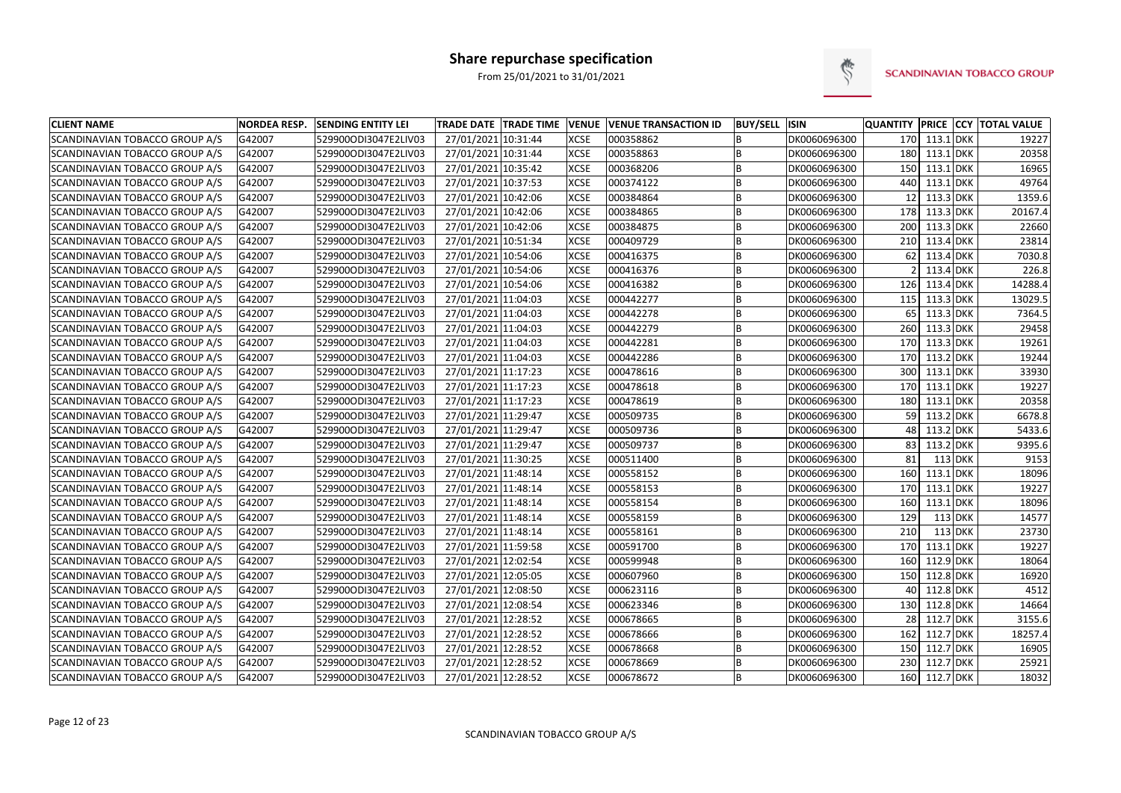

| <b>CLIENT NAME</b>                    | <b>NORDEA RESP.</b> | <b>SENDING ENTITY LEI</b> | <b>TRADE DATE TRADE TIME</b> | <b>VENUE</b> | <b>VENUE TRANSACTION ID</b> | <b>BUY/SELL ISIN</b> |              |     |               |           | <b>QUANTITY PRICE CCY TOTAL VALUE</b> |
|---------------------------------------|---------------------|---------------------------|------------------------------|--------------|-----------------------------|----------------------|--------------|-----|---------------|-----------|---------------------------------------|
| SCANDINAVIAN TOBACCO GROUP A/S        | G42007              | 529900ODI3047E2LIV03      | 27/01/2021 10:31:44          | <b>XCSE</b>  | 000358862                   | B                    | DK0060696300 |     | 170 113.1 DKK |           | 19227                                 |
| SCANDINAVIAN TOBACCO GROUP A/S        | G42007              | 529900ODI3047E2LIV03      | 27/01/2021 10:31:44          | <b>XCSE</b>  | 000358863                   | B                    | DK0060696300 | 180 | 113.1 DKK     |           | 20358                                 |
| SCANDINAVIAN TOBACCO GROUP A/S        | G42007              | 529900ODI3047E2LIV03      | 27/01/2021 10:35:42          | <b>XCSE</b>  | 000368206                   | B                    | DK0060696300 | 150 | 113.1 DKK     |           | 16965                                 |
| <b>SCANDINAVIAN TOBACCO GROUP A/S</b> | G42007              | 529900ODI3047E2LIV03      | 27/01/2021 10:37:53          | <b>XCSE</b>  | 000374122                   | B                    | DK0060696300 | 440 | $113.1$ DKK   |           | 49764                                 |
| SCANDINAVIAN TOBACCO GROUP A/S        | G42007              | 529900ODI3047E2LIV03      | 27/01/2021 10:42:06          | <b>XCSE</b>  | 000384864                   | B                    | DK0060696300 | 12  | 113.3 DKK     |           | 1359.6                                |
| SCANDINAVIAN TOBACCO GROUP A/S        | G42007              | 529900ODI3047E2LIV03      | 27/01/2021 10:42:06          | <b>XCSE</b>  | 000384865                   | B                    | DK0060696300 | 178 | 113.3 DKK     |           | 20167.4                               |
| SCANDINAVIAN TOBACCO GROUP A/S        | G42007              | 529900ODI3047E2LIV03      | 27/01/2021 10:42:06          | <b>XCSE</b>  | 000384875                   | B                    | DK0060696300 | 200 | 113.3 DKK     |           | 22660                                 |
| SCANDINAVIAN TOBACCO GROUP A/S        | G42007              | 529900ODI3047E2LIV03      | 27/01/2021 10:51:34          | <b>XCSE</b>  | 000409729                   | B                    | DK0060696300 | 210 | 113.4 DKK     |           | 23814                                 |
| SCANDINAVIAN TOBACCO GROUP A/S        | G42007              | 529900ODI3047E2LIV03      | 27/01/2021 10:54:06          | <b>XCSE</b>  | 000416375                   | B                    | DK0060696300 | 62  | 113.4 DKK     |           | 7030.8                                |
| SCANDINAVIAN TOBACCO GROUP A/S        | G42007              | 529900ODI3047E2LIV03      | 27/01/2021 10:54:06          | <b>XCSE</b>  | 000416376                   | B                    | DK0060696300 |     | 113.4 DKK     |           | 226.8                                 |
| SCANDINAVIAN TOBACCO GROUP A/S        | G42007              | 529900ODI3047E2LIV03      | 27/01/2021 10:54:06          | <b>XCSE</b>  | 000416382                   | B                    | DK0060696300 | 126 | $113.4$ DKK   |           | 14288.4                               |
| SCANDINAVIAN TOBACCO GROUP A/S        | G42007              | 529900ODI3047E2LIV03      | 27/01/2021 11:04:03          | <b>XCSE</b>  | 000442277                   | B                    | DK0060696300 | 115 | 113.3 DKK     |           | 13029.5                               |
| SCANDINAVIAN TOBACCO GROUP A/S        | G42007              | 529900ODI3047E2LIV03      | 27/01/2021 11:04:03          | <b>XCSE</b>  | 000442278                   | B                    | DK0060696300 | 65  | 113.3 DKK     |           | 7364.5                                |
| SCANDINAVIAN TOBACCO GROUP A/S        | G42007              | 529900ODI3047E2LIV03      | 27/01/2021 11:04:03          | <b>XCSE</b>  | 000442279                   | <b>B</b>             | DK0060696300 |     | 260 113.3 DKK |           | 29458                                 |
| SCANDINAVIAN TOBACCO GROUP A/S        | G42007              | 529900ODI3047E2LIV03      | 27/01/2021 11:04:03          | <b>XCSE</b>  | 000442281                   | B                    | DK0060696300 | 170 | 113.3 DKK     |           | 19261                                 |
| SCANDINAVIAN TOBACCO GROUP A/S        | G42007              | 529900ODI3047E2LIV03      | 27/01/2021 11:04:03          | <b>XCSE</b>  | 000442286                   | B                    | DK0060696300 | 170 | 113.2 DKK     |           | 19244                                 |
| SCANDINAVIAN TOBACCO GROUP A/S        | G42007              | 529900ODI3047E2LIV03      | 27/01/2021 11:17:23          | <b>XCSE</b>  | 000478616                   | B                    | DK0060696300 | 300 | $113.1$ DKK   |           | 33930                                 |
| SCANDINAVIAN TOBACCO GROUP A/S        | G42007              | 529900ODI3047E2LIV03      | 27/01/2021 11:17:23          | <b>XCSE</b>  | 000478618                   | B                    | DK0060696300 | 170 | $113.1$ DKK   |           | 19227                                 |
| SCANDINAVIAN TOBACCO GROUP A/S        | G42007              | 529900ODI3047E2LIV03      | 27/01/2021 11:17:23          | <b>XCSE</b>  | 000478619                   | <b>B</b>             | DK0060696300 | 180 | 113.1 DKK     |           | 20358                                 |
| SCANDINAVIAN TOBACCO GROUP A/S        | G42007              | 529900ODI3047E2LIV03      | 27/01/2021 11:29:47          | <b>XCSE</b>  | 000509735                   | B                    | DK0060696300 | 59  | 113.2 DKK     |           | 6678.8                                |
| SCANDINAVIAN TOBACCO GROUP A/S        | G42007              | 529900ODI3047E2LIV03      | 27/01/2021 11:29:47          | <b>XCSE</b>  | 000509736                   | B                    | DK0060696300 | 48  | 113.2 DKK     |           | 5433.6                                |
| SCANDINAVIAN TOBACCO GROUP A/S        | G42007              | 529900ODI3047E2LIV03      | 27/01/2021 11:29:47          | <b>XCSE</b>  | 000509737                   | B                    | DK0060696300 | 83  | 113.2 DKK     |           | 9395.6                                |
| SCANDINAVIAN TOBACCO GROUP A/S        | G42007              | 529900ODI3047E2LIV03      | 27/01/2021 11:30:25          | <b>XCSE</b>  | 000511400                   | B                    | DK0060696300 | 81  |               | 113 DKK   | 9153                                  |
| SCANDINAVIAN TOBACCO GROUP A/S        | G42007              | 529900ODI3047E2LIV03      | 27/01/2021 11:48:14          | <b>XCSE</b>  | 000558152                   | B                    | DK0060696300 | 160 | 113.1 DKK     |           | 18096                                 |
| SCANDINAVIAN TOBACCO GROUP A/S        | G42007              | 529900ODI3047E2LIV03      | 27/01/2021 11:48:14          | <b>XCSE</b>  | 000558153                   | B                    | DK0060696300 |     | 170 113.1 DKK |           | 19227                                 |
| SCANDINAVIAN TOBACCO GROUP A/S        | G42007              | 529900ODI3047E2LIV03      | 27/01/2021 11:48:14          | <b>XCSE</b>  | 000558154                   | <b>B</b>             | DK0060696300 | 160 | 113.1 DKK     |           | 18096                                 |
| SCANDINAVIAN TOBACCO GROUP A/S        | G42007              | 529900ODI3047E2LIV03      | 27/01/2021 11:48:14          | <b>XCSE</b>  | 000558159                   | B                    | DK0060696300 | 129 |               | 113 DKK   | 14577                                 |
| SCANDINAVIAN TOBACCO GROUP A/S        | G42007              | 529900ODI3047E2LIV03      | 27/01/2021 11:48:14          | <b>XCSE</b>  | 000558161                   | B                    | DK0060696300 | 210 |               | $113$ DKK | 23730                                 |
| SCANDINAVIAN TOBACCO GROUP A/S        | G42007              | 529900ODI3047E2LIV03      | 27/01/2021 11:59:58          | <b>XCSE</b>  | 000591700                   | B                    | DK0060696300 | 170 | 113.1 DKK     |           | 19227                                 |
| SCANDINAVIAN TOBACCO GROUP A/S        | G42007              | 529900ODI3047E2LIV03      | 27/01/2021 12:02:54          | <b>XCSE</b>  | 000599948                   | B                    | DK0060696300 | 160 | 112.9 DKK     |           | 18064                                 |
| SCANDINAVIAN TOBACCO GROUP A/S        | G42007              | 529900ODI3047E2LIV03      | 27/01/2021 12:05:05          | <b>XCSE</b>  | 000607960                   | B                    | DK0060696300 | 150 | 112.8 DKK     |           | 16920                                 |
| SCANDINAVIAN TOBACCO GROUP A/S        | G42007              | 529900ODI3047E2LIV03      | 27/01/2021 12:08:50          | <b>XCSE</b>  | 000623116                   | B                    | DK0060696300 | 40  | 112.8 DKK     |           | 4512                                  |
| SCANDINAVIAN TOBACCO GROUP A/S        | G42007              | 529900ODI3047E2LIV03      | 27/01/2021 12:08:54          | <b>XCSE</b>  | 000623346                   | B                    | DK0060696300 | 130 | 112.8 DKK     |           | 14664                                 |
| SCANDINAVIAN TOBACCO GROUP A/S        | G42007              | 529900ODI3047E2LIV03      | 27/01/2021 12:28:52          | <b>XCSE</b>  | 000678665                   | B                    | DK0060696300 | 28  | 112.7 DKK     |           | 3155.6                                |
| SCANDINAVIAN TOBACCO GROUP A/S        | G42007              | 529900ODI3047E2LIV03      | 27/01/2021 12:28:52          | <b>XCSE</b>  | 000678666                   | B                    | DK0060696300 | 162 | 112.7 DKK     |           | 18257.4                               |
| SCANDINAVIAN TOBACCO GROUP A/S        | G42007              | 529900ODI3047E2LIV03      | 27/01/2021 12:28:52          | <b>XCSE</b>  | 000678668                   | B                    | DK0060696300 |     | 150 112.7 DKK |           | 16905                                 |
| SCANDINAVIAN TOBACCO GROUP A/S        | G42007              | 529900ODI3047E2LIV03      | 27/01/2021 12:28:52          | <b>XCSE</b>  | 000678669                   | B                    | DK0060696300 | 230 | 112.7 DKK     |           | 25921                                 |
| SCANDINAVIAN TOBACCO GROUP A/S        | G42007              | 529900ODI3047E2LIV03      | 27/01/2021 12:28:52          | <b>XCSE</b>  | 000678672                   | B                    | DK0060696300 |     | 160 112.7 DKK |           | 18032                                 |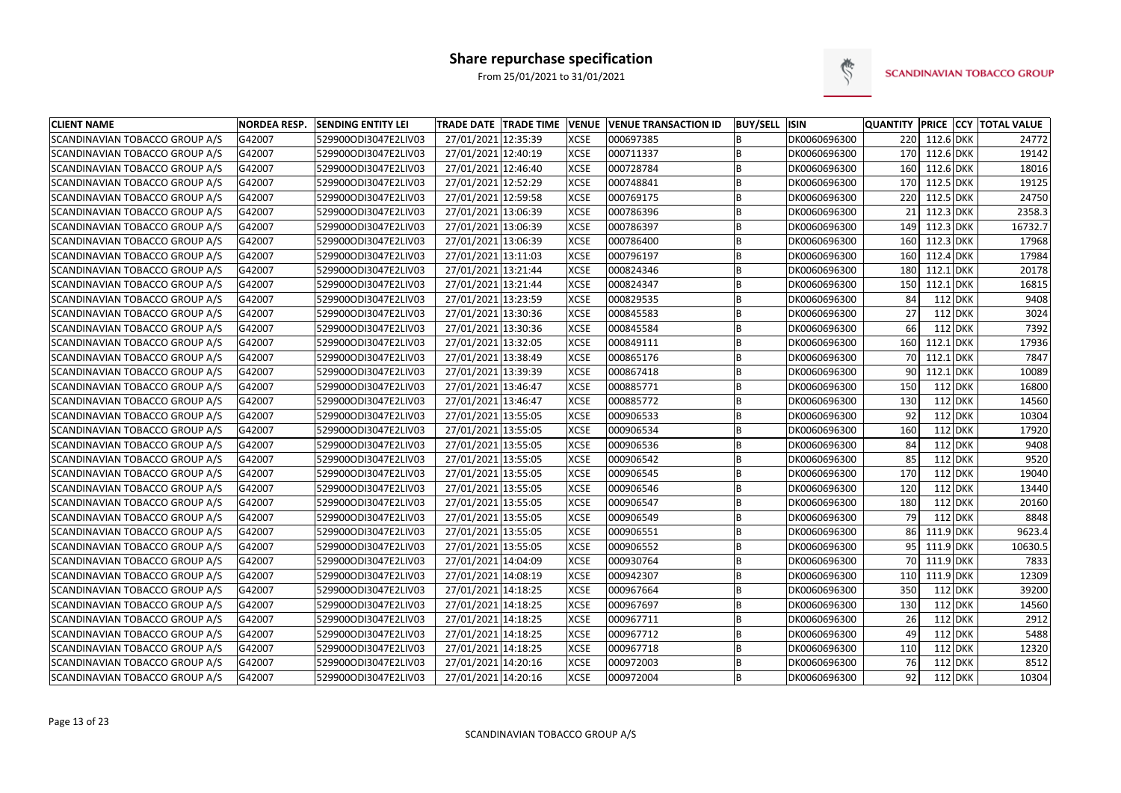

| <b>CLIENT NAME</b>                    | <b>NORDEA RESP.</b> | <b>SENDING ENTITY LEI</b> | <b>TRADE DATE TRADE TIME</b> | <b>VENUE</b> | <b>VENUE TRANSACTION ID</b> | <b>BUY/SELL ISIN</b> |              | <b>QUANTITY</b> |             |           | <b>PRICE CCY TOTAL VALUE</b> |
|---------------------------------------|---------------------|---------------------------|------------------------------|--------------|-----------------------------|----------------------|--------------|-----------------|-------------|-----------|------------------------------|
| SCANDINAVIAN TOBACCO GROUP A/S        | G42007              | 529900ODI3047E2LIV03      | 27/01/2021 12:35:39          | <b>XCSE</b>  | 000697385                   | B                    | DK0060696300 | 220             | 112.6 DKK   |           | 24772                        |
| <b>SCANDINAVIAN TOBACCO GROUP A/S</b> | G42007              | 529900ODI3047E2LIV03      | 27/01/2021 12:40:19          | <b>XCSE</b>  | 000711337                   | B                    | DK0060696300 | 170             | 112.6 DKK   |           | 19142                        |
| SCANDINAVIAN TOBACCO GROUP A/S        | G42007              | 529900ODI3047E2LIV03      | 27/01/2021 12:46:40          | <b>XCSE</b>  | 000728784                   | B                    | DK0060696300 | 160             | 112.6 DKK   |           | 18016                        |
| SCANDINAVIAN TOBACCO GROUP A/S        | G42007              | 529900ODI3047E2LIV03      | 27/01/2021 12:52:29          | <b>XCSE</b>  | 000748841                   | B                    | DK0060696300 | 170             | 112.5 DKK   |           | 19125                        |
| SCANDINAVIAN TOBACCO GROUP A/S        | G42007              | 529900ODI3047E2LIV03      | 27/01/2021 12:59:58          | <b>XCSE</b>  | 000769175                   | B                    | DK0060696300 | 220             | 112.5 DKK   |           | 24750                        |
| SCANDINAVIAN TOBACCO GROUP A/S        | G42007              | 529900ODI3047E2LIV03      | 27/01/2021 13:06:39          | <b>XCSE</b>  | 000786396                   | B                    | DK0060696300 | 21              | 112.3 DKK   |           | 2358.3                       |
| SCANDINAVIAN TOBACCO GROUP A/S        | G42007              | 529900ODI3047E2LIV03      | 27/01/2021 13:06:39          | <b>XCSE</b>  | 000786397                   | B                    | DK0060696300 | 149             | 112.3 DKK   |           | 16732.7                      |
| SCANDINAVIAN TOBACCO GROUP A/S        | G42007              | 529900ODI3047E2LIV03      | 27/01/2021 13:06:39          | <b>XCSE</b>  | 000786400                   | B                    | DK0060696300 | 160             | 112.3 DKK   |           | 17968                        |
| SCANDINAVIAN TOBACCO GROUP A/S        | G42007              | 529900ODI3047E2LIV03      | 27/01/2021 13:11:03          | <b>XCSE</b>  | 000796197                   | B                    | DK0060696300 | 160             | 112.4 DKK   |           | 17984                        |
| SCANDINAVIAN TOBACCO GROUP A/S        | G42007              | 529900ODI3047E2LIV03      | 27/01/2021 13:21:44          | <b>XCSE</b>  | 000824346                   | B                    | DK0060696300 | 180             | 112.1 DKK   |           | 20178                        |
| SCANDINAVIAN TOBACCO GROUP A/S        | G42007              | 529900ODI3047E2LIV03      | 27/01/2021 13:21:44          | <b>XCSE</b>  | 000824347                   | $\overline{B}$       | DK0060696300 | 150             | $112.1$ DKK |           | 16815                        |
| SCANDINAVIAN TOBACCO GROUP A/S        | G42007              | 529900ODI3047E2LIV03      | 27/01/2021 13:23:59          | <b>XCSE</b>  | 000829535                   | B                    | DK0060696300 | 84              |             | 112 DKK   | 9408                         |
| SCANDINAVIAN TOBACCO GROUP A/S        | G42007              | 529900ODI3047E2LIV03      | 27/01/2021 13:30:36          | <b>XCSE</b>  | 000845583                   | B                    | DK0060696300 | 27              |             | 112 DKK   | 3024                         |
| SCANDINAVIAN TOBACCO GROUP A/S        | G42007              | 529900ODI3047E2LIV03      | 27/01/2021 13:30:36          | <b>XCSE</b>  | 000845584                   | B                    | DK0060696300 | 66              |             | $112$ DKK | 7392                         |
| SCANDINAVIAN TOBACCO GROUP A/S        | G42007              | 529900ODI3047E2LIV03      | 27/01/2021 13:32:05          | <b>XCSE</b>  | 000849111                   | B                    | DK0060696300 | 160             | 112.1 DKK   |           | 17936                        |
| SCANDINAVIAN TOBACCO GROUP A/S        | G42007              | 529900ODI3047E2LIV03      | 27/01/2021 13:38:49          | <b>XCSE</b>  | 000865176                   | B                    | DK0060696300 | 70 l            | 112.1 DKK   |           | 7847                         |
| SCANDINAVIAN TOBACCO GROUP A/S        | G42007              | 529900ODI3047E2LIV03      | 27/01/2021 13:39:39          | <b>XCSE</b>  | 000867418                   | B                    | DK0060696300 | 90              | $112.1$ DKK |           | 10089                        |
| SCANDINAVIAN TOBACCO GROUP A/S        | G42007              | 529900ODI3047E2LIV03      | 27/01/2021 13:46:47          | <b>XCSE</b>  | 000885771                   | B                    | DK0060696300 | 150             |             | $112$ DKK | 16800                        |
| SCANDINAVIAN TOBACCO GROUP A/S        | G42007              | 529900ODI3047E2LIV03      | 27/01/2021 13:46:47          | <b>XCSE</b>  | 000885772                   | B                    | DK0060696300 | 130             |             | 112 DKK   | 14560                        |
| SCANDINAVIAN TOBACCO GROUP A/S        | G42007              | 529900ODI3047E2LIV03      | 27/01/2021 13:55:05          | <b>XCSE</b>  | 000906533                   | B                    | DK0060696300 | 92              |             | 112 DKK   | 10304                        |
| SCANDINAVIAN TOBACCO GROUP A/S        | G42007              | 529900ODI3047E2LIV03      | 27/01/2021 13:55:05          | <b>XCSE</b>  | 000906534                   | B                    | DK0060696300 | 160             |             | 112 DKK   | 17920                        |
| SCANDINAVIAN TOBACCO GROUP A/S        | G42007              | 529900ODI3047E2LIV03      | 27/01/2021 13:55:05          | <b>XCSE</b>  | 000906536                   | B                    | DK0060696300 | 84              |             | 112 DKK   | 9408                         |
| SCANDINAVIAN TOBACCO GROUP A/S        | G42007              | 529900ODI3047E2LIV03      | 27/01/2021 13:55:05          | <b>XCSE</b>  | 000906542                   | B                    | DK0060696300 | 85              |             | $112$ DKK | 9520                         |
| SCANDINAVIAN TOBACCO GROUP A/S        | G42007              | 529900ODI3047E2LIV03      | 27/01/2021 13:55:05          | <b>XCSE</b>  | 000906545                   | B                    | DK0060696300 | 170             |             | $112$ DKK | 19040                        |
| SCANDINAVIAN TOBACCO GROUP A/S        | G42007              | 529900ODI3047E2LIV03      | 27/01/2021 13:55:05          | <b>XCSE</b>  | 000906546                   | B                    | DK0060696300 | 120             |             | $112$ DKK | 13440                        |
| SCANDINAVIAN TOBACCO GROUP A/S        | G42007              | 529900ODI3047E2LIV03      | 27/01/2021 13:55:05          | <b>XCSE</b>  | 000906547                   | B                    | DK0060696300 | 180             |             | $112$ DKK | 20160                        |
| SCANDINAVIAN TOBACCO GROUP A/S        | G42007              | 529900ODI3047E2LIV03      | 27/01/2021 13:55:05          | <b>XCSE</b>  | 000906549                   | B                    | DK0060696300 | 79              |             | 112 DKK   | 8848                         |
| SCANDINAVIAN TOBACCO GROUP A/S        | G42007              | 529900ODI3047E2LIV03      | 27/01/2021 13:55:05          | <b>XCSE</b>  | 000906551                   | B                    | DK0060696300 | 86              | 111.9 DKK   |           | 9623.4                       |
| SCANDINAVIAN TOBACCO GROUP A/S        | G42007              | 529900ODI3047E2LIV03      | 27/01/2021 13:55:05          | <b>XCSE</b>  | 000906552                   | B                    | DK0060696300 | 95              | 111.9 DKK   |           | 10630.5                      |
| SCANDINAVIAN TOBACCO GROUP A/S        | G42007              | 529900ODI3047E2LIV03      | 27/01/2021 14:04:09          | <b>XCSE</b>  | 000930764                   | B                    | DK0060696300 | 70              | 111.9 DKK   |           | 7833                         |
| SCANDINAVIAN TOBACCO GROUP A/S        | G42007              | 529900ODI3047E2LIV03      | 27/01/2021 14:08:19          | <b>XCSE</b>  | 000942307                   | B                    | DK0060696300 | 110             | 111.9 DKK   |           | 12309                        |
| SCANDINAVIAN TOBACCO GROUP A/S        | G42007              | 529900ODI3047E2LIV03      | 27/01/2021 14:18:25          | <b>XCSE</b>  | 000967664                   | B                    | DK0060696300 | 350             |             | 112 DKK   | 39200                        |
| SCANDINAVIAN TOBACCO GROUP A/S        | G42007              | 529900ODI3047E2LIV03      | 27/01/2021 14:18:25          | <b>XCSE</b>  | 000967697                   | B                    | DK0060696300 | 130             |             | 112 DKK   | 14560                        |
| SCANDINAVIAN TOBACCO GROUP A/S        | G42007              | 529900ODI3047E2LIV03      | 27/01/2021 14:18:25          | <b>XCSE</b>  | 000967711                   | B                    | DK0060696300 | 26              |             | 112 DKK   | 2912                         |
| SCANDINAVIAN TOBACCO GROUP A/S        | G42007              | 529900ODI3047E2LIV03      | 27/01/2021 14:18:25          | <b>XCSE</b>  | 000967712                   | B                    | DK0060696300 | 49              |             | $112$ DKK | 5488                         |
| SCANDINAVIAN TOBACCO GROUP A/S        | G42007              | 529900ODI3047E2LIV03      | 27/01/2021 14:18:25          | <b>XCSE</b>  | 000967718                   | B                    | DK0060696300 | 110             |             | 112 DKK   | 12320                        |
| SCANDINAVIAN TOBACCO GROUP A/S        | G42007              | 529900ODI3047E2LIV03      | 27/01/2021 14:20:16          | <b>XCSE</b>  | 000972003                   | B                    | DK0060696300 | 76              |             | 112 DKK   | 8512                         |
| SCANDINAVIAN TOBACCO GROUP A/S        | G42007              | 529900ODI3047E2LIV03      | 27/01/2021 14:20:16          | <b>XCSE</b>  | 000972004                   | B                    | DK0060696300 | 92              |             | 112 DKK   | 10304                        |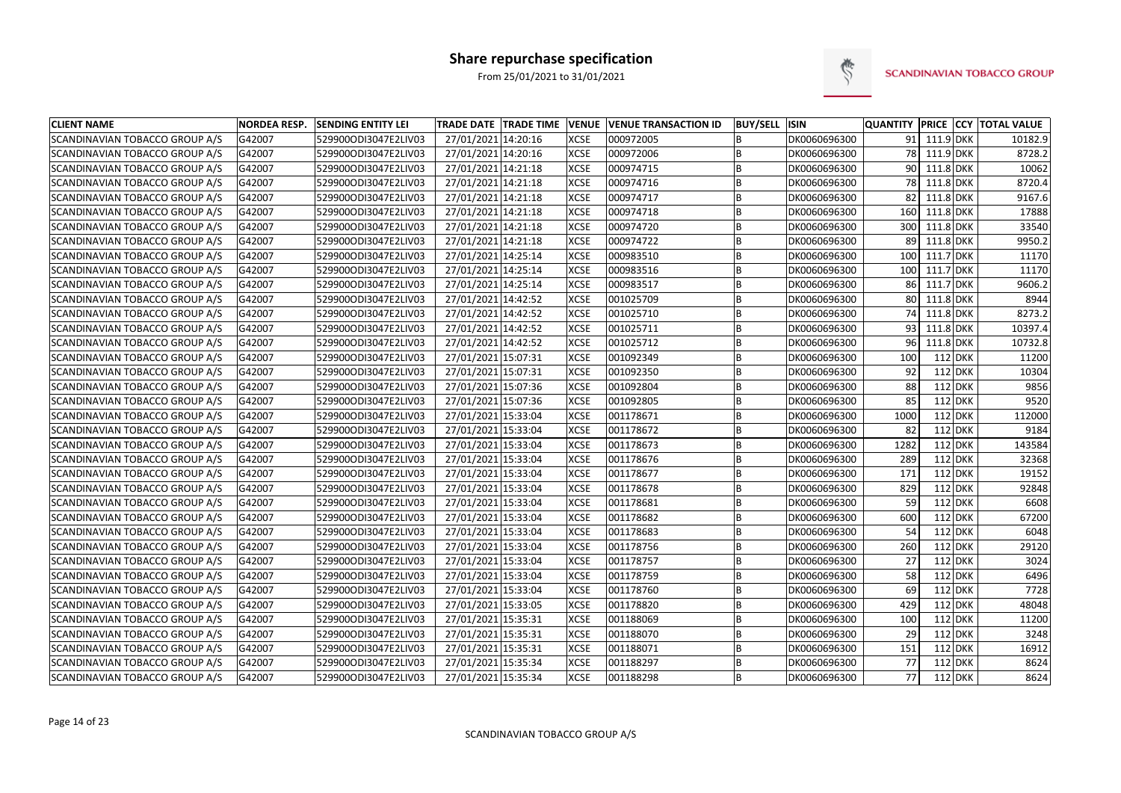

| <b>CLIENT NAME</b>             | <b>NORDEA RESP.</b> | <b>SENDING ENTITY LEI</b> | <b>TRADE DATE TRADE TIME</b> | <b>VENUE</b> | <b>VENUE TRANSACTION ID</b> | <b>BUY/SELL</b> | <b>ISIN</b>  |      |              |         | QUANTITY PRICE CCY TOTAL VALUE |
|--------------------------------|---------------------|---------------------------|------------------------------|--------------|-----------------------------|-----------------|--------------|------|--------------|---------|--------------------------------|
| SCANDINAVIAN TOBACCO GROUP A/S | G42007              | 529900ODI3047E2LIV03      | 27/01/2021 14:20:16          | <b>XCSE</b>  | 000972005                   | B               | DK0060696300 | 91   | 111.9 DKK    |         | 10182.9                        |
| SCANDINAVIAN TOBACCO GROUP A/S | G42007              | 529900ODI3047E2LIV03      | 27/01/2021 14:20:16          | <b>XCSE</b>  | 000972006                   | B               | DK0060696300 |      | 78 111.9 DKK |         | 8728.2                         |
| SCANDINAVIAN TOBACCO GROUP A/S | G42007              | 529900ODI3047E2LIV03      | 27/01/2021 14:21:18          | <b>XCSE</b>  | 000974715                   | B               | DK0060696300 |      | 90 111.8 DKK |         | 10062                          |
| SCANDINAVIAN TOBACCO GROUP A/S | G42007              | 529900ODI3047E2LIV03      | 27/01/2021 14:21:18          | <b>XCSE</b>  | 000974716                   | B               | DK0060696300 |      | 78 111.8 DKK |         | 8720.4                         |
| SCANDINAVIAN TOBACCO GROUP A/S | G42007              | 529900ODI3047E2LIV03      | 27/01/2021 14:21:18          | <b>XCSE</b>  | 000974717                   | B               | DK0060696300 | 82   | 111.8 DKK    |         | 9167.6                         |
| SCANDINAVIAN TOBACCO GROUP A/S | G42007              | 529900ODI3047E2LIV03      | 27/01/2021 14:21:18          | <b>XCSE</b>  | 000974718                   | B               | DK0060696300 | 160  | 111.8 DKK    |         | 17888                          |
| SCANDINAVIAN TOBACCO GROUP A/S | G42007              | 529900ODI3047E2LIV03      | 27/01/2021 14:21:18          | <b>XCSE</b>  | 000974720                   | B               | DK0060696300 | 300  | 111.8 DKK    |         | 33540                          |
| SCANDINAVIAN TOBACCO GROUP A/S | G42007              | 529900ODI3047E2LIV03      | 27/01/2021 14:21:18          | <b>XCSE</b>  | 000974722                   | B               | DK0060696300 | 89   | 111.8 DKK    |         | 9950.2                         |
| SCANDINAVIAN TOBACCO GROUP A/S | G42007              | 529900ODI3047E2LIV03      | 27/01/2021 14:25:14          | <b>XCSE</b>  | 000983510                   | B               | DK0060696300 | 100  | 111.7 DKK    |         | 11170                          |
| SCANDINAVIAN TOBACCO GROUP A/S | G42007              | 529900ODI3047E2LIV03      | 27/01/2021 14:25:14          | <b>XCSE</b>  | 000983516                   | B               | DK0060696300 | 100  | 111.7 DKK    |         | 11170                          |
| SCANDINAVIAN TOBACCO GROUP A/S | G42007              | 529900ODI3047E2LIV03      | 27/01/2021 14:25:14          | <b>XCSE</b>  | 000983517                   | B               | DK0060696300 | 86   | 111.7 DKK    |         | 9606.2                         |
| SCANDINAVIAN TOBACCO GROUP A/S | G42007              | 529900ODI3047E2LIV03      | 27/01/2021 14:42:52          | <b>XCSE</b>  | 001025709                   | B               | DK0060696300 | 80   | 111.8 DKK    |         | 8944                           |
| SCANDINAVIAN TOBACCO GROUP A/S | G42007              | 529900ODI3047E2LIV03      | 27/01/2021 14:42:52          | <b>XCSE</b>  | 001025710                   | B               | DK0060696300 | 74   | 111.8 DKK    |         | 8273.2                         |
| SCANDINAVIAN TOBACCO GROUP A/S | G42007              | 529900ODI3047E2LIV03      | 27/01/2021 14:42:52          | <b>XCSE</b>  | 001025711                   | B               | DK0060696300 | 93   | 111.8 DKK    |         | 10397.4                        |
| SCANDINAVIAN TOBACCO GROUP A/S | G42007              | 529900ODI3047E2LIV03      | 27/01/2021 14:42:52          | <b>XCSE</b>  | 001025712                   | B               | DK0060696300 | 96   | 111.8 DKK    |         | 10732.8                        |
| SCANDINAVIAN TOBACCO GROUP A/S | G42007              | 529900ODI3047E2LIV03      | 27/01/2021 15:07:31          | <b>XCSE</b>  | 001092349                   | B               | DK0060696300 | 100  | 112 DKK      |         | 11200                          |
| SCANDINAVIAN TOBACCO GROUP A/S | G42007              | 529900ODI3047E2LIV03      | 27/01/2021 15:07:31          | <b>XCSE</b>  | 001092350                   | B               | DK0060696300 | 92   | 112 DKK      |         | 10304                          |
| SCANDINAVIAN TOBACCO GROUP A/S | G42007              | 529900ODI3047E2LIV03      | 27/01/2021 15:07:36          | <b>XCSE</b>  | 001092804                   | B               | DK0060696300 | 88   | $112$ DKK    |         | 9856                           |
| SCANDINAVIAN TOBACCO GROUP A/S | G42007              | 529900ODI3047E2LIV03      | 27/01/2021 15:07:36          | <b>XCSE</b>  | 001092805                   | B               | DK0060696300 | 85   | 112 DKK      |         | 9520                           |
| SCANDINAVIAN TOBACCO GROUP A/S | G42007              | 529900ODI3047E2LIV03      | 27/01/2021 15:33:04          | <b>XCSE</b>  | 001178671                   | B               | DK0060696300 | 1000 |              | 112 DKK | 112000                         |
| SCANDINAVIAN TOBACCO GROUP A/S | G42007              | 529900ODI3047E2LIV03      | 27/01/2021 15:33:04          | <b>XCSE</b>  | 001178672                   | B               | DK0060696300 | 82   | 112 DKK      |         | 9184                           |
| SCANDINAVIAN TOBACCO GROUP A/S | G42007              | 529900ODI3047E2LIV03      | 27/01/2021 15:33:04          | <b>XCSE</b>  | 001178673                   | B               | DK0060696300 | 1282 | 112 DKK      |         | 143584                         |
| SCANDINAVIAN TOBACCO GROUP A/S | G42007              | 529900ODI3047E2LIV03      | 27/01/2021 15:33:04          | <b>XCSE</b>  | 001178676                   | B               | DK0060696300 | 289  | 112 DKK      |         | 32368                          |
| SCANDINAVIAN TOBACCO GROUP A/S | G42007              | 529900ODI3047E2LIV03      | 27/01/2021 15:33:04          | <b>XCSE</b>  | 001178677                   | B               | DK0060696300 | 171  | 112 DKK      |         | 19152                          |
| SCANDINAVIAN TOBACCO GROUP A/S | G42007              | 529900ODI3047E2LIV03      | 27/01/2021 15:33:04          | <b>XCSE</b>  | 001178678                   | B               | DK0060696300 | 829  | $112$ DKK    |         | 92848                          |
| SCANDINAVIAN TOBACCO GROUP A/S | G42007              | 529900ODI3047E2LIV03      | 27/01/2021 15:33:04          | <b>XCSE</b>  | 001178681                   | B               | DK0060696300 | 59   | 112 DKK      |         | 6608                           |
| SCANDINAVIAN TOBACCO GROUP A/S | G42007              | 529900ODI3047E2LIV03      | 27/01/2021 15:33:04          | <b>XCSE</b>  | 001178682                   | B               | DK0060696300 | 600  | 112 DKK      |         | 67200                          |
| SCANDINAVIAN TOBACCO GROUP A/S | G42007              | 529900ODI3047E2LIV03      | 27/01/2021 15:33:04          | <b>XCSE</b>  | 001178683                   | B               | DK0060696300 | 54   | 112 DKK      |         | 6048                           |
| SCANDINAVIAN TOBACCO GROUP A/S | G42007              | 529900ODI3047E2LIV03      | 27/01/2021 15:33:04          | <b>XCSE</b>  | 001178756                   | B               | DK0060696300 | 260  | 112 DKK      |         | 29120                          |
| SCANDINAVIAN TOBACCO GROUP A/S | G42007              | 529900ODI3047E2LIV03      | 27/01/2021 15:33:04          | <b>XCSE</b>  | 001178757                   | B               | DK0060696300 | 27   | $112$ DKK    |         | 3024                           |
| SCANDINAVIAN TOBACCO GROUP A/S | G42007              | 529900ODI3047E2LIV03      | 27/01/2021 15:33:04          | <b>XCSE</b>  | 001178759                   | B               | DK0060696300 | 58   | 112 DKK      |         | 6496                           |
| SCANDINAVIAN TOBACCO GROUP A/S | G42007              | 529900ODI3047E2LIV03      | 27/01/2021 15:33:04          | <b>XCSE</b>  | 001178760                   | B               | DK0060696300 | 69   | 112 DKK      |         | 7728                           |
| SCANDINAVIAN TOBACCO GROUP A/S | G42007              | 529900ODI3047E2LIV03      | 27/01/2021 15:33:05          | <b>XCSE</b>  | 001178820                   | B               | DK0060696300 | 429  | 112 DKK      |         | 48048                          |
| SCANDINAVIAN TOBACCO GROUP A/S | G42007              | 529900ODI3047E2LIV03      | 27/01/2021 15:35:31          | <b>XCSE</b>  | 001188069                   | B               | DK0060696300 | 100  | 112 DKK      |         | 11200                          |
| SCANDINAVIAN TOBACCO GROUP A/S | G42007              | 529900ODI3047E2LIV03      | 27/01/2021 15:35:31          | <b>XCSE</b>  | 001188070                   |                 | DK0060696300 | 29   | 112 DKK      |         | 3248                           |
| SCANDINAVIAN TOBACCO GROUP A/S | G42007              | 529900ODI3047E2LIV03      | 27/01/2021 15:35:31          | <b>XCSE</b>  | 001188071                   | B               | DK0060696300 | 151  | 112 DKK      |         | 16912                          |
| SCANDINAVIAN TOBACCO GROUP A/S | G42007              | 529900ODI3047E2LIV03      | 27/01/2021 15:35:34          | <b>XCSE</b>  | 001188297                   | B               | DK0060696300 | 77   |              | 112 DKK | 8624                           |
| SCANDINAVIAN TOBACCO GROUP A/S | G42007              | 529900ODI3047E2LIV03      | 27/01/2021 15:35:34          | <b>XCSE</b>  | 001188298                   | B               | DK0060696300 | 77   | 112 DKK      |         | 8624                           |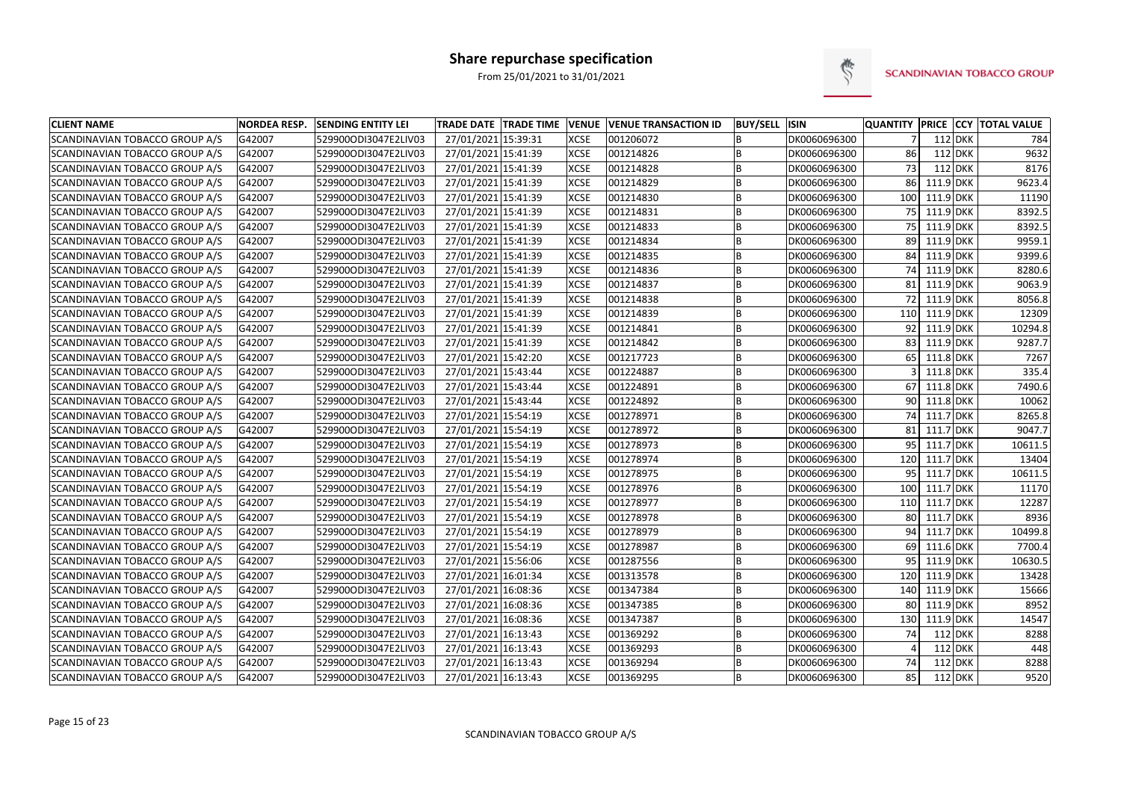

| <b>CLIENT NAME</b>             | <b>NORDEA RESP.</b> | <b>SENDING ENTITY LEI</b> | TRADE DATE TRADE TIME VENUE |             | <b>VENUE TRANSACTION ID</b> | <b>BUY/SELL ISIN</b> |              | <b>QUANTITY</b> |           |         | <b>PRICE CCY TOTAL VALUE</b> |
|--------------------------------|---------------------|---------------------------|-----------------------------|-------------|-----------------------------|----------------------|--------------|-----------------|-----------|---------|------------------------------|
| SCANDINAVIAN TOBACCO GROUP A/S | G42007              | 529900ODI3047E2LIV03      | 27/01/2021 15:39:31         | <b>XCSE</b> | 001206072                   | B                    | DK0060696300 | $\overline{7}$  |           | 112 DKK | 784                          |
| SCANDINAVIAN TOBACCO GROUP A/S | G42007              | 529900ODI3047E2LIV03      | 27/01/2021 15:41:39         | <b>XCSE</b> | 001214826                   | B                    | DK0060696300 | 86              |           | 112 DKK | 9632                         |
| SCANDINAVIAN TOBACCO GROUP A/S | G42007              | 529900ODI3047E2LIV03      | 27/01/2021 15:41:39         | <b>XCSE</b> | 001214828                   | B                    | DK0060696300 | 73              |           | 112 DKK | 8176                         |
| SCANDINAVIAN TOBACCO GROUP A/S | G42007              | 529900ODI3047E2LIV03      | 27/01/2021 15:41:39         | <b>XCSE</b> | 001214829                   | B                    | DK0060696300 | 86              | 111.9 DKK |         | 9623.4                       |
| SCANDINAVIAN TOBACCO GROUP A/S | G42007              | 529900ODI3047E2LIV03      | 27/01/2021 15:41:39         | <b>XCSE</b> | 001214830                   | B                    | DK0060696300 | 100             | 111.9 DKK |         | 11190                        |
| SCANDINAVIAN TOBACCO GROUP A/S | G42007              | 529900ODI3047E2LIV03      | 27/01/2021 15:41:39         | <b>XCSE</b> | 001214831                   | B                    | DK0060696300 | 75              | 111.9 DKK |         | 8392.5                       |
| SCANDINAVIAN TOBACCO GROUP A/S | G42007              | 529900ODI3047E2LIV03      | 27/01/2021 15:41:39         | <b>XCSE</b> | 001214833                   | B                    | DK0060696300 | 75 <sub>1</sub> | 111.9 DKK |         | 8392.5                       |
| SCANDINAVIAN TOBACCO GROUP A/S | G42007              | 529900ODI3047E2LIV03      | 27/01/2021 15:41:39         | <b>XCSE</b> | 001214834                   | B                    | DK0060696300 | 89              | 111.9 DKK |         | 9959.1                       |
| SCANDINAVIAN TOBACCO GROUP A/S | G42007              | 529900ODI3047E2LIV03      | 27/01/2021 15:41:39         | <b>XCSE</b> | 001214835                   | B                    | DK0060696300 | 84              | 111.9 DKK |         | 9399.6                       |
| SCANDINAVIAN TOBACCO GROUP A/S | G42007              | 529900ODI3047E2LIV03      | 27/01/2021 15:41:39         | <b>XCSE</b> | 001214836                   | B                    | DK0060696300 | 74              | 111.9 DKK |         | 8280.6                       |
| SCANDINAVIAN TOBACCO GROUP A/S | G42007              | 529900ODI3047E2LIV03      | 27/01/2021 15:41:39         | <b>XCSE</b> | 001214837                   | B                    | DK0060696300 | 81              | 111.9 DKK |         | 9063.9                       |
| SCANDINAVIAN TOBACCO GROUP A/S | G42007              | 529900ODI3047E2LIV03      | 27/01/2021 15:41:39         | <b>XCSE</b> | 001214838                   | B                    | DK0060696300 | 72              | 111.9 DKK |         | 8056.8                       |
| SCANDINAVIAN TOBACCO GROUP A/S | G42007              | 529900ODI3047E2LIV03      | 27/01/2021 15:41:39         | <b>XCSE</b> | 001214839                   | B                    | DK0060696300 | 110             | 111.9 DKK |         | 12309                        |
| SCANDINAVIAN TOBACCO GROUP A/S | G42007              | 529900ODI3047E2LIV03      | 27/01/2021 15:41:39         | <b>XCSE</b> | 001214841                   | B                    | DK0060696300 | 92              | 111.9 DKK |         | 10294.8                      |
| SCANDINAVIAN TOBACCO GROUP A/S | G42007              | 529900ODI3047E2LIV03      | 27/01/2021 15:41:39         | <b>XCSE</b> | 001214842                   | B                    | DK0060696300 | 83              | 111.9 DKK |         | 9287.7                       |
| SCANDINAVIAN TOBACCO GROUP A/S | G42007              | 529900ODI3047E2LIV03      | 27/01/2021 15:42:20         | <b>XCSE</b> | 001217723                   | B                    | DK0060696300 | 65              | 111.8 DKK |         | 7267                         |
| SCANDINAVIAN TOBACCO GROUP A/S | G42007              | 529900ODI3047E2LIV03      | 27/01/2021 15:43:44         | <b>XCSE</b> | 001224887                   | B                    | DK0060696300 |                 | 111.8 DKK |         | 335.4                        |
| SCANDINAVIAN TOBACCO GROUP A/S | G42007              | 529900ODI3047E2LIV03      | 27/01/2021 15:43:44         | <b>XCSE</b> | 001224891                   | B                    | DK0060696300 | 67              | 111.8 DKK |         | 7490.6                       |
| SCANDINAVIAN TOBACCO GROUP A/S | G42007              | 529900ODI3047E2LIV03      | 27/01/2021 15:43:44         | <b>XCSE</b> | 001224892                   | B                    | DK0060696300 | 90 l            | 111.8 DKK |         | 10062                        |
| SCANDINAVIAN TOBACCO GROUP A/S | G42007              | 529900ODI3047E2LIV03      | 27/01/2021 15:54:19         | <b>XCSE</b> | 001278971                   | B                    | DK0060696300 | 74              | 111.7 DKK |         | 8265.8                       |
| SCANDINAVIAN TOBACCO GROUP A/S | G42007              | 529900ODI3047E2LIV03      | 27/01/2021 15:54:19         | <b>XCSE</b> | 001278972                   | B                    | DK0060696300 | 81              | 111.7 DKK |         | 9047.7                       |
| SCANDINAVIAN TOBACCO GROUP A/S | G42007              | 529900ODI3047E2LIV03      | 27/01/2021 15:54:19         | <b>XCSE</b> | 001278973                   | B                    | DK0060696300 | 95              | 111.7 DKK |         | 10611.5                      |
| SCANDINAVIAN TOBACCO GROUP A/S | G42007              | 529900ODI3047E2LIV03      | 27/01/2021 15:54:19         | <b>XCSE</b> | 001278974                   | B                    | DK0060696300 | 120             | 111.7 DKK |         | 13404                        |
| SCANDINAVIAN TOBACCO GROUP A/S | G42007              | 529900ODI3047E2LIV03      | 27/01/2021 15:54:19         | <b>XCSE</b> | 001278975                   | B                    | DK0060696300 | 95              | 111.7 DKK |         | 10611.5                      |
| SCANDINAVIAN TOBACCO GROUP A/S | G42007              | 529900ODI3047E2LIV03      | 27/01/2021 15:54:19         | <b>XCSE</b> | 001278976                   | B                    | DK0060696300 | 100             | 111.7 DKK |         | 11170                        |
| SCANDINAVIAN TOBACCO GROUP A/S | G42007              | 529900ODI3047E2LIV03      | 27/01/2021 15:54:19         | <b>XCSE</b> | 001278977                   | B                    | DK0060696300 | 110             | 111.7 DKK |         | 12287                        |
| SCANDINAVIAN TOBACCO GROUP A/S | G42007              | 529900ODI3047E2LIV03      | 27/01/2021 15:54:19         | <b>XCSE</b> | 001278978                   | B                    | DK0060696300 | 80              | 111.7 DKK |         | 8936                         |
| SCANDINAVIAN TOBACCO GROUP A/S | G42007              | 529900ODI3047E2LIV03      | 27/01/2021 15:54:19         | <b>XCSE</b> | 001278979                   | B                    | DK0060696300 | 94              | 111.7 DKK |         | 10499.8                      |
| SCANDINAVIAN TOBACCO GROUP A/S | G42007              | 529900ODI3047E2LIV03      | 27/01/2021 15:54:19         | <b>XCSE</b> | 001278987                   | B                    | DK0060696300 | 69              | 111.6 DKK |         | 7700.4                       |
| SCANDINAVIAN TOBACCO GROUP A/S | G42007              | 529900ODI3047E2LIV03      | 27/01/2021 15:56:06         | <b>XCSE</b> | 001287556                   | B                    | DK0060696300 | 95              | 111.9 DKK |         | 10630.5                      |
| SCANDINAVIAN TOBACCO GROUP A/S | G42007              | 529900ODI3047E2LIV03      | 27/01/2021 16:01:34         | <b>XCSE</b> | 001313578                   | B                    | DK0060696300 | 120             | 111.9 DKK |         | 13428                        |
| SCANDINAVIAN TOBACCO GROUP A/S | G42007              | 529900ODI3047E2LIV03      | 27/01/2021 16:08:36         | <b>XCSE</b> | 001347384                   | B                    | DK0060696300 | 140             | 111.9 DKK |         | 15666                        |
| SCANDINAVIAN TOBACCO GROUP A/S | G42007              | 529900ODI3047E2LIV03      | 27/01/2021 16:08:36         | <b>XCSE</b> | 001347385                   | B                    | DK0060696300 | 80              | 111.9 DKK |         | 8952                         |
| SCANDINAVIAN TOBACCO GROUP A/S | G42007              | 529900ODI3047E2LIV03      | 27/01/2021 16:08:36         | <b>XCSE</b> | 001347387                   | B                    | DK0060696300 | 130             | 111.9 DKK |         | 14547                        |
| SCANDINAVIAN TOBACCO GROUP A/S | G42007              | 529900ODI3047E2LIV03      | 27/01/2021 16:13:43         | <b>XCSE</b> | 001369292                   | B                    | DK0060696300 | 74              |           | 112 DKK | 8288                         |
| SCANDINAVIAN TOBACCO GROUP A/S | G42007              | 529900ODI3047E2LIV03      | 27/01/2021 16:13:43         | <b>XCSE</b> | 001369293                   | B                    | DK0060696300 |                 |           | 112 DKK | 448                          |
| SCANDINAVIAN TOBACCO GROUP A/S | G42007              | 529900ODI3047E2LIV03      | 27/01/2021 16:13:43         | <b>XCSE</b> | 001369294                   | B                    | DK0060696300 | 74              |           | 112 DKK | 8288                         |
| SCANDINAVIAN TOBACCO GROUP A/S | G42007              | 529900ODI3047E2LIV03      | 27/01/2021 16:13:43         | <b>XCSE</b> | 001369295                   | B                    | DK0060696300 | 85              |           | 112 DKK | 9520                         |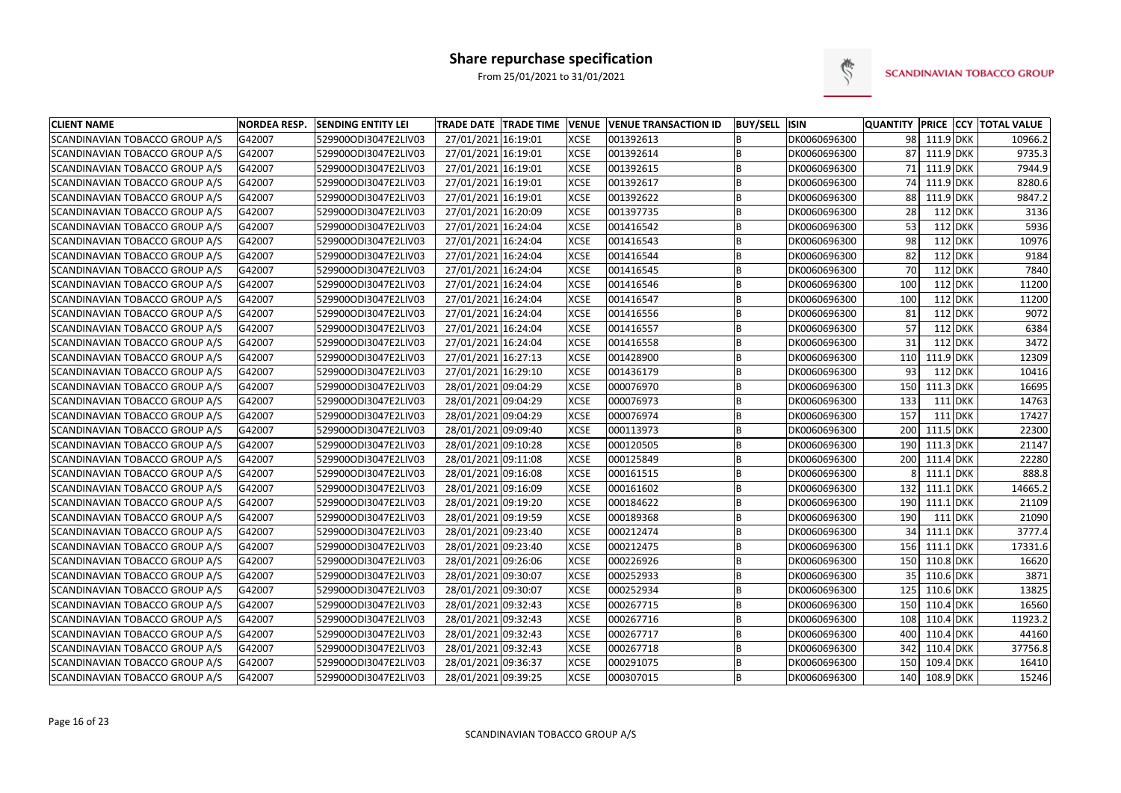

| <b>CLIENT NAME</b>             | <b>NORDEA RESP.</b> | <b>SENDING ENTITY LEI</b> | <b>TRADE DATE TRADE TIME</b> | <b>VENUE</b> | <b>VENUE TRANSACTION ID</b> | <b>BUY/SELL ISIN</b> |              |     |              |                | <b>QUANTITY PRICE CCY TOTAL VALUE</b> |
|--------------------------------|---------------------|---------------------------|------------------------------|--------------|-----------------------------|----------------------|--------------|-----|--------------|----------------|---------------------------------------|
| SCANDINAVIAN TOBACCO GROUP A/S | G42007              | 529900ODI3047E2LIV03      | 27/01/2021 16:19:01          | <b>XCSE</b>  | 001392613                   | B                    | DK0060696300 |     | 98 111.9 DKK |                | 10966.2                               |
| SCANDINAVIAN TOBACCO GROUP A/S | G42007              | 529900ODI3047E2LIV03      | 27/01/2021 16:19:01          | <b>XCSE</b>  | 001392614                   | B                    | DK0060696300 | 87  | 111.9 DKK    |                | 9735.3                                |
| SCANDINAVIAN TOBACCO GROUP A/S | G42007              | 529900ODI3047E2LIV03      | 27/01/2021 16:19:01          | <b>XCSE</b>  | 001392615                   | B                    | DK0060696300 |     | 71 111.9 DKK |                | 7944.9                                |
| SCANDINAVIAN TOBACCO GROUP A/S | G42007              | 529900ODI3047E2LIV03      | 27/01/2021 16:19:01          | <b>XCSE</b>  | 001392617                   | $\overline{B}$       | DK0060696300 | 74  | 111.9 DKK    |                | 8280.6                                |
| SCANDINAVIAN TOBACCO GROUP A/S | G42007              | 529900ODI3047E2LIV03      | 27/01/2021 16:19:01          | <b>XCSE</b>  | 001392622                   | B                    | DK0060696300 | 88  | 111.9 DKK    |                | 9847.2                                |
| SCANDINAVIAN TOBACCO GROUP A/S | G42007              | 529900ODI3047E2LIV03      | 27/01/2021 16:20:09          | <b>XCSE</b>  | 001397735                   | B                    | DK0060696300 | 28  |              | 112 DKK        | 3136                                  |
| SCANDINAVIAN TOBACCO GROUP A/S | G42007              | 529900ODI3047E2LIV03      | 27/01/2021 16:24:04          | <b>XCSE</b>  | 001416542                   | B                    | DK0060696300 | 53  |              | 112 DKK        | 5936                                  |
| SCANDINAVIAN TOBACCO GROUP A/S | G42007              | 529900ODI3047E2LIV03      | 27/01/2021 16:24:04          | <b>XCSE</b>  | 001416543                   | B                    | DK0060696300 | 98  |              | 112 DKK        | 10976                                 |
| SCANDINAVIAN TOBACCO GROUP A/S | G42007              | 529900ODI3047E2LIV03      | 27/01/2021 16:24:04          | <b>XCSE</b>  | 001416544                   | B                    | DK0060696300 | 82  |              | 112 DKK        | 9184                                  |
| SCANDINAVIAN TOBACCO GROUP A/S | G42007              | 529900ODI3047E2LIV03      | 27/01/2021 16:24:04          | <b>XCSE</b>  | 001416545                   | B                    | DK0060696300 | 70  |              | 112 DKK        | 7840                                  |
| SCANDINAVIAN TOBACCO GROUP A/S | G42007              | 529900ODI3047E2LIV03      | 27/01/2021 16:24:04          | <b>XCSE</b>  | 001416546                   | B                    | DK0060696300 | 100 |              | 112 DKK        | 11200                                 |
| SCANDINAVIAN TOBACCO GROUP A/S | G42007              | 529900ODI3047E2LIV03      | 27/01/2021 16:24:04          | <b>XCSE</b>  | 001416547                   | B                    | DK0060696300 | 100 |              | $112$ DKK      | 11200                                 |
| SCANDINAVIAN TOBACCO GROUP A/S | G42007              | 529900ODI3047E2LIV03      | 27/01/2021 16:24:04          | <b>XCSE</b>  | 001416556                   | B                    | DK0060696300 | 81  |              | 112 DKK        | 9072                                  |
| SCANDINAVIAN TOBACCO GROUP A/S | G42007              | 529900ODI3047E2LIV03      | 27/01/2021 16:24:04          | <b>XCSE</b>  | 001416557                   | B                    | DK0060696300 | 57  |              | 112 DKK        | 6384                                  |
| SCANDINAVIAN TOBACCO GROUP A/S | G42007              | 529900ODI3047E2LIV03      | 27/01/2021 16:24:04          | <b>XCSE</b>  | 001416558                   | B                    | DK0060696300 | 31  |              | 112 DKK        | 3472                                  |
| SCANDINAVIAN TOBACCO GROUP A/S | G42007              | 529900ODI3047E2LIV03      | 27/01/2021 16:27:13          | <b>XCSE</b>  | 001428900                   | B                    | DK0060696300 | 110 | 111.9 DKK    |                | 12309                                 |
| SCANDINAVIAN TOBACCO GROUP A/S | G42007              | 529900ODI3047E2LIV03      | 27/01/2021 16:29:10          | <b>XCSE</b>  | 001436179                   | B                    | DK0060696300 | 93  |              | 112 DKK        | 10416                                 |
| SCANDINAVIAN TOBACCO GROUP A/S | G42007              | 529900ODI3047E2LIV03      | 28/01/2021 09:04:29          | <b>XCSE</b>  | 000076970                   | $\overline{B}$       | DK0060696300 | 150 | $111.3$ DKK  |                | 16695                                 |
| SCANDINAVIAN TOBACCO GROUP A/S | G42007              | 529900ODI3047E2LIV03      | 28/01/2021 09:04:29          | <b>XCSE</b>  | 000076973                   | B                    | DK0060696300 | 133 |              | $111$ DKK      | 14763                                 |
| SCANDINAVIAN TOBACCO GROUP A/S | G42007              | 529900ODI3047E2LIV03      | 28/01/2021 09:04:29          | <b>XCSE</b>  | 000076974                   | B                    | DK0060696300 | 157 |              | <b>111 DKK</b> | 17427                                 |
| SCANDINAVIAN TOBACCO GROUP A/S | G42007              | 529900ODI3047E2LIV03      | 28/01/2021 09:09:40          | <b>XCSE</b>  | 000113973                   | B                    | DK0060696300 | 200 | 111.5 DKK    |                | 22300                                 |
| SCANDINAVIAN TOBACCO GROUP A/S | G42007              | 529900ODI3047E2LIV03      | 28/01/2021 09:10:28          | <b>XCSE</b>  | 000120505                   | B                    | DK0060696300 | 190 | 111.3 DKK    |                | 21147                                 |
| SCANDINAVIAN TOBACCO GROUP A/S | G42007              | 529900ODI3047E2LIV03      | 28/01/2021 09:11:08          | <b>XCSE</b>  | 000125849                   | B                    | DK0060696300 | 200 | 111.4 DKK    |                | 22280                                 |
| SCANDINAVIAN TOBACCO GROUP A/S | G42007              | 529900ODI3047E2LIV03      | 28/01/2021 09:16:08          | <b>XCSE</b>  | 000161515                   | B                    | DK0060696300 | 8   | $111.1$ DKK  |                | 888.8                                 |
| SCANDINAVIAN TOBACCO GROUP A/S | G42007              | 529900ODI3047E2LIV03      | 28/01/2021 09:16:09          | <b>XCSE</b>  | 000161602                   | $\overline{B}$       | DK0060696300 | 132 | $111.1$ DKK  |                | 14665.2                               |
| SCANDINAVIAN TOBACCO GROUP A/S | G42007              | 529900ODI3047E2LIV03      | 28/01/2021 09:19:20          | <b>XCSE</b>  | 000184622                   | B                    | DK0060696300 | 190 | 111.1 DKK    |                | 21109                                 |
| SCANDINAVIAN TOBACCO GROUP A/S | G42007              | 529900ODI3047E2LIV03      | 28/01/2021 09:19:59          | <b>XCSE</b>  | 000189368                   | B                    | DK0060696300 | 190 |              | 111 DKK        | 21090                                 |
| SCANDINAVIAN TOBACCO GROUP A/S | G42007              | 529900ODI3047E2LIV03      | 28/01/2021 09:23:40          | <b>XCSE</b>  | 000212474                   | B                    | DK0060696300 | 34  | $111.1$ DKK  |                | 3777.4                                |
| SCANDINAVIAN TOBACCO GROUP A/S | G42007              | 529900ODI3047E2LIV03      | 28/01/2021 09:23:40          | <b>XCSE</b>  | 000212475                   | B                    | DK0060696300 | 156 | 111.1 DKK    |                | 17331.6                               |
| SCANDINAVIAN TOBACCO GROUP A/S | G42007              | 529900ODI3047E2LIV03      | 28/01/2021 09:26:06          | <b>XCSE</b>  | 000226926                   | B                    | DK0060696300 | 150 | 110.8 DKK    |                | 16620                                 |
| SCANDINAVIAN TOBACCO GROUP A/S | G42007              | 529900ODI3047E2LIV03      | 28/01/2021 09:30:07          | <b>XCSE</b>  | 000252933                   | B                    | DK0060696300 | 35  | 110.6 DKK    |                | 3871                                  |
| SCANDINAVIAN TOBACCO GROUP A/S | G42007              | 529900ODI3047E2LIV03      | 28/01/2021 09:30:07          | <b>XCSE</b>  | 000252934                   | $\overline{B}$       | DK0060696300 | 125 | 110.6 DKK    |                | 13825                                 |
| SCANDINAVIAN TOBACCO GROUP A/S | G42007              | 529900ODI3047E2LIV03      | 28/01/2021 09:32:43          | <b>XCSE</b>  | 000267715                   | B                    | DK0060696300 | 150 | 110.4 DKK    |                | 16560                                 |
| SCANDINAVIAN TOBACCO GROUP A/S | G42007              | 529900ODI3047E2LIV03      | 28/01/2021 09:32:43          | <b>XCSE</b>  | 000267716                   | B                    | DK0060696300 | 108 | 110.4 DKK    |                | 11923.2                               |
| SCANDINAVIAN TOBACCO GROUP A/S | G42007              | 529900ODI3047E2LIV03      | 28/01/2021 09:32:43          | <b>XCSE</b>  | 000267717                   | B                    | DK0060696300 | 400 | 110.4 DKK    |                | 44160                                 |
| SCANDINAVIAN TOBACCO GROUP A/S | G42007              | 529900ODI3047E2LIV03      | 28/01/2021 09:32:43          | <b>XCSE</b>  | 000267718                   | B                    | DK0060696300 | 342 | 110.4 DKK    |                | 37756.8                               |
| SCANDINAVIAN TOBACCO GROUP A/S | G42007              | 529900ODI3047E2LIV03      | 28/01/2021 09:36:37          | <b>XCSE</b>  | 000291075                   | B                    | DK0060696300 | 150 | 109.4 DKK    |                | 16410                                 |
| SCANDINAVIAN TOBACCO GROUP A/S | G42007              | 529900ODI3047E2LIV03      | 28/01/2021 09:39:25          | <b>XCSE</b>  | 000307015                   | B                    | DK0060696300 | 140 | 108.9 DKK    |                | 15246                                 |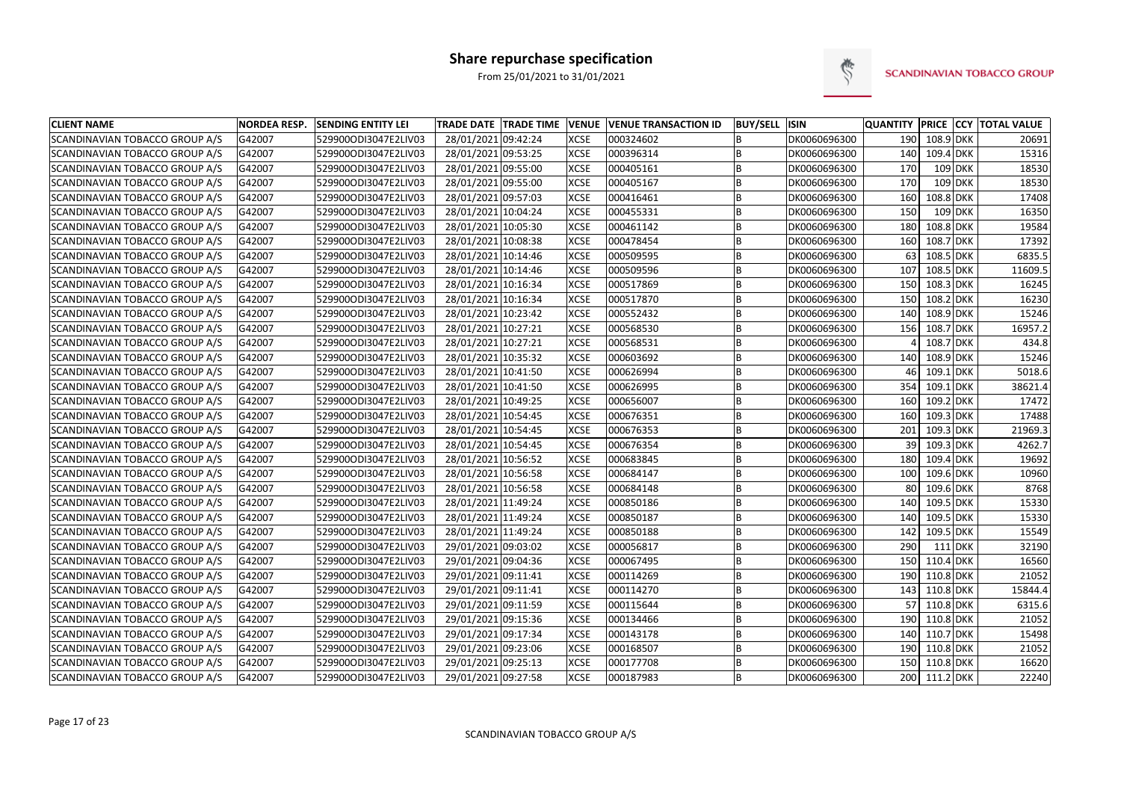

| <b>CLIENT NAME</b>             | <b>NORDEA RESP.</b> | <b>SENDING ENTITY LEI</b> | <b>TRADE DATE TRADE TIME</b> | <b>VENUE</b> | <b>VENUE TRANSACTION ID</b> | <b>BUY/SELL</b> | <b>ISIN</b>  |                 |               |            | QUANTITY PRICE CCY TOTAL VALUE |
|--------------------------------|---------------------|---------------------------|------------------------------|--------------|-----------------------------|-----------------|--------------|-----------------|---------------|------------|--------------------------------|
| SCANDINAVIAN TOBACCO GROUP A/S | G42007              | 529900ODI3047E2LIV03      | 28/01/2021 09:42:24          | <b>XCSE</b>  | 000324602                   | B               | DK0060696300 | 190             | 108.9 DKK     |            | 20691                          |
| SCANDINAVIAN TOBACCO GROUP A/S | G42007              | 529900ODI3047E2LIV03      | 28/01/2021 09:53:25          | <b>XCSE</b>  | 000396314                   | B               | DK0060696300 | 140             | 109.4 DKK     |            | 15316                          |
| SCANDINAVIAN TOBACCO GROUP A/S | G42007              | 529900ODI3047E2LIV03      | 28/01/2021 09:55:00          | <b>XCSE</b>  | 000405161                   | B               | DK0060696300 | 170             | 109 DKK       |            | 18530                          |
| SCANDINAVIAN TOBACCO GROUP A/S | G42007              | 529900ODI3047E2LIV03      | 28/01/2021 09:55:00          | <b>XCSE</b>  | 000405167                   | B               | DK0060696300 | 170             | $109$ DKK     |            | 18530                          |
| SCANDINAVIAN TOBACCO GROUP A/S | G42007              | 529900ODI3047E2LIV03      | 28/01/2021 09:57:03          | <b>XCSE</b>  | 000416461                   | B               | DK0060696300 | 160             | 108.8 DKK     |            | 17408                          |
| SCANDINAVIAN TOBACCO GROUP A/S | G42007              | 529900ODI3047E2LIV03      | 28/01/2021 10:04:24          | <b>XCSE</b>  | 000455331                   | B               | DK0060696300 | 150             | 109 DKK       |            | 16350                          |
| SCANDINAVIAN TOBACCO GROUP A/S | G42007              | 529900ODI3047E2LIV03      | 28/01/2021 10:05:30          | <b>XCSE</b>  | 000461142                   | B               | DK0060696300 | 180             | 108.8 DKK     |            | 19584                          |
| SCANDINAVIAN TOBACCO GROUP A/S | G42007              | 529900ODI3047E2LIV03      | 28/01/2021 10:08:38          | <b>XCSE</b>  | 000478454                   | B               | DK0060696300 | 160             | 108.7 DKK     |            | 17392                          |
| SCANDINAVIAN TOBACCO GROUP A/S | G42007              | 529900ODI3047E2LIV03      | 28/01/2021 10:14:46          | <b>XCSE</b>  | 000509595                   | B               | DK0060696300 | 63              | 108.5 DKK     |            | 6835.5                         |
| SCANDINAVIAN TOBACCO GROUP A/S | G42007              | 529900ODI3047E2LIV03      | 28/01/2021 10:14:46          | <b>XCSE</b>  | 000509596                   | B               | DK0060696300 | 107             | 108.5 DKK     |            | 11609.5                        |
| SCANDINAVIAN TOBACCO GROUP A/S | G42007              | 529900ODI3047E2LIV03      | 28/01/2021 10:16:34          | XCSE         | 000517869                   | B               | DK0060696300 | 150             | 108.3 DKK     |            | 16245                          |
| SCANDINAVIAN TOBACCO GROUP A/S | G42007              | 529900ODI3047E2LIV03      | 28/01/2021 10:16:34          | <b>XCSE</b>  | 000517870                   | B               | DK0060696300 | 150             | 108.2 DKK     |            | 16230                          |
| SCANDINAVIAN TOBACCO GROUP A/S | G42007              | 529900ODI3047E2LIV03      | 28/01/2021 10:23:42          | <b>XCSE</b>  | 000552432                   | B               | DK0060696300 | 140             | 108.9 DKK     |            | 15246                          |
| SCANDINAVIAN TOBACCO GROUP A/S | G42007              | 529900ODI3047E2LIV03      | 28/01/2021 10:27:21          | <b>XCSE</b>  | 000568530                   | B               | DK0060696300 | 156             | 108.7 DKK     |            | 16957.2                        |
| SCANDINAVIAN TOBACCO GROUP A/S | G42007              | 529900ODI3047E2LIV03      | 28/01/2021 10:27:21          | <b>XCSE</b>  | 000568531                   | B               | DK0060696300 |                 | 108.7 DKK     |            | 434.8                          |
| SCANDINAVIAN TOBACCO GROUP A/S | G42007              | 529900ODI3047E2LIV03      | 28/01/2021 10:35:32          | <b>XCSE</b>  | 000603692                   | B               | DK0060696300 | 140             | 108.9 DKK     |            | 15246                          |
| SCANDINAVIAN TOBACCO GROUP A/S | G42007              | 529900ODI3047E2LIV03      | 28/01/2021 10:41:50          | <b>XCSE</b>  | 000626994                   | B               | DK0060696300 | 46 <sup>1</sup> | 109.1         | <b>DKK</b> | 5018.6                         |
| SCANDINAVIAN TOBACCO GROUP A/S | G42007              | 529900ODI3047E2LIV03      | 28/01/2021 10:41:50          | <b>XCSE</b>  | 000626995                   | B               | DK0060696300 | 354             | $109.1$ DKK   |            | 38621.4                        |
| SCANDINAVIAN TOBACCO GROUP A/S | G42007              | 529900ODI3047E2LIV03      | 28/01/2021 10:49:25          | <b>XCSE</b>  | 000656007                   | B               | DK0060696300 | 160             | 109.2 DKK     |            | 17472                          |
| SCANDINAVIAN TOBACCO GROUP A/S | G42007              | 529900ODI3047E2LIV03      | 28/01/2021 10:54:45          | <b>XCSE</b>  | 000676351                   | B               | DK0060696300 | 160             | 109.3 DKK     |            | 17488                          |
| SCANDINAVIAN TOBACCO GROUP A/S | G42007              | 529900ODI3047E2LIV03      | 28/01/2021 10:54:45          | <b>XCSE</b>  | 000676353                   | B               | DK0060696300 | 201             | 109.3 DKK     |            | 21969.3                        |
| SCANDINAVIAN TOBACCO GROUP A/S | G42007              | 529900ODI3047E2LIV03      | 28/01/2021 10:54:45          | <b>XCSE</b>  | 000676354                   | B               | DK0060696300 | 39              | 109.3 DKK     |            | 4262.7                         |
| SCANDINAVIAN TOBACCO GROUP A/S | G42007              | 529900ODI3047E2LIV03      | 28/01/2021 10:56:52          | XCSE         | 000683845                   | B               | DK0060696300 | 180             | 109.4 DKK     |            | 19692                          |
| SCANDINAVIAN TOBACCO GROUP A/S | G42007              | 529900ODI3047E2LIV03      | 28/01/2021 10:56:58          | <b>XCSE</b>  | 000684147                   | B               | DK0060696300 | 100             | 109.6 DKK     |            | 10960                          |
| SCANDINAVIAN TOBACCO GROUP A/S | G42007              | 529900ODI3047E2LIV03      | 28/01/2021 10:56:58          | <b>XCSE</b>  | 000684148                   | B               | DK0060696300 | 80              | 109.6 DKK     |            | 8768                           |
| SCANDINAVIAN TOBACCO GROUP A/S | G42007              | 529900ODI3047E2LIV03      | 28/01/2021 11:49:24          | <b>XCSE</b>  | 000850186                   | B               | DK0060696300 | 140             | 109.5 DKK     |            | 15330                          |
| SCANDINAVIAN TOBACCO GROUP A/S | G42007              | 529900ODI3047E2LIV03      | 28/01/2021 11:49:24          | <b>XCSE</b>  | 000850187                   | B               | DK0060696300 | 140             | 109.5 DKK     |            | 15330                          |
| SCANDINAVIAN TOBACCO GROUP A/S | G42007              | 529900ODI3047E2LIV03      | 28/01/2021 11:49:24          | <b>XCSE</b>  | 000850188                   | B               | DK0060696300 | 142             | 109.5 DKK     |            | 15549                          |
| SCANDINAVIAN TOBACCO GROUP A/S | G42007              | 529900ODI3047E2LIV03      | 29/01/2021 09:03:02          | <b>XCSE</b>  | 000056817                   | B               | DK0060696300 | 290             | 111 DKK       |            | 32190                          |
| SCANDINAVIAN TOBACCO GROUP A/S | G42007              | 529900ODI3047E2LIV03      | 29/01/2021 09:04:36          | <b>XCSE</b>  | 000067495                   | B               | DK0060696300 | 150             | 110.4 DKK     |            | 16560                          |
| SCANDINAVIAN TOBACCO GROUP A/S | G42007              | 529900ODI3047E2LIV03      | 29/01/2021 09:11:41          | <b>XCSE</b>  | 000114269                   | B               | DK0060696300 | 190             | 110.8 DKK     |            | 21052                          |
| SCANDINAVIAN TOBACCO GROUP A/S | G42007              | 529900ODI3047E2LIV03      | 29/01/2021 09:11:41          | <b>XCSE</b>  | 000114270                   | B               | DK0060696300 | 143             | 110.8 DKK     |            | 15844.4                        |
| SCANDINAVIAN TOBACCO GROUP A/S | G42007              | 529900ODI3047E2LIV03      | 29/01/2021 09:11:59          | <b>XCSE</b>  | 000115644                   | B               | DK0060696300 | 57              | 110.8 DKK     |            | 6315.6                         |
| SCANDINAVIAN TOBACCO GROUP A/S | G42007              | 529900ODI3047E2LIV03      | 29/01/2021 09:15:36          | <b>XCSE</b>  | 000134466                   | B               | DK0060696300 | 190             | 110.8 DKK     |            | 21052                          |
| SCANDINAVIAN TOBACCO GROUP A/S | G42007              | 529900ODI3047E2LIV03      | 29/01/2021 09:17:34          | <b>XCSE</b>  | 000143178                   |                 | DK0060696300 | 140             | 110.7 DKK     |            | 15498                          |
| SCANDINAVIAN TOBACCO GROUP A/S | G42007              | 529900ODI3047E2LIV03      | 29/01/2021 09:23:06          | <b>XCSE</b>  | 000168507                   | B               | DK0060696300 | 190             | 110.8 DKK     |            | 21052                          |
| SCANDINAVIAN TOBACCO GROUP A/S | G42007              | 529900ODI3047E2LIV03      | 29/01/2021 09:25:13          | <b>XCSE</b>  | 000177708                   | B               | DK0060696300 | 150             | 110.8 DKK     |            | 16620                          |
| SCANDINAVIAN TOBACCO GROUP A/S | G42007              | 529900ODI3047E2LIV03      | 29/01/2021 09:27:58          | <b>XCSE</b>  | 000187983                   | B               | DK0060696300 |                 | 200 111.2 DKK |            | 22240                          |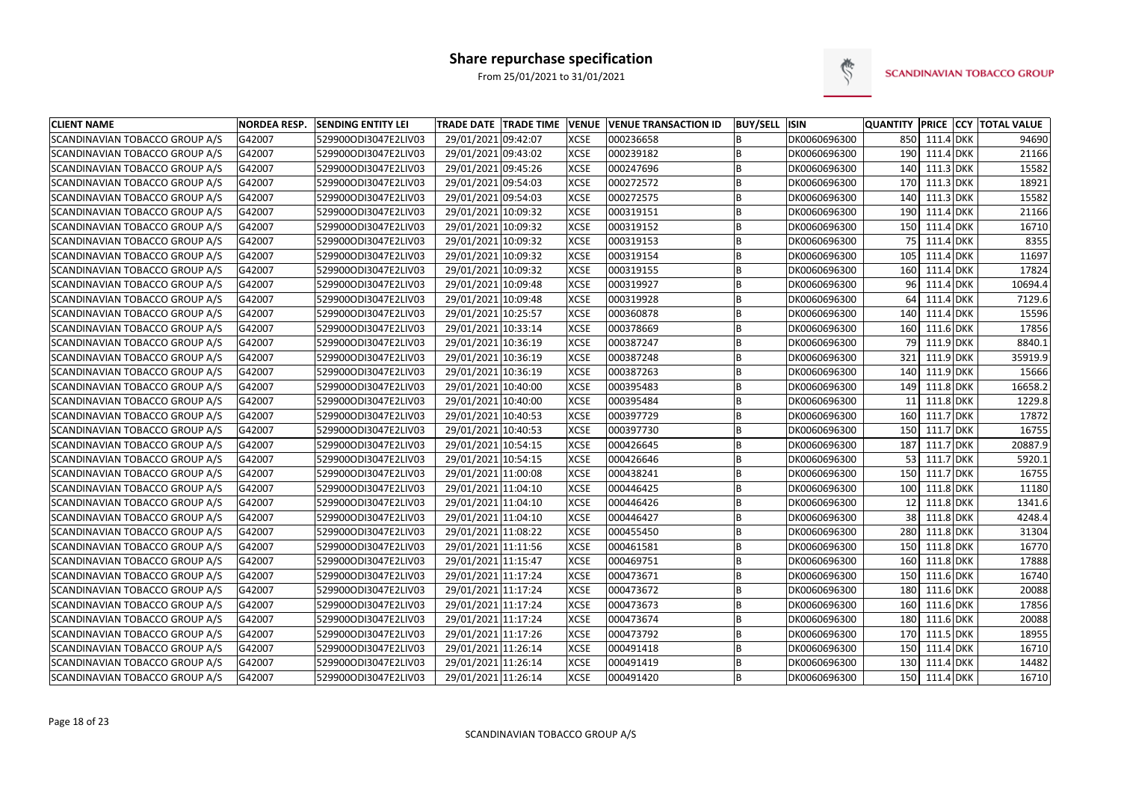

| <b>CLIENT NAME</b>             | <b>NORDEA RESP.</b> | <b>SENDING ENTITY LEI</b> | TRADE DATE TRADE TIME VENUE |             | <b>VENUE TRANSACTION ID</b> | <b>BUY/SELL ISIN</b> |              | <b>QUANTITY</b> |                  | <b>PRICE CCY TOTAL VALUE</b> |
|--------------------------------|---------------------|---------------------------|-----------------------------|-------------|-----------------------------|----------------------|--------------|-----------------|------------------|------------------------------|
| SCANDINAVIAN TOBACCO GROUP A/S | G42007              | 529900ODI3047E2LIV03      | 29/01/2021 09:42:07         | <b>XCSE</b> | 000236658                   | B                    | DK0060696300 | 850             | 111.4 DKK        | 94690                        |
| SCANDINAVIAN TOBACCO GROUP A/S | G42007              | 529900ODI3047E2LIV03      | 29/01/2021 09:43:02         | <b>XCSE</b> | 000239182                   | B                    | DK0060696300 | 190             | 111.4 DKK        | 21166                        |
| SCANDINAVIAN TOBACCO GROUP A/S | G42007              | 529900ODI3047E2LIV03      | 29/01/2021 09:45:26         | <b>XCSE</b> | 000247696                   | B                    | DK0060696300 | 140             | 111.3 DKK        | 15582                        |
| SCANDINAVIAN TOBACCO GROUP A/S | G42007              | 529900ODI3047E2LIV03      | 29/01/2021 09:54:03         | <b>XCSE</b> | 000272572                   | B                    | DK0060696300 | 170             | 111.3 DKK        | 18921                        |
| SCANDINAVIAN TOBACCO GROUP A/S | G42007              | 529900ODI3047E2LIV03      | 29/01/2021 09:54:03         | <b>XCSE</b> | 000272575                   | B                    | DK0060696300 | 140             | 111.3 DKK        | 15582                        |
| SCANDINAVIAN TOBACCO GROUP A/S | G42007              | 529900ODI3047E2LIV03      | 29/01/2021 10:09:32         | <b>XCSE</b> | 000319151                   | B                    | DK0060696300 | 190             | 111.4 DKK        | 21166                        |
| SCANDINAVIAN TOBACCO GROUP A/S | G42007              | 529900ODI3047E2LIV03      | 29/01/2021 10:09:32         | <b>XCSE</b> | 000319152                   | B                    | DK0060696300 | 150             | 111.4 DKK        | 16710                        |
| SCANDINAVIAN TOBACCO GROUP A/S | G42007              | 529900ODI3047E2LIV03      | 29/01/2021 10:09:32         | <b>XCSE</b> | 000319153                   | B                    | DK0060696300 | 75              | 111.4 DKK        | 8355                         |
| SCANDINAVIAN TOBACCO GROUP A/S | G42007              | 529900ODI3047E2LIV03      | 29/01/2021 10:09:32         | <b>XCSE</b> | 000319154                   | B                    | DK0060696300 | 105             | 111.4 DKK        | 11697                        |
| SCANDINAVIAN TOBACCO GROUP A/S | G42007              | 529900ODI3047E2LIV03      | 29/01/2021 10:09:32         | <b>XCSE</b> | 000319155                   | B                    | DK0060696300 | 160             | 111.4 DKK        | 17824                        |
| SCANDINAVIAN TOBACCO GROUP A/S | G42007              | 529900ODI3047E2LIV03      | 29/01/2021 10:09:48         | <b>XCSE</b> | 000319927                   | B                    | DK0060696300 | 96              | $111.4$ DKK      | 10694.4                      |
| SCANDINAVIAN TOBACCO GROUP A/S | G42007              | 529900ODI3047E2LIV03      | 29/01/2021 10:09:48         | <b>XCSE</b> | 000319928                   | B                    | DK0060696300 | 64              | 111.4 DKK        | 7129.6                       |
| SCANDINAVIAN TOBACCO GROUP A/S | G42007              | 529900ODI3047E2LIV03      | 29/01/2021 10:25:57         | <b>XCSE</b> | 000360878                   | B                    | DK0060696300 | 140             | 111.4 DKK        | 15596                        |
| SCANDINAVIAN TOBACCO GROUP A/S | G42007              | 529900ODI3047E2LIV03      | 29/01/2021 10:33:14         | <b>XCSE</b> | 000378669                   | B                    | DK0060696300 | 160             | 111.6 DKK        | 17856                        |
| SCANDINAVIAN TOBACCO GROUP A/S | G42007              | 529900ODI3047E2LIV03      | 29/01/2021 10:36:19         | <b>XCSE</b> | 000387247                   | B                    | DK0060696300 | 79              | 111.9 DKK        | 8840.1                       |
| SCANDINAVIAN TOBACCO GROUP A/S | G42007              | 529900ODI3047E2LIV03      | 29/01/2021 10:36:19         | <b>XCSE</b> | 000387248                   | B                    | DK0060696300 | 321             | 111.9 DKK        | 35919.9                      |
| SCANDINAVIAN TOBACCO GROUP A/S | G42007              | 529900ODI3047E2LIV03      | 29/01/2021 10:36:19         | <b>XCSE</b> | 000387263                   | B                    | DK0060696300 | 140             | 111.9 DKK        | 15666                        |
| SCANDINAVIAN TOBACCO GROUP A/S | G42007              | 529900ODI3047E2LIV03      | 29/01/2021 10:40:00         | <b>XCSE</b> | 000395483                   | B                    | DK0060696300 | 149             | 111.8 DKK        | 16658.2                      |
| SCANDINAVIAN TOBACCO GROUP A/S | G42007              | 529900ODI3047E2LIV03      | 29/01/2021 10:40:00         | <b>XCSE</b> | 000395484                   | B                    | DK0060696300 | 11              | 111.8 DKK        | 1229.8                       |
| SCANDINAVIAN TOBACCO GROUP A/S | G42007              | 529900ODI3047E2LIV03      | 29/01/2021 10:40:53         | <b>XCSE</b> | 000397729                   | B                    | DK0060696300 | 160             | 111.7 DKK        | 17872                        |
| SCANDINAVIAN TOBACCO GROUP A/S | G42007              | 529900ODI3047E2LIV03      | 29/01/2021 10:40:53         | <b>XCSE</b> | 000397730                   | B                    | DK0060696300 | 150             | 111.7 DKK        | 16755                        |
| SCANDINAVIAN TOBACCO GROUP A/S | G42007              | 529900ODI3047E2LIV03      | 29/01/2021 10:54:15         | <b>XCSE</b> | 000426645                   | B                    | DK0060696300 | 187             | 111.7 DKK        | 20887.9                      |
| SCANDINAVIAN TOBACCO GROUP A/S | G42007              | 529900ODI3047E2LIV03      | 29/01/2021 10:54:15         | <b>XCSE</b> | 000426646                   | B                    | DK0060696300 | 53              | <b>111.7 DKK</b> | 5920.1                       |
| SCANDINAVIAN TOBACCO GROUP A/S | G42007              | 529900ODI3047E2LIV03      | 29/01/2021 11:00:08         | <b>XCSE</b> | 000438241                   | B                    | DK0060696300 | 150             | 111.7 DKK        | 16755                        |
| SCANDINAVIAN TOBACCO GROUP A/S | G42007              | 529900ODI3047E2LIV03      | 29/01/2021 11:04:10         | <b>XCSE</b> | 000446425                   | B                    | DK0060696300 | 100             | 111.8 DKK        | 11180                        |
| SCANDINAVIAN TOBACCO GROUP A/S | G42007              | 529900ODI3047E2LIV03      | 29/01/2021 11:04:10         | <b>XCSE</b> | 000446426                   | B                    | DK0060696300 | 12 <sup>1</sup> | 111.8 DKK        | 1341.6                       |
| SCANDINAVIAN TOBACCO GROUP A/S | G42007              | 529900ODI3047E2LIV03      | 29/01/2021 11:04:10         | <b>XCSE</b> | 000446427                   | B                    | DK0060696300 | 38              | 111.8 DKK        | 4248.4                       |
| SCANDINAVIAN TOBACCO GROUP A/S | G42007              | 529900ODI3047E2LIV03      | 29/01/2021 11:08:22         | <b>XCSE</b> | 000455450                   | B                    | DK0060696300 | 280             | 111.8 DKK        | 31304                        |
| SCANDINAVIAN TOBACCO GROUP A/S | G42007              | 529900ODI3047E2LIV03      | 29/01/2021 11:11:56         | <b>XCSE</b> | 000461581                   | B                    | DK0060696300 | 150             | 111.8 DKK        | 16770                        |
| SCANDINAVIAN TOBACCO GROUP A/S | G42007              | 529900ODI3047E2LIV03      | 29/01/2021 11:15:47         | <b>XCSE</b> | 000469751                   | B                    | DK0060696300 | 160             | 111.8 DKK        | 17888                        |
| SCANDINAVIAN TOBACCO GROUP A/S | G42007              | 529900ODI3047E2LIV03      | 29/01/2021 11:17:24         | <b>XCSE</b> | 000473671                   | B                    | DK0060696300 | 150             | 111.6 DKK        | 16740                        |
| SCANDINAVIAN TOBACCO GROUP A/S | G42007              | 529900ODI3047E2LIV03      | 29/01/2021 11:17:24         | <b>XCSE</b> | 000473672                   | B                    | DK0060696300 | 180             | 111.6 DKK        | 20088                        |
| SCANDINAVIAN TOBACCO GROUP A/S | G42007              | 529900ODI3047E2LIV03      | 29/01/2021 11:17:24         | <b>XCSE</b> | 000473673                   | B                    | DK0060696300 | 160             | 111.6 DKK        | 17856                        |
| SCANDINAVIAN TOBACCO GROUP A/S | G42007              | 529900ODI3047E2LIV03      | 29/01/2021 11:17:24         | <b>XCSE</b> | 000473674                   | B                    | DK0060696300 | 180             | 111.6 DKK        | 20088                        |
| SCANDINAVIAN TOBACCO GROUP A/S | G42007              | 529900ODI3047E2LIV03      | 29/01/2021 11:17:26         | <b>XCSE</b> | 000473792                   | B                    | DK0060696300 | 170             | 111.5 DKK        | 18955                        |
| SCANDINAVIAN TOBACCO GROUP A/S | G42007              | 529900ODI3047E2LIV03      | 29/01/2021 11:26:14         | <b>XCSE</b> | 000491418                   | B                    | DK0060696300 | 150             | 111.4 DKK        | 16710                        |
| SCANDINAVIAN TOBACCO GROUP A/S | G42007              | 529900ODI3047E2LIV03      | 29/01/2021 11:26:14         | <b>XCSE</b> | 000491419                   | B                    | DK0060696300 | 130             | 111.4 DKK        | 14482                        |
| SCANDINAVIAN TOBACCO GROUP A/S | G42007              | 529900ODI3047E2LIV03      | 29/01/2021 11:26:14         | <b>XCSE</b> | 000491420                   | B                    | DK0060696300 | 150             | 111.4 DKK        | 16710                        |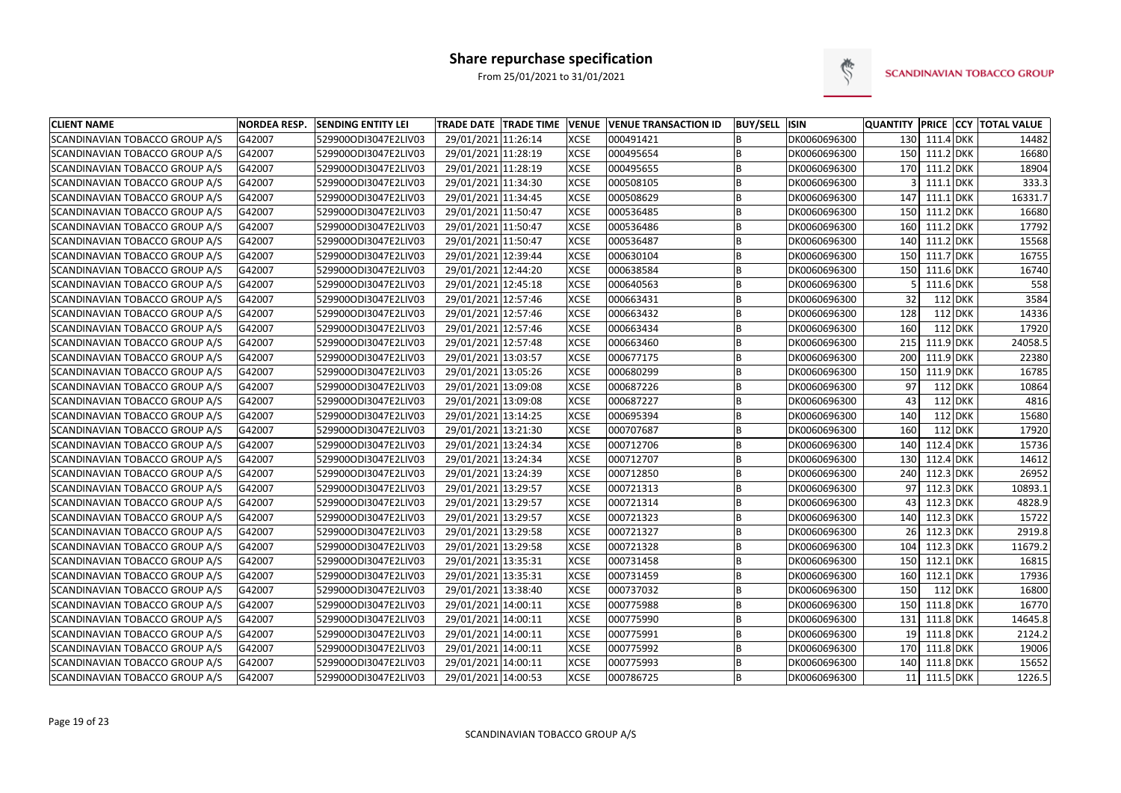

| <b>CLIENT NAME</b>             | <b>NORDEA RESP.</b> | <b>SENDING ENTITY LEI</b> | <b>TRADE DATE TRADE TIME</b> | <b>VENUE</b> | <b>VENUE TRANSACTION ID</b> | <b>BUY/SELL</b> | <b>ISIN</b>  |                 |               | QUANTITY PRICE CCY TOTAL VALUE |
|--------------------------------|---------------------|---------------------------|------------------------------|--------------|-----------------------------|-----------------|--------------|-----------------|---------------|--------------------------------|
| SCANDINAVIAN TOBACCO GROUP A/S | G42007              | 529900ODI3047E2LIV03      | 29/01/2021 11:26:14          | <b>XCSE</b>  | 000491421                   | B               | DK0060696300 |                 | 130 111.4 DKK | 14482                          |
| SCANDINAVIAN TOBACCO GROUP A/S | G42007              | 529900ODI3047E2LIV03      | 29/01/2021 11:28:19          | <b>XCSE</b>  | 000495654                   | B               | DK0060696300 |                 | 150 111.2 DKK | 16680                          |
| SCANDINAVIAN TOBACCO GROUP A/S | G42007              | 529900ODI3047E2LIV03      | 29/01/2021 11:28:19          | <b>XCSE</b>  | 000495655                   | B               | DK0060696300 |                 | 170 111.2 DKK | 18904                          |
| SCANDINAVIAN TOBACCO GROUP A/S | G42007              | 529900ODI3047E2LIV03      | 29/01/2021 11:34:30          | <b>XCSE</b>  | 000508105                   | B               | DK0060696300 |                 | 111.1 DKK     | 333.3                          |
| SCANDINAVIAN TOBACCO GROUP A/S | G42007              | 529900ODI3047E2LIV03      | 29/01/2021 11:34:45          | <b>XCSE</b>  | 000508629                   | B               | DK0060696300 | 147             | 111.1 DKK     | 16331.7                        |
| SCANDINAVIAN TOBACCO GROUP A/S | G42007              | 529900ODI3047E2LIV03      | 29/01/2021 11:50:47          | <b>XCSE</b>  | 000536485                   | B               | DK0060696300 | 150             | 111.2 DKK     | 16680                          |
| SCANDINAVIAN TOBACCO GROUP A/S | G42007              | 529900ODI3047E2LIV03      | 29/01/2021 11:50:47          | <b>XCSE</b>  | 000536486                   | B               | DK0060696300 | 160             | 111.2 DKK     | 17792                          |
| SCANDINAVIAN TOBACCO GROUP A/S | G42007              | 529900ODI3047E2LIV03      | 29/01/2021 11:50:47          | <b>XCSE</b>  | 000536487                   | B               | DK0060696300 | 140             | 111.2 DKK     | 15568                          |
| SCANDINAVIAN TOBACCO GROUP A/S | G42007              | 529900ODI3047E2LIV03      | 29/01/2021 12:39:44          | <b>XCSE</b>  | 000630104                   | B               | DK0060696300 | 150             | 111.7 DKK     | 16755                          |
| SCANDINAVIAN TOBACCO GROUP A/S | G42007              | 529900ODI3047E2LIV03      | 29/01/2021 12:44:20          | <b>XCSE</b>  | 000638584                   | B               | DK0060696300 | 150             | 111.6 DKK     | 16740                          |
| SCANDINAVIAN TOBACCO GROUP A/S | G42007              | 529900ODI3047E2LIV03      | 29/01/2021 12:45:18          | <b>XCSE</b>  | 000640563                   | B               | DK0060696300 |                 | 111.6 DKK     | 558                            |
| SCANDINAVIAN TOBACCO GROUP A/S | G42007              | 529900ODI3047E2LIV03      | 29/01/2021 12:57:46          | XCSE         | 000663431                   | B               | DK0060696300 | 32              | 112 DKK       | 3584                           |
| SCANDINAVIAN TOBACCO GROUP A/S | G42007              | 529900ODI3047E2LIV03      | 29/01/2021 12:57:46          | <b>XCSE</b>  | 000663432                   | B               | DK0060696300 | 128             | 112 DKK       | 14336                          |
| SCANDINAVIAN TOBACCO GROUP A/S | G42007              | 529900ODI3047E2LIV03      | 29/01/2021 12:57:46          | <b>XCSE</b>  | 000663434                   | B               | DK0060696300 | 160             | 112 DKK       | 17920                          |
| SCANDINAVIAN TOBACCO GROUP A/S | G42007              | 529900ODI3047E2LIV03      | 29/01/2021 12:57:48          | <b>XCSE</b>  | 000663460                   | B               | DK0060696300 | 215             | 111.9 DKK     | 24058.5                        |
| SCANDINAVIAN TOBACCO GROUP A/S | G42007              | 529900ODI3047E2LIV03      | 29/01/2021 13:03:57          | <b>XCSE</b>  | 000677175                   | B               | DK0060696300 | 200             | 111.9 DKK     | 22380                          |
| SCANDINAVIAN TOBACCO GROUP A/S | G42007              | 529900ODI3047E2LIV03      | 29/01/2021 13:05:26          | <b>XCSE</b>  | 000680299                   | B               | DK0060696300 | 150             | 111.9 DKK     | 16785                          |
| SCANDINAVIAN TOBACCO GROUP A/S | G42007              | 529900ODI3047E2LIV03      | 29/01/2021 13:09:08          | <b>XCSE</b>  | 000687226                   | B               | DK0060696300 | 97              | $112$ DKK     | 10864                          |
| SCANDINAVIAN TOBACCO GROUP A/S | G42007              | 529900ODI3047E2LIV03      | 29/01/2021 13:09:08          | <b>XCSE</b>  | 000687227                   | B               | DK0060696300 | 43              | 112 DKK       | 4816                           |
| SCANDINAVIAN TOBACCO GROUP A/S | G42007              | 529900ODI3047E2LIV03      | 29/01/2021 13:14:25          | <b>XCSE</b>  | 000695394                   | B               | DK0060696300 | 140             | 112 DKK       | 15680                          |
| SCANDINAVIAN TOBACCO GROUP A/S | G42007              | 529900ODI3047E2LIV03      | 29/01/2021 13:21:30          | <b>XCSE</b>  | 000707687                   | B               | DK0060696300 | 160             | 112 DKK       | 17920                          |
| SCANDINAVIAN TOBACCO GROUP A/S | G42007              | 529900ODI3047E2LIV03      | 29/01/2021 13:24:34          | <b>XCSE</b>  | 000712706                   | B               | DK0060696300 | 140             | 112.4 DKK     | 15736                          |
| SCANDINAVIAN TOBACCO GROUP A/S | G42007              | 529900ODI3047E2LIV03      | 29/01/2021 13:24:34          | <b>XCSE</b>  | 000712707                   | B               | DK0060696300 | 130             | 112.4 DKK     | 14612                          |
| SCANDINAVIAN TOBACCO GROUP A/S | G42007              | 529900ODI3047E2LIV03      | 29/01/2021 13:24:39          | <b>XCSE</b>  | 000712850                   | B               | DK0060696300 | 240             | 112.3 DKK     | 26952                          |
| SCANDINAVIAN TOBACCO GROUP A/S | G42007              | 529900ODI3047E2LIV03      | 29/01/2021 13:29:57          | <b>XCSE</b>  | 000721313                   | B               | DK0060696300 | 97              | 112.3 DKK     | 10893.1                        |
| SCANDINAVIAN TOBACCO GROUP A/S | G42007              | 529900ODI3047E2LIV03      | 29/01/2021 13:29:57          | <b>XCSE</b>  | 000721314                   | B               | DK0060696300 | 43              | 112.3 DKK     | 4828.9                         |
| SCANDINAVIAN TOBACCO GROUP A/S | G42007              | 529900ODI3047E2LIV03      | 29/01/2021 13:29:57          | <b>XCSE</b>  | 000721323                   | B               | DK0060696300 | 140             | 112.3 DKK     | 15722                          |
| SCANDINAVIAN TOBACCO GROUP A/S | G42007              | 529900ODI3047E2LIV03      | 29/01/2021 13:29:58          | <b>XCSE</b>  | 000721327                   | B               | DK0060696300 | 26              | 112.3 DKK     | 2919.8                         |
| SCANDINAVIAN TOBACCO GROUP A/S | G42007              | 529900ODI3047E2LIV03      | 29/01/2021 13:29:58          | <b>XCSE</b>  | 000721328                   | B               | DK0060696300 | 104             | 112.3 DKK     | 11679.2                        |
| SCANDINAVIAN TOBACCO GROUP A/S | G42007              | 529900ODI3047E2LIV03      | 29/01/2021 13:35:31          | <b>XCSE</b>  | 000731458                   | B               | DK0060696300 | 150             | 112.1 DKK     | 16815                          |
| SCANDINAVIAN TOBACCO GROUP A/S | G42007              | 529900ODI3047E2LIV03      | 29/01/2021 13:35:31          | <b>XCSE</b>  | 000731459                   | B               | DK0060696300 | 160             | 112.1 DKK     | 17936                          |
| SCANDINAVIAN TOBACCO GROUP A/S | G42007              | 529900ODI3047E2LIV03      | 29/01/2021 13:38:40          | <b>XCSE</b>  | 000737032                   | B               | DK0060696300 | 150             | 112 DKK       | 16800                          |
| SCANDINAVIAN TOBACCO GROUP A/S | G42007              | 529900ODI3047E2LIV03      | 29/01/2021 14:00:11          | <b>XCSE</b>  | 000775988                   | B               | DK0060696300 | 150             | 111.8 DKK     | 16770                          |
| SCANDINAVIAN TOBACCO GROUP A/S | G42007              | 529900ODI3047E2LIV03      | 29/01/2021 14:00:11          | <b>XCSE</b>  | 000775990                   | B               | DK0060696300 | 131             | 111.8 DKK     | 14645.8                        |
| SCANDINAVIAN TOBACCO GROUP A/S | G42007              | 529900ODI3047E2LIV03      | 29/01/2021 14:00:11          | <b>XCSE</b>  | 000775991                   | B               | DK0060696300 | 19 <sup>1</sup> | 111.8 DKK     | 2124.2                         |
| SCANDINAVIAN TOBACCO GROUP A/S | G42007              | 529900ODI3047E2LIV03      | 29/01/2021 14:00:11          | <b>XCSE</b>  | 000775992                   | B               | DK0060696300 |                 | 170 111.8 DKK | 19006                          |
| SCANDINAVIAN TOBACCO GROUP A/S | G42007              | 529900ODI3047E2LIV03      | 29/01/2021 14:00:11          | <b>XCSE</b>  | 000775993                   | B               | DK0060696300 | 140             | 111.8 DKK     | 15652                          |
| SCANDINAVIAN TOBACCO GROUP A/S | G42007              | 529900ODI3047E2LIV03      | 29/01/2021 14:00:53          | <b>XCSE</b>  | 000786725                   | B               | DK0060696300 |                 | 11 111.5 DKK  | 1226.5                         |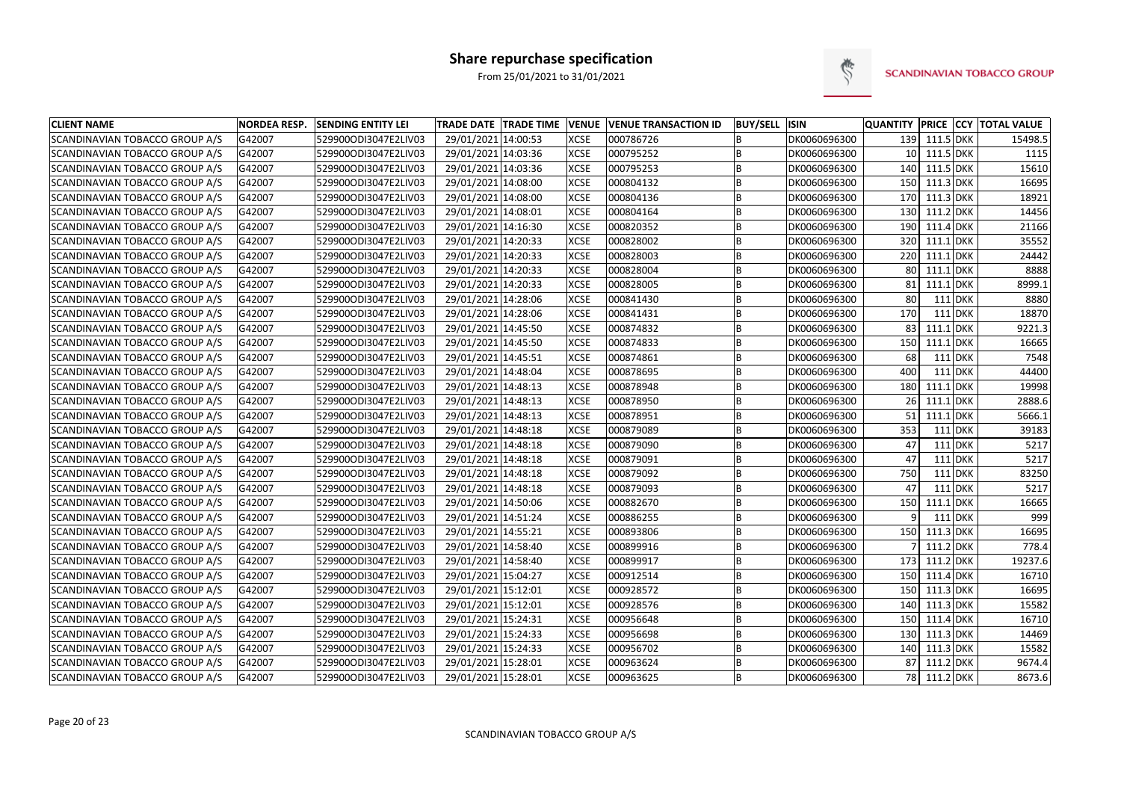

| <b>CLIENT NAME</b>             | <b>NORDEA RESP.</b> | <b>SENDING ENTITY LEI</b> | TRADE DATE TRADE TIME VENUE |             | <b>VENUE TRANSACTION ID</b> | <b>BUY/SELL ISIN</b> |              | <b>QUANTITY</b> |               |                | <b>PRICE CCY TOTAL VALUE</b> |
|--------------------------------|---------------------|---------------------------|-----------------------------|-------------|-----------------------------|----------------------|--------------|-----------------|---------------|----------------|------------------------------|
| SCANDINAVIAN TOBACCO GROUP A/S | G42007              | 529900ODI3047E2LIV03      | 29/01/2021 14:00:53         | <b>XCSE</b> | 000786726                   | B                    | DK0060696300 |                 | 139 111.5 DKK |                | 15498.5                      |
| SCANDINAVIAN TOBACCO GROUP A/S | G42007              | 529900ODI3047E2LIV03      | 29/01/2021 14:03:36         | <b>XCSE</b> | 000795252                   | B                    | DK0060696300 | 10 <sub>1</sub> | 111.5 DKK     |                | 1115                         |
| SCANDINAVIAN TOBACCO GROUP A/S | G42007              | 529900ODI3047E2LIV03      | 29/01/2021 14:03:36         | <b>XCSE</b> | 000795253                   | B                    | DK0060696300 | 140             | 111.5 DKK     |                | 15610                        |
| SCANDINAVIAN TOBACCO GROUP A/S | G42007              | 529900ODI3047E2LIV03      | 29/01/2021 14:08:00         | <b>XCSE</b> | 000804132                   | B                    | DK0060696300 | 150             | 111.3 DKK     |                | 16695                        |
| SCANDINAVIAN TOBACCO GROUP A/S | G42007              | 529900ODI3047E2LIV03      | 29/01/2021 14:08:00         | <b>XCSE</b> | 000804136                   | B                    | DK0060696300 | 170             | 111.3 DKK     |                | 18921                        |
| SCANDINAVIAN TOBACCO GROUP A/S | G42007              | 529900ODI3047E2LIV03      | 29/01/2021 14:08:01         | <b>XCSE</b> | 000804164                   | B                    | DK0060696300 | 130             | 111.2 DKK     |                | 14456                        |
| SCANDINAVIAN TOBACCO GROUP A/S | G42007              | 529900ODI3047E2LIV03      | 29/01/2021 14:16:30         | <b>XCSE</b> | 000820352                   | B                    | DK0060696300 | 190             | 111.4 DKK     |                | 21166                        |
| SCANDINAVIAN TOBACCO GROUP A/S | G42007              | 529900ODI3047E2LIV03      | 29/01/2021 14:20:33         | <b>XCSE</b> | 000828002                   | B                    | DK0060696300 | 320             | $111.1$ DKK   |                | 35552                        |
| SCANDINAVIAN TOBACCO GROUP A/S | G42007              | 529900ODI3047E2LIV03      | 29/01/2021 14:20:33         | <b>XCSE</b> | 000828003                   | B                    | DK0060696300 | 220             | 111.1 DKK     |                | 24442                        |
| SCANDINAVIAN TOBACCO GROUP A/S | G42007              | 529900ODI3047E2LIV03      | 29/01/2021 14:20:33         | <b>XCSE</b> | 000828004                   | B                    | DK0060696300 | 80              | $111.1$ DKK   |                | 8888                         |
| SCANDINAVIAN TOBACCO GROUP A/S | G42007              | 529900ODI3047E2LIV03      | 29/01/2021 14:20:33         | <b>XCSE</b> | 000828005                   | B                    | DK0060696300 | 81              | $111.1$ DKK   |                | 8999.1                       |
| SCANDINAVIAN TOBACCO GROUP A/S | G42007              | 529900ODI3047E2LIV03      | 29/01/2021 14:28:06         | <b>XCSE</b> | 000841430                   | B                    | DK0060696300 | 80              |               | <b>111 DKK</b> | 8880                         |
| SCANDINAVIAN TOBACCO GROUP A/S | G42007              | 529900ODI3047E2LIV03      | 29/01/2021 14:28:06         | <b>XCSE</b> | 000841431                   | B                    | DK0060696300 | 170             |               | 111 DKK        | 18870                        |
| SCANDINAVIAN TOBACCO GROUP A/S | G42007              | 529900ODI3047E2LIV03      | 29/01/2021 14:45:50         | <b>XCSE</b> | 000874832                   | B                    | DK0060696300 | 83              | $111.1$ DKK   |                | 9221.3                       |
| SCANDINAVIAN TOBACCO GROUP A/S | G42007              | 529900ODI3047E2LIV03      | 29/01/2021 14:45:50         | <b>XCSE</b> | 000874833                   | B                    | DK0060696300 | 150             | 111.1 DKK     |                | 16665                        |
| SCANDINAVIAN TOBACCO GROUP A/S | G42007              | 529900ODI3047E2LIV03      | 29/01/2021 14:45:51         | <b>XCSE</b> | 000874861                   | B                    | DK0060696300 | 68              |               | $111$ DKK      | 7548                         |
| SCANDINAVIAN TOBACCO GROUP A/S | G42007              | 529900ODI3047E2LIV03      | 29/01/2021 14:48:04         | <b>XCSE</b> | 000878695                   | B                    | DK0060696300 | 400             |               | $111$ DKK      | 44400                        |
| SCANDINAVIAN TOBACCO GROUP A/S | G42007              | 529900ODI3047E2LIV03      | 29/01/2021 14:48:13         | <b>XCSE</b> | 000878948                   | B                    | DK0060696300 | 180             | $111.1$ DKK   |                | 19998                        |
| SCANDINAVIAN TOBACCO GROUP A/S | G42007              | 529900ODI3047E2LIV03      | 29/01/2021 14:48:13         | <b>XCSE</b> | 000878950                   | B                    | DK0060696300 | 26              | $111.1$ DKK   |                | 2888.6                       |
| SCANDINAVIAN TOBACCO GROUP A/S | G42007              | 529900ODI3047E2LIV03      | 29/01/2021 14:48:13         | <b>XCSE</b> | 000878951                   | B                    | DK0060696300 | 51              | 111.1 DKK     |                | 5666.1                       |
| SCANDINAVIAN TOBACCO GROUP A/S | G42007              | 529900ODI3047E2LIV03      | 29/01/2021 14:48:18         | <b>XCSE</b> | 000879089                   | B                    | DK0060696300 | 353             |               | $111$ DKK      | 39183                        |
| SCANDINAVIAN TOBACCO GROUP A/S | G42007              | 529900ODI3047E2LIV03      | 29/01/2021 14:48:18         | <b>XCSE</b> | 000879090                   | B                    | DK0060696300 | 47              |               | $111$ DKK      | 5217                         |
| SCANDINAVIAN TOBACCO GROUP A/S | G42007              | 529900ODI3047E2LIV03      | 29/01/2021 14:48:18         | <b>XCSE</b> | 000879091                   | B                    | DK0060696300 | 47              |               | $111$ DKK      | 5217                         |
| SCANDINAVIAN TOBACCO GROUP A/S | G42007              | 529900ODI3047E2LIV03      | 29/01/2021 14:48:18         | <b>XCSE</b> | 000879092                   | B                    | DK0060696300 | 750             |               | $111$ DKK      | 83250                        |
| SCANDINAVIAN TOBACCO GROUP A/S | G42007              | 529900ODI3047E2LIV03      | 29/01/2021 14:48:18         | <b>XCSE</b> | 000879093                   | B                    | DK0060696300 | 47              |               | $111$ DKK      | 5217                         |
| SCANDINAVIAN TOBACCO GROUP A/S | G42007              | 529900ODI3047E2LIV03      | 29/01/2021 14:50:06         | <b>XCSE</b> | 000882670                   | B                    | DK0060696300 | 150             | 111.1 DKK     |                | 16665                        |
| SCANDINAVIAN TOBACCO GROUP A/S | G42007              | 529900ODI3047E2LIV03      | 29/01/2021 14:51:24         | <b>XCSE</b> | 000886255                   | B                    | DK0060696300 |                 |               | 111 DKK        | 999                          |
| SCANDINAVIAN TOBACCO GROUP A/S | G42007              | 529900ODI3047E2LIV03      | 29/01/2021 14:55:21         | <b>XCSE</b> | 000893806                   | B                    | DK0060696300 | 150             | $111.3$ DKK   |                | 16695                        |
| SCANDINAVIAN TOBACCO GROUP A/S | G42007              | 529900ODI3047E2LIV03      | 29/01/2021 14:58:40         | <b>XCSE</b> | 000899916                   | B                    | DK0060696300 |                 | 111.2 DKK     |                | 778.4                        |
| SCANDINAVIAN TOBACCO GROUP A/S | G42007              | 529900ODI3047E2LIV03      | 29/01/2021 14:58:40         | <b>XCSE</b> | 000899917                   | B                    | DK0060696300 | 173             | 111.2 DKK     |                | 19237.6                      |
| SCANDINAVIAN TOBACCO GROUP A/S | G42007              | 529900ODI3047E2LIV03      | 29/01/2021 15:04:27         | <b>XCSE</b> | 000912514                   | B                    | DK0060696300 | 150             | 111.4 DKK     |                | 16710                        |
| SCANDINAVIAN TOBACCO GROUP A/S | G42007              | 529900ODI3047E2LIV03      | 29/01/2021 15:12:01         | <b>XCSE</b> | 000928572                   | B                    | DK0060696300 | 150             | 111.3 DKK     |                | 16695                        |
| SCANDINAVIAN TOBACCO GROUP A/S | G42007              | 529900ODI3047E2LIV03      | 29/01/2021 15:12:01         | <b>XCSE</b> | 000928576                   | B                    | DK0060696300 | 140             | 111.3 DKK     |                | 15582                        |
| SCANDINAVIAN TOBACCO GROUP A/S | G42007              | 529900ODI3047E2LIV03      | 29/01/2021 15:24:31         | <b>XCSE</b> | 000956648                   | B                    | DK0060696300 | 150             | 111.4 DKK     |                | 16710                        |
| SCANDINAVIAN TOBACCO GROUP A/S | G42007              | 529900ODI3047E2LIV03      | 29/01/2021 15:24:33         | <b>XCSE</b> | 000956698                   | B                    | DK0060696300 | 130             | 111.3 DKK     |                | 14469                        |
| SCANDINAVIAN TOBACCO GROUP A/S | G42007              | 529900ODI3047E2LIV03      | 29/01/2021 15:24:33         | <b>XCSE</b> | 000956702                   | B                    | DK0060696300 | 140             | 111.3 DKK     |                | 15582                        |
| SCANDINAVIAN TOBACCO GROUP A/S | G42007              | 529900ODI3047E2LIV03      | 29/01/2021 15:28:01         | <b>XCSE</b> | 000963624                   | B                    | DK0060696300 | 87              | 111.2 DKK     |                | 9674.4                       |
| SCANDINAVIAN TOBACCO GROUP A/S | G42007              | 529900ODI3047E2LIV03      | 29/01/2021 15:28:01         | <b>XCSE</b> | 000963625                   | B                    | DK0060696300 |                 | 78 111.2 DKK  |                | 8673.6                       |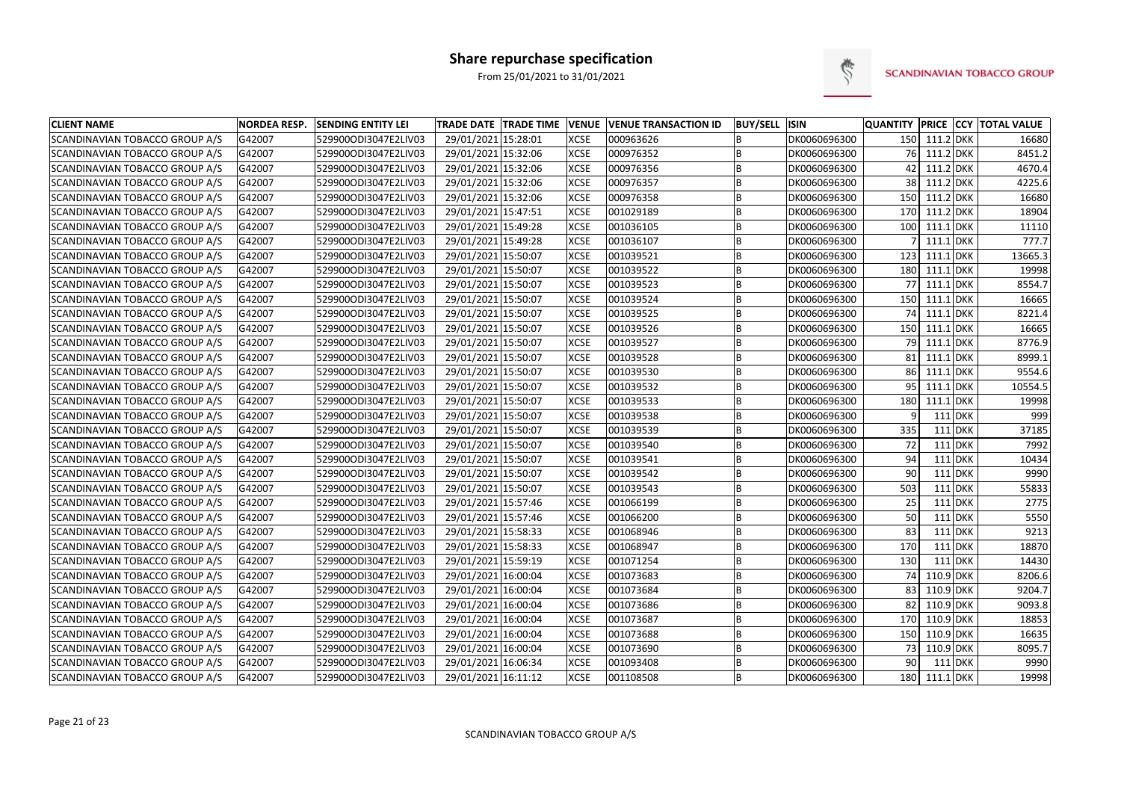

| <b>CLIENT NAME</b>                    | <b>NORDEA RESP.</b> | <b>SENDING ENTITY LEI</b> | <b>TRADE DATE TRADE TIME</b> | <b>VENUE</b> | <b>VENUE TRANSACTION ID</b> | <b>BUY/SELL ISIN</b> |              |                 |               |                | <b>QUANTITY PRICE CCY TOTAL VALUE</b> |
|---------------------------------------|---------------------|---------------------------|------------------------------|--------------|-----------------------------|----------------------|--------------|-----------------|---------------|----------------|---------------------------------------|
| SCANDINAVIAN TOBACCO GROUP A/S        | G42007              | 529900ODI3047E2LIV03      | 29/01/2021 15:28:01          | <b>XCSE</b>  | 000963626                   | B                    | DK0060696300 |                 | 150 111.2 DKK |                | 16680                                 |
| SCANDINAVIAN TOBACCO GROUP A/S        | G42007              | 529900ODI3047E2LIV03      | 29/01/2021 15:32:06          | <b>XCSE</b>  | 000976352                   | B                    | DK0060696300 |                 | 76 111.2 DKK  |                | 8451.2                                |
| SCANDINAVIAN TOBACCO GROUP A/S        | G42007              | 529900ODI3047E2LIV03      | 29/01/2021 15:32:06          | <b>XCSE</b>  | 000976356                   | B                    | DK0060696300 | 42 <sub>1</sub> | 111.2 DKK     |                | 4670.4                                |
| <b>SCANDINAVIAN TOBACCO GROUP A/S</b> | G42007              | 529900ODI3047E2LIV03      | 29/01/2021 15:32:06          | <b>XCSE</b>  | 000976357                   | B                    | DK0060696300 |                 | 38 111.2 DKK  |                | 4225.6                                |
| SCANDINAVIAN TOBACCO GROUP A/S        | G42007              | 529900ODI3047E2LIV03      | 29/01/2021 15:32:06          | <b>XCSE</b>  | 000976358                   | B                    | DK0060696300 | 150             | 111.2 DKK     |                | 16680                                 |
| SCANDINAVIAN TOBACCO GROUP A/S        | G42007              | 529900ODI3047E2LIV03      | 29/01/2021 15:47:51          | <b>XCSE</b>  | 001029189                   | B                    | DK0060696300 | 170             | 111.2 DKK     |                | 18904                                 |
| SCANDINAVIAN TOBACCO GROUP A/S        | G42007              | 529900ODI3047E2LIV03      | 29/01/2021 15:49:28          | <b>XCSE</b>  | 001036105                   | B                    | DK0060696300 | 100             | 111.1 DKK     |                | 11110                                 |
| SCANDINAVIAN TOBACCO GROUP A/S        | G42007              | 529900ODI3047E2LIV03      | 29/01/2021 15:49:28          | <b>XCSE</b>  | 001036107                   | B                    | DK0060696300 |                 | 111.1         | <b>DKK</b>     | 777.7                                 |
| SCANDINAVIAN TOBACCO GROUP A/S        | G42007              | 529900ODI3047E2LIV03      | 29/01/2021 15:50:07          | <b>XCSE</b>  | 001039521                   | B                    | DK0060696300 | 123             | $111.1$ DKK   |                | 13665.3                               |
| SCANDINAVIAN TOBACCO GROUP A/S        | G42007              | 529900ODI3047E2LIV03      | 29/01/2021 15:50:07          | <b>XCSE</b>  | 001039522                   | B                    | DK0060696300 | 180             | 111.1 DKK     |                | 19998                                 |
| SCANDINAVIAN TOBACCO GROUP A/S        | G42007              | 529900ODI3047E2LIV03      | 29/01/2021 15:50:07          | <b>XCSE</b>  | 001039523                   | B                    | DK0060696300 | 77              | $111.1$ DKK   |                | 8554.7                                |
| SCANDINAVIAN TOBACCO GROUP A/S        | G42007              | 529900ODI3047E2LIV03      | 29/01/2021 15:50:07          | <b>XCSE</b>  | 001039524                   | B                    | DK0060696300 | 150             | 111.1 DKK     |                | 16665                                 |
| SCANDINAVIAN TOBACCO GROUP A/S        | G42007              | 529900ODI3047E2LIV03      | 29/01/2021 15:50:07          | <b>XCSE</b>  | 001039525                   | B                    | DK0060696300 | 74              | 111.1 DKK     |                | 8221.4                                |
| SCANDINAVIAN TOBACCO GROUP A/S        | G42007              | 529900ODI3047E2LIV03      | 29/01/2021 15:50:07          | <b>XCSE</b>  | 001039526                   | <b>B</b>             | DK0060696300 | 150             | 111.1 DKK     |                | 16665                                 |
| SCANDINAVIAN TOBACCO GROUP A/S        | G42007              | 529900ODI3047E2LIV03      | 29/01/2021 15:50:07          | <b>XCSE</b>  | 001039527                   | B                    | DK0060696300 | 79              | $111.1$ DKK   |                | 8776.9                                |
| SCANDINAVIAN TOBACCO GROUP A/S        | G42007              | 529900ODI3047E2LIV03      | 29/01/2021 15:50:07          | <b>XCSE</b>  | 001039528                   | B                    | DK0060696300 | 81              | 111.1 DKK     |                | 8999.1                                |
| SCANDINAVIAN TOBACCO GROUP A/S        | G42007              | 529900ODI3047E2LIV03      | 29/01/2021 15:50:07          | <b>XCSE</b>  | 001039530                   | B                    | DK0060696300 | 86              | $111.1$ DKK   |                | 9554.6                                |
| SCANDINAVIAN TOBACCO GROUP A/S        | G42007              | 529900ODI3047E2LIV03      | 29/01/2021 15:50:07          | <b>XCSE</b>  | 001039532                   | B                    | DK0060696300 | 95              | 111.1 DKK     |                | 10554.5                               |
| SCANDINAVIAN TOBACCO GROUP A/S        | G42007              | 529900ODI3047E2LIV03      | 29/01/2021 15:50:07          | <b>XCSE</b>  | 001039533                   | <b>B</b>             | DK0060696300 | 180             | 111.1 DKK     |                | 19998                                 |
| SCANDINAVIAN TOBACCO GROUP A/S        | G42007              | 529900ODI3047E2LIV03      | 29/01/2021 15:50:07          | <b>XCSE</b>  | 001039538                   | B                    | DK0060696300 | 9               |               | $111$ DKK      | 999                                   |
| SCANDINAVIAN TOBACCO GROUP A/S        | G42007              | 529900ODI3047E2LIV03      | 29/01/2021 15:50:07          | <b>XCSE</b>  | 001039539                   | B                    | DK0060696300 | 335             |               | $111$ DKK      | 37185                                 |
| SCANDINAVIAN TOBACCO GROUP A/S        | G42007              | 529900ODI3047E2LIV03      | 29/01/2021 15:50:07          | <b>XCSE</b>  | 001039540                   | B                    | DK0060696300 | 72              |               | $111$ DKK      | 7992                                  |
| SCANDINAVIAN TOBACCO GROUP A/S        | G42007              | 529900ODI3047E2LIV03      | 29/01/2021 15:50:07          | <b>XCSE</b>  | 001039541                   | B                    | DK0060696300 | 94              |               | $111$ DKK      | 10434                                 |
| SCANDINAVIAN TOBACCO GROUP A/S        | G42007              | 529900ODI3047E2LIV03      | 29/01/2021 15:50:07          | <b>XCSE</b>  | 001039542                   | B                    | DK0060696300 | 90              |               | $111$ DKK      | 9990                                  |
| SCANDINAVIAN TOBACCO GROUP A/S        | G42007              | 529900ODI3047E2LIV03      | 29/01/2021 15:50:07          | <b>XCSE</b>  | 001039543                   | B                    | DK0060696300 | 503             |               | $111$ DKK      | 55833                                 |
| SCANDINAVIAN TOBACCO GROUP A/S        | G42007              | 529900ODI3047E2LIV03      | 29/01/2021 15:57:46          | <b>XCSE</b>  | 001066199                   | <b>B</b>             | DK0060696300 | 25              |               | $111$ DKK      | 2775                                  |
| SCANDINAVIAN TOBACCO GROUP A/S        | G42007              | 529900ODI3047E2LIV03      | 29/01/2021 15:57:46          | <b>XCSE</b>  | 001066200                   | B                    | DK0060696300 | 50              |               | <b>111 DKK</b> | 5550                                  |
| SCANDINAVIAN TOBACCO GROUP A/S        | G42007              | 529900ODI3047E2LIV03      | 29/01/2021 15:58:33          | <b>XCSE</b>  | 001068946                   | B                    | DK0060696300 | 83              |               | $111$ DKK      | 9213                                  |
| SCANDINAVIAN TOBACCO GROUP A/S        | G42007              | 529900ODI3047E2LIV03      | 29/01/2021 15:58:33          | <b>XCSE</b>  | 001068947                   | B                    | DK0060696300 | 170             |               | $111$ DKK      | 18870                                 |
| SCANDINAVIAN TOBACCO GROUP A/S        | G42007              | 529900ODI3047E2LIV03      | 29/01/2021 15:59:19          | <b>XCSE</b>  | 001071254                   | B                    | DK0060696300 | 130             |               | 111 DKK        | 14430                                 |
| SCANDINAVIAN TOBACCO GROUP A/S        | G42007              | 529900ODI3047E2LIV03      | 29/01/2021 16:00:04          | <b>XCSE</b>  | 001073683                   | B                    | DK0060696300 | 74              | 110.9 DKK     |                | 8206.6                                |
| SCANDINAVIAN TOBACCO GROUP A/S        | G42007              | 529900ODI3047E2LIV03      | 29/01/2021 16:00:04          | <b>XCSE</b>  | 001073684                   | B                    | DK0060696300 | 83              | 110.9 DKK     |                | 9204.7                                |
| SCANDINAVIAN TOBACCO GROUP A/S        | G42007              | 529900ODI3047E2LIV03      | 29/01/2021 16:00:04          | <b>XCSE</b>  | 001073686                   | B                    | DK0060696300 | 82              | 110.9 DKK     |                | 9093.8                                |
| SCANDINAVIAN TOBACCO GROUP A/S        | G42007              | 529900ODI3047E2LIV03      | 29/01/2021 16:00:04          | <b>XCSE</b>  | 001073687                   | B                    | DK0060696300 | 170             | 110.9 DKK     |                | 18853                                 |
| SCANDINAVIAN TOBACCO GROUP A/S        | G42007              | 529900ODI3047E2LIV03      | 29/01/2021 16:00:04          | <b>XCSE</b>  | 001073688                   | B                    | DK0060696300 | 150             | 110.9 DKK     |                | 16635                                 |
| SCANDINAVIAN TOBACCO GROUP A/S        | G42007              | 529900ODI3047E2LIV03      | 29/01/2021 16:00:04          | <b>XCSE</b>  | 001073690                   | B                    | DK0060696300 | 73              | 110.9 DKK     |                | 8095.7                                |
| SCANDINAVIAN TOBACCO GROUP A/S        | G42007              | 529900ODI3047E2LIV03      | 29/01/2021 16:06:34          | <b>XCSE</b>  | 001093408                   | B                    | DK0060696300 | 90              |               | 111 DKK        | 9990                                  |
| SCANDINAVIAN TOBACCO GROUP A/S        | G42007              | 529900ODI3047E2LIV03      | 29/01/2021 16:11:12          | <b>XCSE</b>  | 001108508                   | B                    | DK0060696300 |                 | 180 111.1 DKK |                | 19998                                 |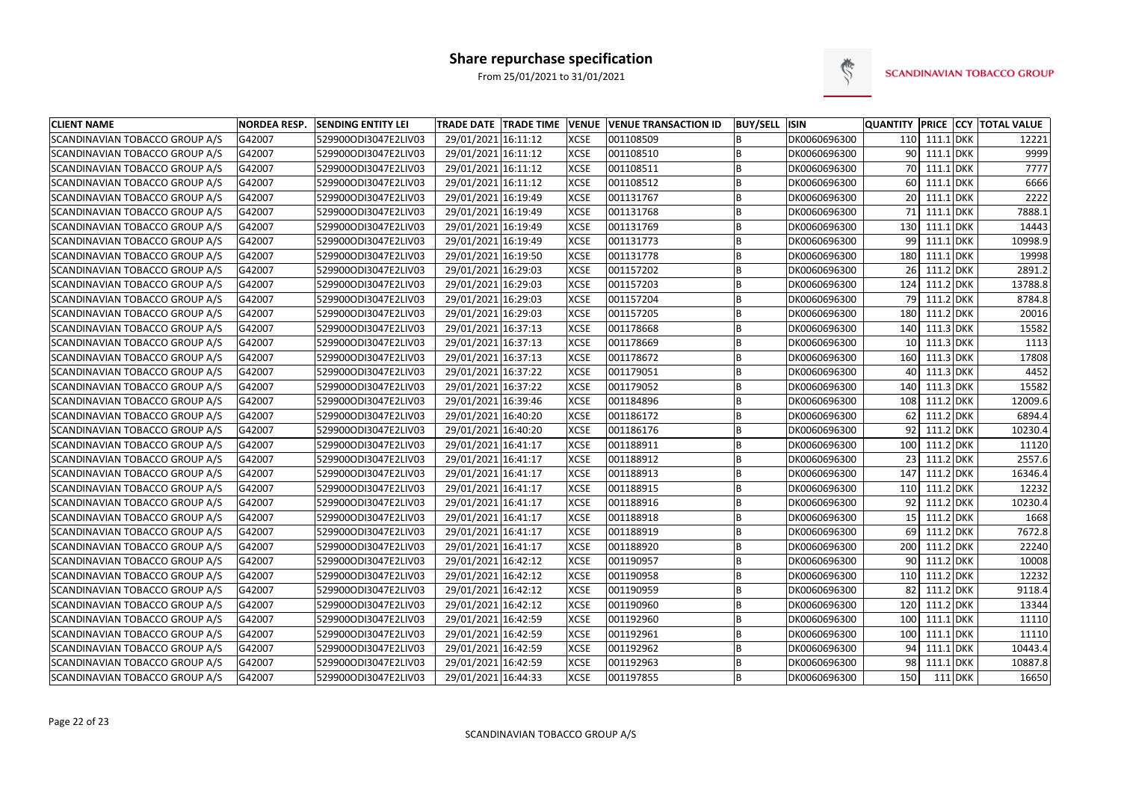

| <b>CLIENT NAME</b>                    | <b>NORDEA RESP.</b> | <b>SENDING ENTITY LEI</b> | <b>TRADE DATE TRADE TIME</b> | <b>VENUE</b> | <b>VENUE TRANSACTION ID</b> | <b>BUY/SELL ISIN</b> |              |                 |                  | QUANTITY PRICE CCY TOTAL VALUE |
|---------------------------------------|---------------------|---------------------------|------------------------------|--------------|-----------------------------|----------------------|--------------|-----------------|------------------|--------------------------------|
| SCANDINAVIAN TOBACCO GROUP A/S        | G42007              | 529900ODI3047E2LIV03      | 29/01/2021 16:11:12          | <b>XCSE</b>  | 001108509                   | B                    | DK0060696300 | 110             | 111.1 DKK        | 12221                          |
| <b>SCANDINAVIAN TOBACCO GROUP A/S</b> | G42007              | 529900ODI3047E2LIV03      | 29/01/2021 16:11:12          | <b>XCSE</b>  | 001108510                   | B                    | DK0060696300 |                 | 90 111.1 DKK     | 9999                           |
| SCANDINAVIAN TOBACCO GROUP A/S        | G42007              | 529900ODI3047E2LIV03      | 29/01/2021 16:11:12          | <b>XCSE</b>  | 001108511                   | B                    | DK0060696300 | 70              | $111.1$ DKK      | 7777                           |
| SCANDINAVIAN TOBACCO GROUP A/S        | G42007              | 529900ODI3047E2LIV03      | 29/01/2021 16:11:12          | <b>XCSE</b>  | 001108512                   | B                    | DK0060696300 | 60              | $111.1$ DKK      | 6666                           |
| SCANDINAVIAN TOBACCO GROUP A/S        | G42007              | 529900ODI3047E2LIV03      | 29/01/2021 16:19:49          | <b>XCSE</b>  | 001131767                   | B                    | DK0060696300 | 20              | $111.1$ DKK      | 2222                           |
| SCANDINAVIAN TOBACCO GROUP A/S        | G42007              | 529900ODI3047E2LIV03      | 29/01/2021 16:19:49          | <b>XCSE</b>  | 001131768                   | B                    | DK0060696300 | 71              | $111.1$ DKK      | 7888.1                         |
| SCANDINAVIAN TOBACCO GROUP A/S        | G42007              | 529900ODI3047E2LIV03      | 29/01/2021 16:19:49          | <b>XCSE</b>  | 001131769                   | B                    | DK0060696300 | 130             | 111.1 DKK        | 14443                          |
| SCANDINAVIAN TOBACCO GROUP A/S        | G42007              | 529900ODI3047E2LIV03      | 29/01/2021 16:19:49          | <b>XCSE</b>  | 001131773                   | B                    | DK0060696300 | 99              | 111.1 DKK        | 10998.9                        |
| SCANDINAVIAN TOBACCO GROUP A/S        | G42007              | 529900ODI3047E2LIV03      | 29/01/2021 16:19:50          | <b>XCSE</b>  | 001131778                   | B                    | DK0060696300 | 180             | 111.1 DKK        | 19998                          |
| SCANDINAVIAN TOBACCO GROUP A/S        | G42007              | 529900ODI3047E2LIV03      | 29/01/2021 16:29:03          | <b>XCSE</b>  | 001157202                   | B                    | DK0060696300 | 26              | 111.2 DKK        | 2891.2                         |
| SCANDINAVIAN TOBACCO GROUP A/S        | G42007              | 529900ODI3047E2LIV03      | 29/01/2021 16:29:03          | <b>XCSE</b>  | 001157203                   | B                    | DK0060696300 | 124             | 111.2 DKK        | 13788.8                        |
| SCANDINAVIAN TOBACCO GROUP A/S        | G42007              | 529900ODI3047E2LIV03      | 29/01/2021 16:29:03          | <b>XCSE</b>  | 001157204                   | B                    | DK0060696300 | 79              | 111.2 DKK        | 8784.8                         |
| SCANDINAVIAN TOBACCO GROUP A/S        | G42007              | 529900ODI3047E2LIV03      | 29/01/2021 16:29:03          | <b>XCSE</b>  | 001157205                   | B                    | DK0060696300 | 180             | 111.2 DKK        | 20016                          |
| SCANDINAVIAN TOBACCO GROUP A/S        | G42007              | 529900ODI3047E2LIV03      | 29/01/2021 16:37:13          | <b>XCSE</b>  | 001178668                   | B                    | DK0060696300 | 140             | 111.3 DKK        | 15582                          |
| SCANDINAVIAN TOBACCO GROUP A/S        | G42007              | 529900ODI3047E2LIV03      | 29/01/2021 16:37:13          | <b>XCSE</b>  | 001178669                   | B                    | DK0060696300 | 10 <sub>1</sub> | 111.3 DKK        | 1113                           |
| SCANDINAVIAN TOBACCO GROUP A/S        | G42007              | 529900ODI3047E2LIV03      | 29/01/2021 16:37:13          | <b>XCSE</b>  | 001178672                   | B                    | DK0060696300 | 160             | 111.3 DKK        | 17808                          |
| SCANDINAVIAN TOBACCO GROUP A/S        | G42007              | 529900ODI3047E2LIV03      | 29/01/2021 16:37:22          | <b>XCSE</b>  | 001179051                   | B                    | DK0060696300 | 40              | 111.3 DKK        | 4452                           |
| SCANDINAVIAN TOBACCO GROUP A/S        | G42007              | 529900ODI3047E2LIV03      | 29/01/2021 16:37:22          | <b>XCSE</b>  | 001179052                   | B                    | DK0060696300 | 140             | 111.3 DKK        | 15582                          |
| SCANDINAVIAN TOBACCO GROUP A/S        | G42007              | 529900ODI3047E2LIV03      | 29/01/2021 16:39:46          | <b>XCSE</b>  | 001184896                   | B                    | DK0060696300 | 108             | 111.2 DKK        | 12009.6                        |
| SCANDINAVIAN TOBACCO GROUP A/S        | G42007              | 529900ODI3047E2LIV03      | 29/01/2021 16:40:20          | <b>XCSE</b>  | 001186172                   | B                    | DK0060696300 | 62              | 111.2 DKK        | 6894.4                         |
| SCANDINAVIAN TOBACCO GROUP A/S        | G42007              | 529900ODI3047E2LIV03      | 29/01/2021 16:40:20          | <b>XCSE</b>  | 001186176                   | B                    | DK0060696300 | 92              | 111.2 DKK        | 10230.4                        |
| SCANDINAVIAN TOBACCO GROUP A/S        | G42007              | 529900ODI3047E2LIV03      | 29/01/2021 16:41:17          | <b>XCSE</b>  | 001188911                   | B                    | DK0060696300 | 100             | 111.2 DKK        | 11120                          |
| SCANDINAVIAN TOBACCO GROUP A/S        | G42007              | 529900ODI3047E2LIV03      | 29/01/2021 16:41:17          | <b>XCSE</b>  | 001188912                   | B                    | DK0060696300 | 23              | 111.2 DKK        | 2557.6                         |
| SCANDINAVIAN TOBACCO GROUP A/S        | G42007              | 529900ODI3047E2LIV03      | 29/01/2021 16:41:17          | <b>XCSE</b>  | 001188913                   | B                    | DK0060696300 | 147             | 111.2 DKK        | 16346.4                        |
| SCANDINAVIAN TOBACCO GROUP A/S        | G42007              | 529900ODI3047E2LIV03      | 29/01/2021 16:41:17          | <b>XCSE</b>  | 001188915                   | B                    | DK0060696300 | 110             | 111.2 DKK        | 12232                          |
| SCANDINAVIAN TOBACCO GROUP A/S        | G42007              | 529900ODI3047E2LIV03      | 29/01/2021 16:41:17          | <b>XCSE</b>  | 001188916                   | B                    | DK0060696300 | 92 <sub>1</sub> | 111.2 DKK        | 10230.4                        |
| SCANDINAVIAN TOBACCO GROUP A/S        | G42007              | 529900ODI3047E2LIV03      | 29/01/2021 16:41:17          | <b>XCSE</b>  | 001188918                   | B                    | DK0060696300 | 15 <sup>1</sup> | 111.2 DKK        | 1668                           |
| SCANDINAVIAN TOBACCO GROUP A/S        | G42007              | 529900ODI3047E2LIV03      | 29/01/2021 16:41:17          | <b>XCSE</b>  | 001188919                   | B                    | DK0060696300 | 69              | $111.2$ DKK      | 7672.8                         |
| SCANDINAVIAN TOBACCO GROUP A/S        | G42007              | 529900ODI3047E2LIV03      | 29/01/2021 16:41:17          | <b>XCSE</b>  | 001188920                   | B                    | DK0060696300 | 200             | 111.2 DKK        | 22240                          |
| SCANDINAVIAN TOBACCO GROUP A/S        | G42007              | 529900ODI3047E2LIV03      | 29/01/2021 16:42:12          | <b>XCSE</b>  | 001190957                   | B                    | DK0060696300 | 90              | 111.2 DKK        | 10008                          |
| SCANDINAVIAN TOBACCO GROUP A/S        | G42007              | 529900ODI3047E2LIV03      | 29/01/2021 16:42:12          | <b>XCSE</b>  | 001190958                   | B                    | DK0060696300 | 110             | 111.2 DKK        | 12232                          |
| SCANDINAVIAN TOBACCO GROUP A/S        | G42007              | 529900ODI3047E2LIV03      | 29/01/2021 16:42:12          | <b>XCSE</b>  | 001190959                   | B                    | DK0060696300 | 82              | 111.2 DKK        | 9118.4                         |
| SCANDINAVIAN TOBACCO GROUP A/S        | G42007              | 529900ODI3047E2LIV03      | 29/01/2021 16:42:12          | <b>XCSE</b>  | 001190960                   | B                    | DK0060696300 | 120             | 111.2 DKK        | 13344                          |
| SCANDINAVIAN TOBACCO GROUP A/S        | G42007              | 529900ODI3047E2LIV03      | 29/01/2021 16:42:59          | <b>XCSE</b>  | 001192960                   | B                    | DK0060696300 | 100             | 111.1 DKK        | 11110                          |
| SCANDINAVIAN TOBACCO GROUP A/S        | G42007              | 529900ODI3047E2LIV03      | 29/01/2021 16:42:59          | <b>XCSE</b>  | 001192961                   | B                    | DK0060696300 | 100             | <b>111.1 DKK</b> | 11110                          |
| SCANDINAVIAN TOBACCO GROUP A/S        | G42007              | 529900ODI3047E2LIV03      | 29/01/2021 16:42:59          | <b>XCSE</b>  | 001192962                   | B                    | DK0060696300 | 94              | $111.1$ DKK      | 10443.4                        |
| SCANDINAVIAN TOBACCO GROUP A/S        | G42007              | 529900ODI3047E2LIV03      | 29/01/2021 16:42:59          | <b>XCSE</b>  | 001192963                   | B                    | DK0060696300 | 98              | $111.1$ DKK      | 10887.8                        |
| SCANDINAVIAN TOBACCO GROUP A/S        | G42007              | 529900ODI3047E2LIV03      | 29/01/2021 16:44:33          | <b>XCSE</b>  | 001197855                   | B                    | DK0060696300 | 150             | 111 DKK          | 16650                          |